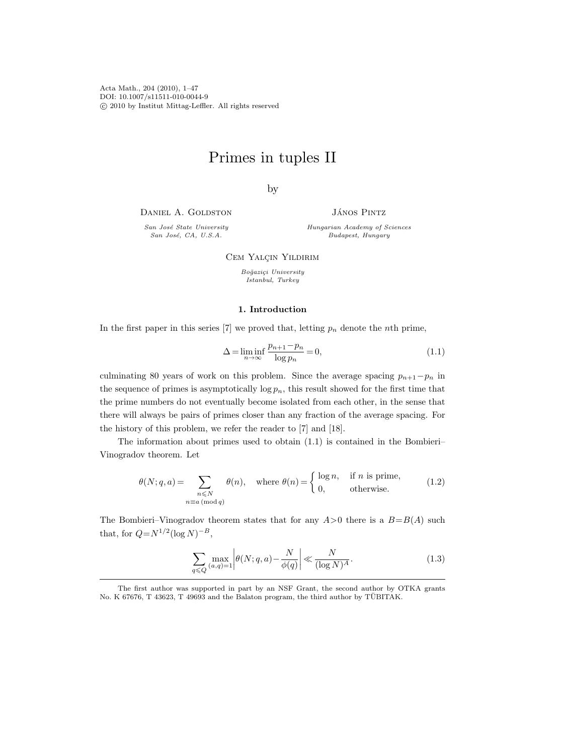Acta Math., 204 (2010), 1–47 DOI: 10.1007/s11511-010-0044-9 c 2010 by Institut Mittag-Leffler. All rights reserved

# Primes in tuples II

by

DANIEL A. GOLDSTON

San José State University San José, CA, U.S.A.

JÁNOS PINTZ

Hungarian Academy of Sciences Budapest, Hungary

CEM YALÇIN YILDIRIM

Boğaziçi University Istanbul, Turkey

# 1. Introduction

In the first paper in this series [7] we proved that, letting  $p_n$  denote the *n*th prime,

$$
\Delta = \liminf_{n \to \infty} \frac{p_{n+1} - p_n}{\log p_n} = 0,\tag{1.1}
$$

culminating 80 years of work on this problem. Since the average spacing  $p_{n+1}-p_n$  in the sequence of primes is asymptotically  $\log p_n$ , this result showed for the first time that the prime numbers do not eventually become isolated from each other, in the sense that there will always be pairs of primes closer than any fraction of the average spacing. For the history of this problem, we refer the reader to [7] and [18].

The information about primes used to obtain (1.1) is contained in the Bombieri– Vinogradov theorem. Let

$$
\theta(N;q,a) = \sum_{\substack{n \leq N \\ n \equiv a \pmod{q}}} \theta(n), \quad \text{where } \theta(n) = \begin{cases} \log n, & \text{if } n \text{ is prime,} \\ 0, & \text{otherwise.} \end{cases} \tag{1.2}
$$

The Bombieri–Vinogradov theorem states that for any  $A > 0$  there is a  $B=B(A)$  such that, for  $Q = N^{1/2} (\log N)^{-B}$ ,

$$
\sum_{q \leq Q} \max_{(a,q)=1} \left| \theta(N;q,a) - \frac{N}{\phi(q)} \right| \ll \frac{N}{(\log N)^A}.
$$
\n(1.3)

The first author was supported in part by an NSF Grant, the second author by OTKA grants No. K 67676, T 43623, T 49693 and the Balaton program, the third author by TUBITAK.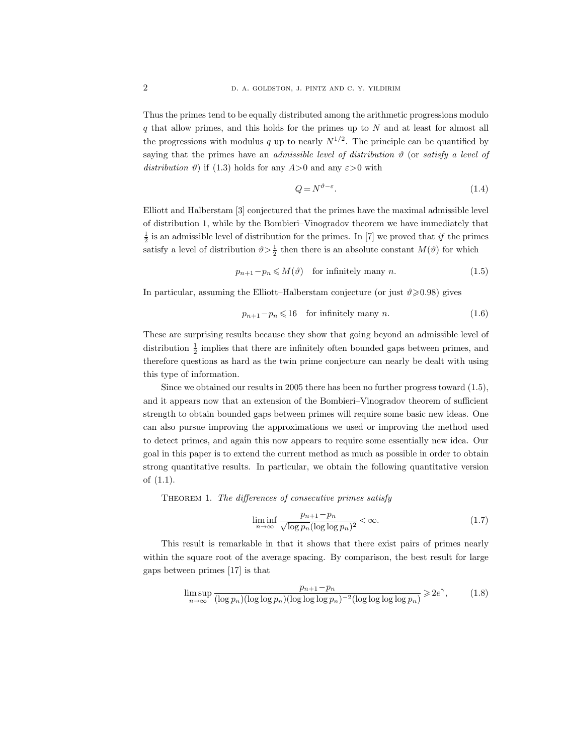Thus the primes tend to be equally distributed among the arithmetic progressions modulo  $q$  that allow primes, and this holds for the primes up to  $N$  and at least for almost all the progressions with modulus q up to nearly  $N^{1/2}$ . The principle can be quantified by saying that the primes have an *admissible level of distribution*  $\vartheta$  (or *satisfy a level of* distribution  $\vartheta$ ) if (1.3) holds for any  $A > 0$  and any  $\varepsilon > 0$  with

$$
Q = N^{\vartheta - \varepsilon}.\tag{1.4}
$$

Elliott and Halberstam [3] conjectured that the primes have the maximal admissible level of distribution 1, while by the Bombieri–Vinogradov theorem we have immediately that  $\frac{1}{2}$  is an admissible level of distribution for the primes. In [7] we proved that if the primes satisfy a level of distribution  $\vartheta > \frac{1}{2}$  then there is an absolute constant  $M(\vartheta)$  for which

$$
p_{n+1} - p_n \leqslant M(\vartheta) \quad \text{for infinitely many } n. \tag{1.5}
$$

In particular, assuming the Elliott–Halberstam conjecture (or just  $\vartheta \geqslant 0.98$ ) gives

$$
p_{n+1} - p_n \leq 16 \quad \text{for infinitely many } n. \tag{1.6}
$$

These are surprising results because they show that going beyond an admissible level of distribution  $\frac{1}{2}$  implies that there are infinitely often bounded gaps between primes, and therefore questions as hard as the twin prime conjecture can nearly be dealt with using this type of information.

Since we obtained our results in 2005 there has been no further progress toward (1.5), and it appears now that an extension of the Bombieri–Vinogradov theorem of sufficient strength to obtain bounded gaps between primes will require some basic new ideas. One can also pursue improving the approximations we used or improving the method used to detect primes, and again this now appears to require some essentially new idea. Our goal in this paper is to extend the current method as much as possible in order to obtain strong quantitative results. In particular, we obtain the following quantitative version of (1.1).

THEOREM 1. The differences of consecutive primes satisfy

$$
\liminf_{n \to \infty} \frac{p_{n+1} - p_n}{\sqrt{\log p_n} (\log \log p_n)^2} < \infty. \tag{1.7}
$$

This result is remarkable in that it shows that there exist pairs of primes nearly within the square root of the average spacing. By comparison, the best result for large gaps between primes [17] is that

$$
\limsup_{n \to \infty} \frac{p_{n+1} - p_n}{(\log p_n)(\log \log p_n)(\log \log \log \log p_n)^{-2}(\log \log \log p_n)} \ge 2e^{\gamma},\tag{1.8}
$$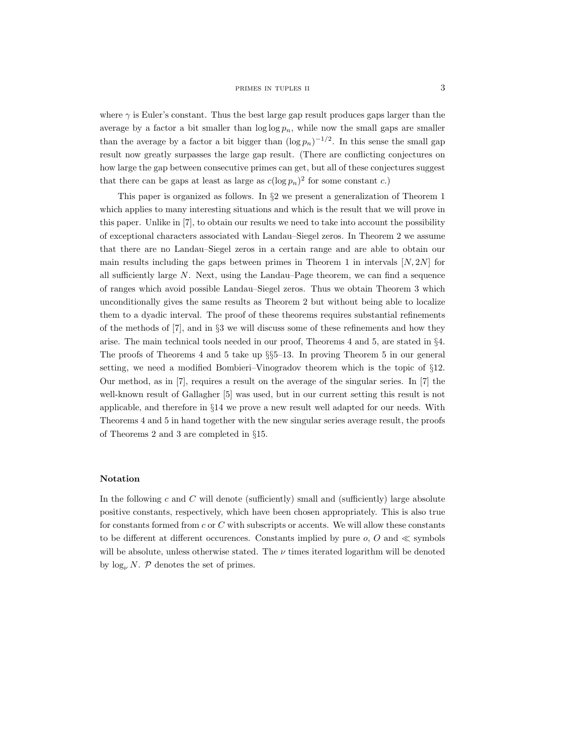where  $\gamma$  is Euler's constant. Thus the best large gap result produces gaps larger than the average by a factor a bit smaller than  $\log \log p_n$ , while now the small gaps are smaller than the average by a factor a bit bigger than  $(\log p_n)^{-1/2}$ . In this sense the small gap result now greatly surpasses the large gap result. (There are conflicting conjectures on how large the gap between consecutive primes can get, but all of these conjectures suggest that there can be gaps at least as large as  $c(\log p_n)^2$  for some constant c.)

This paper is organized as follows. In §2 we present a generalization of Theorem 1 which applies to many interesting situations and which is the result that we will prove in this paper. Unlike in [7], to obtain our results we need to take into account the possibility of exceptional characters associated with Landau–Siegel zeros. In Theorem 2 we assume that there are no Landau–Siegel zeros in a certain range and are able to obtain our main results including the gaps between primes in Theorem 1 in intervals  $[N, 2N]$  for all sufficiently large  $N$ . Next, using the Landau–Page theorem, we can find a sequence of ranges which avoid possible Landau–Siegel zeros. Thus we obtain Theorem 3 which unconditionally gives the same results as Theorem 2 but without being able to localize them to a dyadic interval. The proof of these theorems requires substantial refinements of the methods of [7], and in §3 we will discuss some of these refinements and how they arise. The main technical tools needed in our proof, Theorems 4 and 5, are stated in §4. The proofs of Theorems 4 and 5 take up §§5–13. In proving Theorem 5 in our general setting, we need a modified Bombieri–Vinogradov theorem which is the topic of §12. Our method, as in [7], requires a result on the average of the singular series. In [7] the well-known result of Gallagher [5] was used, but in our current setting this result is not applicable, and therefore in §14 we prove a new result well adapted for our needs. With Theorems 4 and 5 in hand together with the new singular series average result, the proofs of Theorems 2 and 3 are completed in §15.

#### Notation

In the following  $c$  and  $C$  will denote (sufficiently) small and (sufficiently) large absolute positive constants, respectively, which have been chosen appropriately. This is also true for constants formed from  $c$  or  $C$  with subscripts or accents. We will allow these constants to be different at different occurences. Constants implied by pure  $o$ ,  $O$  and  $\ll$  symbols will be absolute, unless otherwise stated. The  $\nu$  times iterated logarithm will be denoted by  $\log_{\nu} N$ . P denotes the set of primes.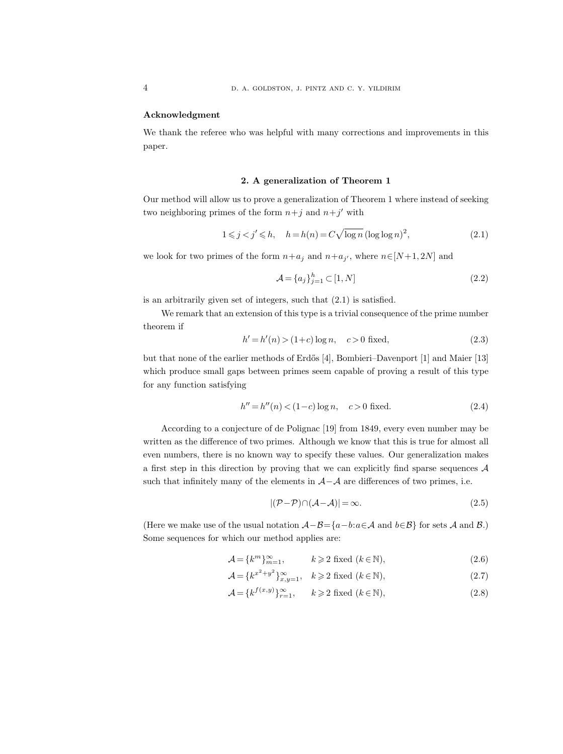#### Acknowledgment

We thank the referee who was helpful with many corrections and improvements in this paper.

#### 2. A generalization of Theorem 1

Our method will allow us to prove a generalization of Theorem 1 where instead of seeking two neighboring primes of the form  $n+j$  and  $n+j'$  with

$$
1 \leq j < j' \leq h, \quad h = h(n) = C\sqrt{\log n} \left(\log \log n\right)^2,\tag{2.1}
$$

we look for two primes of the form  $n+a_j$  and  $n+a_{j'}$ , where  $n \in [N+1, 2N]$  and

$$
\mathcal{A} = \{a_j\}_{j=1}^h \subset [1, N] \tag{2.2}
$$

is an arbitrarily given set of integers, such that (2.1) is satisfied.

We remark that an extension of this type is a trivial consequence of the prime number theorem if

$$
h' = h'(n) > (1+c)\log n, \quad c > 0 \text{ fixed}, \tag{2.3}
$$

but that none of the earlier methods of Erdős [4], Bombieri–Davenport [1] and Maier [13] which produce small gaps between primes seem capable of proving a result of this type for any function satisfying

$$
h'' = h''(n) < (1 - c) \log n, \quad c > 0 \text{ fixed.} \tag{2.4}
$$

According to a conjecture of de Polignac [19] from 1849, every even number may be written as the difference of two primes. Although we know that this is true for almost all even numbers, there is no known way to specify these values. Our generalization makes a first step in this direction by proving that we can explicitly find sparse sequences  $A$ such that infinitely many of the elements in  $A-A$  are differences of two primes, i.e.

$$
|(\mathcal{P} - \mathcal{P}) \cap (\mathcal{A} - \mathcal{A})| = \infty.
$$
\n(2.5)

(Here we make use of the usual notation  $\mathcal{A}-\mathcal{B}=\{a-b:a\in\mathcal{A}\text{ and }b\in\mathcal{B}\}\)$  for sets  $\mathcal{A}$  and  $\mathcal{B}$ .) Some sequences for which our method applies are:

$$
\mathcal{A} = \{k^m\}_{m=1}^{\infty}, \qquad k \geqslant 2 \text{ fixed } (k \in \mathbb{N}), \tag{2.6}
$$

$$
\mathcal{A} = \{k^{x^2 + y^2}\}_{x, y=1}^{\infty}, \quad k \geqslant 2 \text{ fixed } (k \in \mathbb{N}),
$$
\n
$$
(2.7)
$$

$$
\mathcal{A} = \{k^{f(x,y)}\}_{r=1}^{\infty}, \qquad k \geqslant 2 \text{ fixed } (k \in \mathbb{N}), \tag{2.8}
$$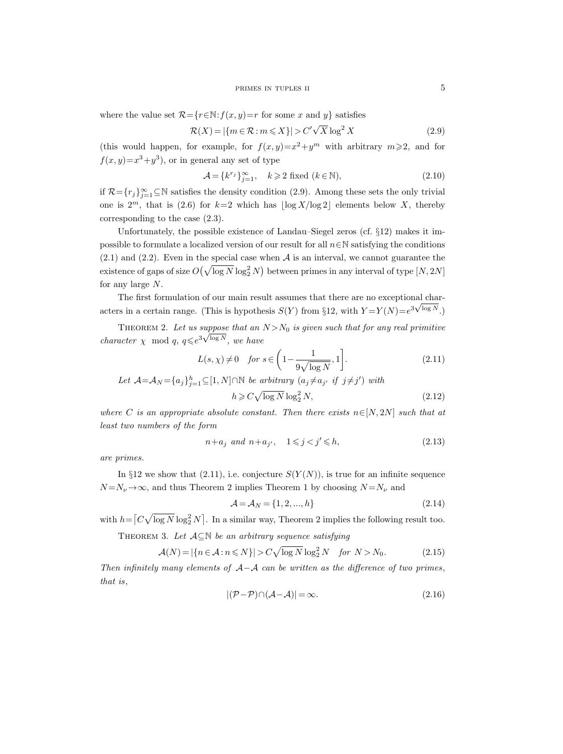where the value set  $\mathcal{R} = \{r \in \mathbb{N} : f(x, y) = r \text{ for some } x \text{ and } y\}$  satisfies

$$
\mathcal{R}(X) = |\{m \in \mathcal{R} : m \leqslant X\}| > C'\sqrt{X} \log^2 X \tag{2.9}
$$

(this would happen, for example, for  $f(x,y)=x^2+y^m$  with arbitrary  $m\geqslant 2$ , and for  $f(x,y)=x^3+y^3$ , or in general any set of type

$$
\mathcal{A} = \{k^{r_j}\}_{j=1}^{\infty}, \quad k \geq 2 \text{ fixed } (k \in \mathbb{N}), \tag{2.10}
$$

if  $\mathcal{R} = \{r_j\}_{j=1}^{\infty} \subseteq \mathbb{N}$  satisfies the density condition (2.9). Among these sets the only trivial one is  $2^m$ , that is (2.6) for  $k=2$  which has  $\log X/\log 2$  elements below X, thereby corresponding to the case (2.3).

Unfortunately, the possible existence of Landau–Siegel zeros (cf. §12) makes it impossible to formulate a localized version of our result for all  $n \in \mathbb{N}$  satisfying the conditions  $(2.1)$  and  $(2.2)$ . Even in the special case when  $A$  is an interval, we cannot guarantee the existence of gaps of size  $O(\sqrt{\log N} \log_2^2 N)$  between primes in any interval of type  $[N, 2N]$ for any large  $N$ .

The first formulation of our main result assumes that there are no exceptional characters in a certain range. (This is hypothesis  $S(Y)$  from §12, with  $Y = Y(N) = e^{3\sqrt{\log N}}$ .)

THEOREM 2. Let us suppose that an  $N>N_0$  is given such that for any real primitive *character*  $\chi \mod q$ ,  $q \leq e^{3\sqrt{\log N}}$ , we have

$$
L(s, \chi) \neq 0 \quad \text{for } s \in \left(1 - \frac{1}{9\sqrt{\log N}}, 1\right]. \tag{2.11}
$$

Let 
$$
\mathcal{A} = \mathcal{A}_N = \{a_j\}_{j=1}^h \subseteq [1, N] \cap \mathbb{N}
$$
 be arbitrary  $(a_j \neq a_{j'} \text{ if } j \neq j')$  with  
\n
$$
h \geq C \sqrt{\log N} \log_2^2 N,
$$
\n(2.12)

where C is an appropriate absolute constant. Then there exists  $n \in [N, 2N]$  such that at least two numbers of the form

$$
n + a_j \text{ and } n + a_{j'}, \quad 1 \leqslant j < j' \leqslant h,\tag{2.13}
$$

are primes.

In §12 we show that (2.11), i.e. conjecture  $S(Y(N))$ , is true for an infinite sequence  $N = N_{\nu} \rightarrow \infty$ , and thus Theorem 2 implies Theorem 1 by choosing  $N = N_{\nu}$  and

$$
\mathcal{A} = \mathcal{A}_N = \{1, 2, ..., h\}
$$
 (2.14)

with  $h = \left[ C \sqrt{\log N} \log_2^2 N \right]$ . In a similar way, Theorem 2 implies the following result too.

THEOREM 3. Let  $A \subseteq \mathbb{N}$  be an arbitrary sequence satisfying

$$
\mathcal{A}(N) = |\{n \in \mathcal{A} : n \le N\}| > C\sqrt{\log N} \log_2^2 N \quad \text{for } N > N_0. \tag{2.15}
$$

Then infinitely many elements of  $A-A$  can be written as the difference of two primes, that is,

$$
|(\mathcal{P} - \mathcal{P}) \cap (\mathcal{A} - \mathcal{A})| = \infty.
$$
 (2.16)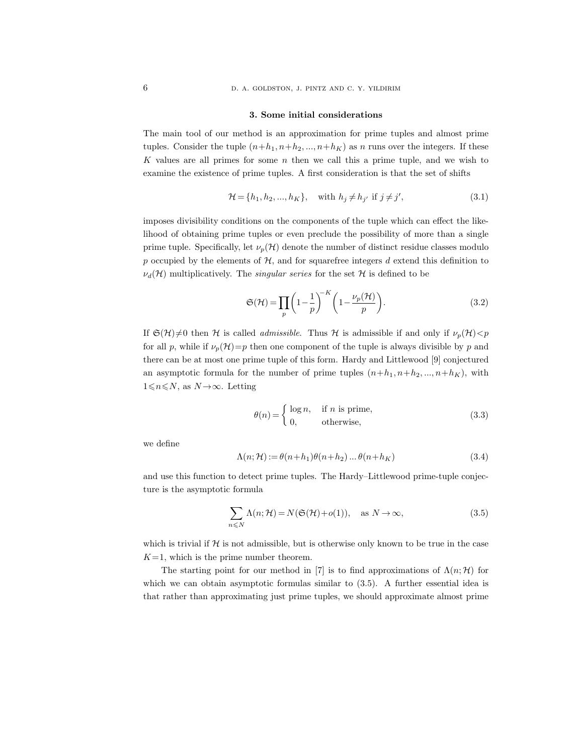#### 3. Some initial considerations

The main tool of our method is an approximation for prime tuples and almost prime tuples. Consider the tuple  $(n+h_1, n+h_2, ..., n+h_K)$  as n runs over the integers. If these K values are all primes for some  $n$  then we call this a prime tuple, and we wish to examine the existence of prime tuples. A first consideration is that the set of shifts

$$
\mathcal{H} = \{h_1, h_2, \dots, h_K\}, \quad \text{with } h_j \neq h_{j'} \text{ if } j \neq j', \tag{3.1}
$$

imposes divisibility conditions on the components of the tuple which can effect the likelihood of obtaining prime tuples or even preclude the possibility of more than a single prime tuple. Specifically, let  $\nu_p(\mathcal{H})$  denote the number of distinct residue classes modulo p occupied by the elements of  $H$ , and for squarefree integers d extend this definition to  $\nu_d(\mathcal{H})$  multiplicatively. The *singular series* for the set  $\mathcal{H}$  is defined to be

$$
\mathfrak{S}(\mathcal{H}) = \prod_{p} \left( 1 - \frac{1}{p} \right)^{-K} \left( 1 - \frac{\nu_p(\mathcal{H})}{p} \right). \tag{3.2}
$$

If  $\mathfrak{S}(\mathcal{H})\neq0$  then H is called *admissible*. Thus H is admissible if and only if  $\nu_p(\mathcal{H})< p$ for all p, while if  $\nu_p(\mathcal{H})=p$  then one component of the tuple is always divisible by p and there can be at most one prime tuple of this form. Hardy and Littlewood [9] conjectured an asymptotic formula for the number of prime tuples  $(n+h_1, n+h_2, ..., n+h_K)$ , with  $1\leqslant n\leqslant N$ , as  $N\rightarrow\infty$ . Letting

$$
\theta(n) = \begin{cases} \log n, & \text{if } n \text{ is prime,} \\ 0, & \text{otherwise,} \end{cases}
$$
 (3.3)

we define

$$
\Lambda(n; \mathcal{H}) := \theta(n+h_1)\theta(n+h_2)\dots\theta(n+h_K)
$$
\n(3.4)

and use this function to detect prime tuples. The Hardy–Littlewood prime-tuple conjecture is the asymptotic formula

$$
\sum_{n \leq N} \Lambda(n; \mathcal{H}) = N(\mathfrak{S}(\mathcal{H}) + o(1)), \quad \text{as } N \to \infty,
$$
\n(3.5)

which is trivial if  $H$  is not admissible, but is otherwise only known to be true in the case  $K=1$ , which is the prime number theorem.

The starting point for our method in [7] is to find approximations of  $\Lambda(n;\mathcal{H})$  for which we can obtain asymptotic formulas similar to  $(3.5)$ . A further essential idea is that rather than approximating just prime tuples, we should approximate almost prime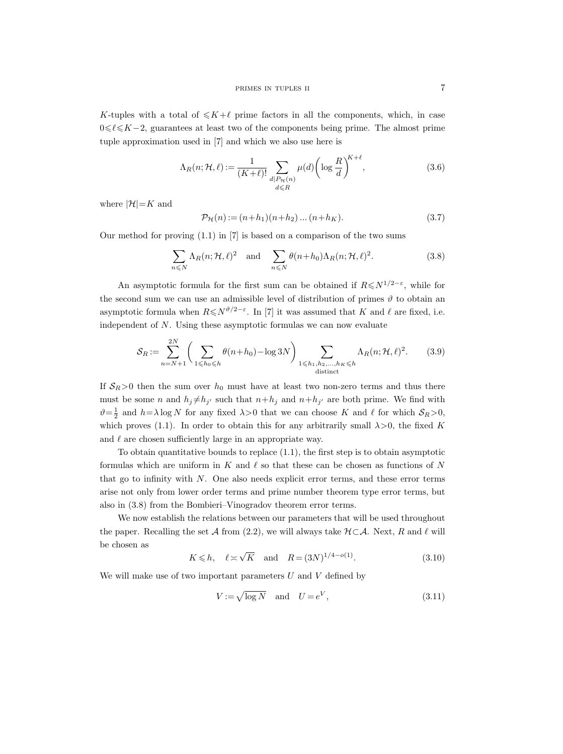K-tuples with a total of  $\leq K+\ell$  prime factors in all the components, which, in case  $0 \leq \ell \leq K-2$ , guarantees at least two of the components being prime. The almost prime tuple approximation used in [7] and which we also use here is

$$
\Lambda_R(n; \mathcal{H}, \ell) := \frac{1}{(K+\ell)!} \sum_{\substack{d \mid P_{\mathcal{H}}(n) \\ d \le R}} \mu(d) \left( \log \frac{R}{d} \right)^{K+\ell},\tag{3.6}
$$

where  $|\mathcal{H}|=K$  and

$$
\mathcal{P}_{\mathcal{H}}(n) := (n+h_1)(n+h_2)\dots(n+h_K). \tag{3.7}
$$

Our method for proving  $(1.1)$  in  $[7]$  is based on a comparison of the two sums

$$
\sum_{n \leq N} \Lambda_R(n; \mathcal{H}, \ell)^2 \quad \text{and} \quad \sum_{n \leq N} \theta(n + h_0) \Lambda_R(n; \mathcal{H}, \ell)^2. \tag{3.8}
$$

An asymptotic formula for the first sum can be obtained if  $R \leq N^{1/2-\epsilon}$ , while for the second sum we can use an admissible level of distribution of primes  $\vartheta$  to obtain an asymptotic formula when  $R \leq N^{\vartheta/2 - \varepsilon}$ . In [7] it was assumed that K and  $\ell$  are fixed, i.e. independent of  $N$ . Using these asymptotic formulas we can now evaluate

$$
S_R := \sum_{n=N+1}^{2N} \left( \sum_{1 \leq h_0 \leq h} \theta(n+h_0) - \log 3N \right) \sum_{\substack{1 \leq h_1, h_2, \dots, h_K \leq h \\ \text{distinct}}} \Lambda_R(n; \mathcal{H}, \ell)^2. \tag{3.9}
$$

If  $S_R > 0$  then the sum over  $h_0$  must have at least two non-zero terms and thus there must be some *n* and  $h_j \neq h_{j'}$  such that  $n+h_j$  and  $n+h_{j'}$  are both prime. We find with  $\vartheta = \frac{1}{2}$  and  $h = \lambda \log N$  for any fixed  $\lambda > 0$  that we can choose K and  $\ell$  for which  $S_R > 0$ , which proves (1.1). In order to obtain this for any arbitrarily small  $\lambda > 0$ , the fixed K and  $\ell$  are chosen sufficiently large in an appropriate way.

To obtain quantitative bounds to replace  $(1.1)$ , the first step is to obtain asymptotic formulas which are uniform in  $K$  and  $\ell$  so that these can be chosen as functions of N that go to infinity with N. One also needs explicit error terms, and these error terms arise not only from lower order terms and prime number theorem type error terms, but also in (3.8) from the Bombieri–Vinogradov theorem error terms.

We now establish the relations between our parameters that will be used throughout the paper. Recalling the set A from (2.2), we will always take  $H \subset \mathcal{A}$ . Next, R and  $\ell$  will be chosen as

$$
K \le h
$$
,  $\ell \approx \sqrt{K}$  and  $R = (3N)^{1/4 - o(1)}$ . (3.10)

We will make use of two important parameters  $U$  and  $V$  defined by

$$
V := \sqrt{\log N} \quad \text{and} \quad U = e^V,\tag{3.11}
$$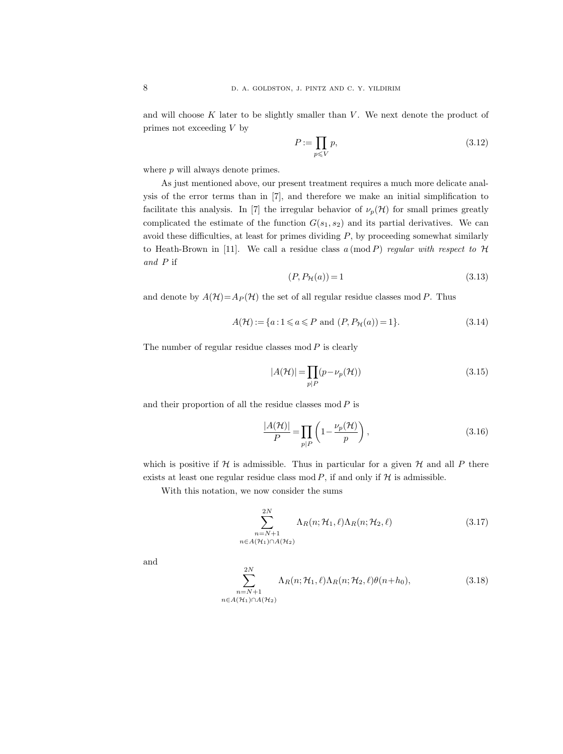and will choose  $K$  later to be slightly smaller than  $V$ . We next denote the product of primes not exceeding V by

$$
P := \prod_{p \leqslant V} p,\tag{3.12}
$$

where  $p$  will always denote primes.

As just mentioned above, our present treatment requires a much more delicate analysis of the error terms than in [7], and therefore we make an initial simplification to facilitate this analysis. In [7] the irregular behavior of  $\nu_p(\mathcal{H})$  for small primes greatly complicated the estimate of the function  $G(s_1, s_2)$  and its partial derivatives. We can avoid these difficulties, at least for primes dividing  $P$ , by proceeding somewhat similarly to Heath-Brown in [11]. We call a residue class  $a \pmod{P}$  regular with respect to  $H$ and P if

$$
(P, P_{\mathcal{H}}(a)) = 1\tag{3.13}
$$

and denote by  $A(\mathcal{H})=A_P(\mathcal{H})$  the set of all regular residue classes mod P. Thus

$$
A(\mathcal{H}) := \{ a : 1 \le a \le P \text{ and } (P, P_{\mathcal{H}}(a)) = 1 \}.
$$
\n(3.14)

The number of regular residue classes  $mod P$  is clearly

$$
|A(\mathcal{H})| = \prod_{p|P} (p - \nu_p(\mathcal{H}))
$$
\n(3.15)

and their proportion of all the residue classes  $mod P$  is

$$
\frac{|A(\mathcal{H})|}{P} = \prod_{p|P} \left( 1 - \frac{\nu_p(\mathcal{H})}{p} \right),\tag{3.16}
$$

which is positive if  $H$  is admissible. Thus in particular for a given  $H$  and all P there exists at least one regular residue class mod  $P$ , if and only if  $H$  is admissible.

With this notation, we now consider the sums

$$
\sum_{\substack{n=N+1\\n\in A(\mathcal{H}_1)\cap A(\mathcal{H}_2)}}^{2N} \Lambda_R(n; \mathcal{H}_1, \ell) \Lambda_R(n; \mathcal{H}_2, \ell)
$$
\n(3.17)

and

$$
\sum_{\substack{n=N+1\\n\in A(\mathcal{H}_1)\cap A(\mathcal{H}_2)}}^{2N} \Lambda_R(n; \mathcal{H}_1, \ell) \Lambda_R(n; \mathcal{H}_2, \ell) \theta(n+h_0),
$$
\n(3.18)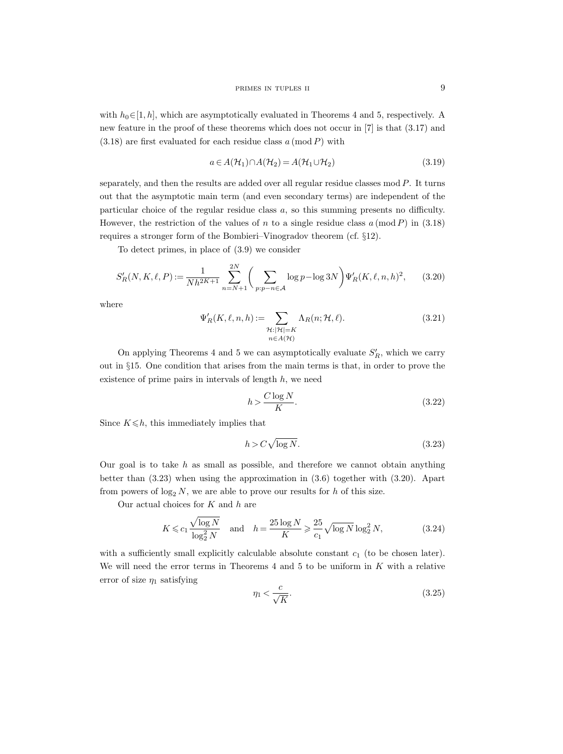with  $h_0 \in [1, h]$ , which are asymptotically evaluated in Theorems 4 and 5, respectively. A new feature in the proof of these theorems which does not occur in [7] is that (3.17) and  $(3.18)$  are first evaluated for each residue class a (mod P) with

$$
a \in A(\mathcal{H}_1) \cap A(\mathcal{H}_2) = A(\mathcal{H}_1 \cup \mathcal{H}_2)
$$
\n(3.19)

separately, and then the results are added over all regular residue classes mod  $P$ . It turns out that the asymptotic main term (and even secondary terms) are independent of the particular choice of the regular residue class a, so this summing presents no difficulty. However, the restriction of the values of n to a single residue class  $a \pmod{P}$  in (3.18) requires a stronger form of the Bombieri–Vinogradov theorem (cf. §12).

To detect primes, in place of (3.9) we consider

$$
S_R'(N, K, \ell, P) := \frac{1}{Nh^{2K+1}} \sum_{n=N+1}^{2N} \left( \sum_{p:p-n \in \mathcal{A}} \log p - \log 3N \right) \Psi_R'(K, \ell, n, h)^2, \tag{3.20}
$$

where

$$
\Psi'_{R}(K,\ell,n,h) := \sum_{\substack{\mathcal{H}: |\mathcal{H}| = K \\ n \in A(\mathcal{H})}} \Lambda_{R}(n; \mathcal{H}, \ell).
$$
\n(3.21)

On applying Theorems 4 and 5 we can asymptotically evaluate  $S'_R$ , which we carry out in §15. One condition that arises from the main terms is that, in order to prove the existence of prime pairs in intervals of length  $h$ , we need

$$
h > \frac{C \log N}{K}.\tag{3.22}
$$

Since  $K \leq h$ , this immediately implies that

$$
h > C\sqrt{\log N}.\tag{3.23}
$$

Our goal is to take  $h$  as small as possible, and therefore we cannot obtain anything better than (3.23) when using the approximation in (3.6) together with (3.20). Apart from powers of  $\log_2 N$ , we are able to prove our results for h of this size.

Our actual choices for  $K$  and  $h$  are

$$
K \leqslant c_1 \frac{\sqrt{\log N}}{\log_2^2 N} \quad \text{and} \quad h = \frac{25 \log N}{K} \geqslant \frac{25}{c_1} \sqrt{\log N} \log_2^2 N,\tag{3.24}
$$

with a sufficiently small explicitly calculable absolute constant  $c_1$  (to be chosen later). We will need the error terms in Theorems  $4$  and  $5$  to be uniform in  $K$  with a relative error of size  $\eta_1$  satisfying

$$
\eta_1 < \frac{c}{\sqrt{K}}.\tag{3.25}
$$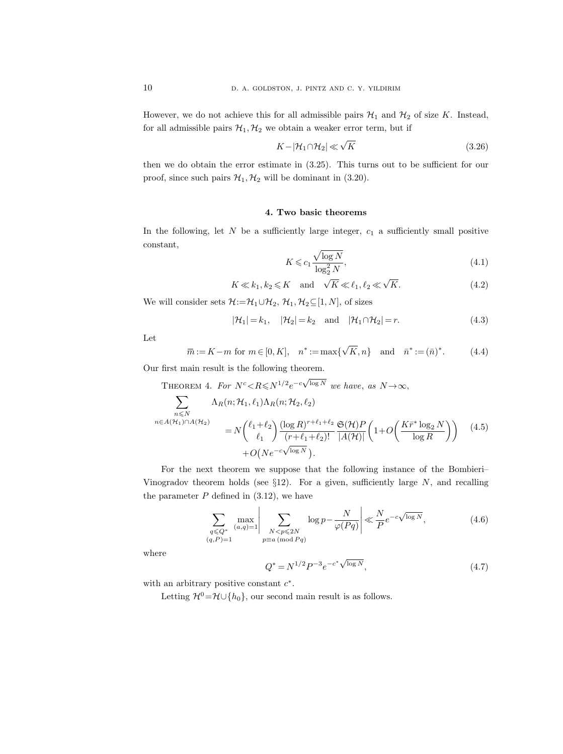However, we do not achieve this for all admissible pairs  $\mathcal{H}_1$  and  $\mathcal{H}_2$  of size K. Instead, for all admissible pairs  $\mathcal{H}_1, \mathcal{H}_2$  we obtain a weaker error term, but if

$$
K - |\mathcal{H}_1 \cap \mathcal{H}_2| \ll \sqrt{K} \tag{3.26}
$$

then we do obtain the error estimate in (3.25). This turns out to be sufficient for our proof, since such pairs  $\mathcal{H}_1, \mathcal{H}_2$  will be dominant in (3.20).

#### 4. Two basic theorems

In the following, let  $N$  be a sufficiently large integer,  $c_1$  a sufficiently small positive constant,

$$
K \leqslant c_1 \frac{\sqrt{\log N}}{\log_2^2 N},\tag{4.1}
$$

$$
K \ll k_1, k_2 \leq K \quad \text{and} \quad \sqrt{K} \ll \ell_1, \ell_2 \ll \sqrt{K}.\tag{4.2}
$$

We will consider sets  $\mathcal{H}:=\mathcal{H}_1\cup\mathcal{H}_2$ ,  $\mathcal{H}_1,\mathcal{H}_2\subseteq[1,N]$ , of sizes

$$
|\mathcal{H}_1| = k_1, \quad |\mathcal{H}_2| = k_2 \quad \text{and} \quad |\mathcal{H}_1 \cap \mathcal{H}_2| = r. \tag{4.3}
$$

Let

$$
\overline{m} := K - m \text{ for } m \in [0, K], \quad n^* := \max\{\sqrt{K}, n\} \quad \text{and} \quad \overline{n}^* := (\overline{n})^*.
$$
 (4.4)

Our first main result is the following theorem.

THEOREM 4. For 
$$
N^c < R \le N^{1/2}e^{-c\sqrt{\log N}}
$$
 we have, as  $N \to \infty$ ,  
\n
$$
\sum_{\substack{n \le N \\ n \in A(\mathcal{H}_1) \cap A(\mathcal{H}_2)}} \Lambda_R(n; \mathcal{H}_1, \ell_1) \Lambda_R(n; \mathcal{H}_2, \ell_2)
$$
\n
$$
= N \binom{\ell_1 + \ell_2}{\ell_1} \frac{(\log R)^{r + \ell_1 + \ell_2}}{(r + \ell_1 + \ell_2)!} \frac{\mathfrak{S}(\mathcal{H}) P}{|A(\mathcal{H})|} \left(1 + O\left(\frac{K \bar{r}^* \log_2 N}{\log R}\right)\right) \quad (4.5)
$$
\n
$$
+ O\left(N e^{-c\sqrt{\log N}}\right).
$$

 $\sqrt{2}$ 

For the next theorem we suppose that the following instance of the Bombieri– Vinogradov theorem holds (see  $\S12$ ). For a given, sufficiently large N, and recalling the parameter  $P$  defined in  $(3.12)$ , we have

$$
\sum_{\substack{q \le Q^* \ (a,q)=1}} \max_{\substack{(a,q)=1}} \left| \sum_{\substack{N < p \le 2N \ (q,P)=1}} \log p - \frac{N}{\varphi(Pq)} \right| \ll \frac{N}{P} e^{-c\sqrt{\log N}},\tag{4.6}
$$

where

$$
Q^* = N^{1/2} P^{-3} e^{-c^* \sqrt{\log N}}, \tag{4.7}
$$

with an arbitrary positive constant  $c^*$ .

Letting  $\mathcal{H}^0=\mathcal{H}\cup\{h_0\}$ , our second main result is as follows.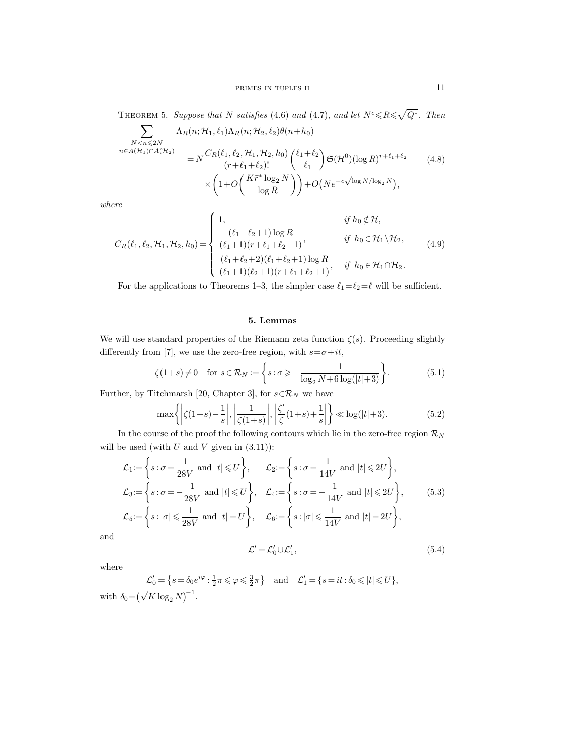THEOREM 5. Suppose that N satisfies (4.6) and (4.7), and let  $N^c \leq R \leq \sqrt{Q^*}$ . Then

$$
\sum_{\substack{N < n \leqslant 2N \\ n \in A(\mathcal{H}_1) \cap A(\mathcal{H}_2)}} \Lambda_R(n; \mathcal{H}_1, \ell_1) \Lambda_R(n; \mathcal{H}_2, \ell_2) \theta(n + h_0) \\
= N \frac{C_R(\ell_1, \ell_2, \mathcal{H}_1, \mathcal{H}_2, h_0)}{(r + \ell_1 + \ell_2)!} \binom{\ell_1 + \ell_2}{\ell_1} \mathfrak{S}(\mathcal{H}^0)(\log R)^{r + \ell_1 + \ell_2} \\
\times \left(1 + O\left(\frac{K \bar{r}^* \log_2 N}{\log R}\right)\right) + O\left(N e^{-c \sqrt{\log N} / \log_2 N}\right),\n\tag{4.8}
$$

where

 $\overline{\phantom{0}}$ 

$$
C_R(\ell_1, \ell_2, \mathcal{H}_1, \mathcal{H}_2, h_0) = \begin{cases} 1, & \text{if } h_0 \notin \mathcal{H}, \\ \frac{(\ell_1 + \ell_2 + 1) \log R}{(\ell_1 + 1)(r + \ell_1 + \ell_2 + 1)}, & \text{if } h_0 \in \mathcal{H}_1 \backslash \mathcal{H}_2, \\ \frac{(\ell_1 + \ell_2 + 2)(\ell_1 + \ell_2 + 1) \log R}{(\ell_1 + 1)(\ell_2 + 1)(r + \ell_1 + \ell_2 + 1)}, & \text{if } h_0 \in \mathcal{H}_1 \cap \mathcal{H}_2. \end{cases} (4.9)
$$

For the applications to Theorems 1–3, the simpler case  $\ell_1=\ell_2=\ell$  will be sufficient.

#### 5. Lemmas

We will use standard properties of the Riemann zeta function  $\zeta(s)$ . Proceeding slightly differently from [7], we use the zero-free region, with  $s=\sigma+it$ ,

$$
\zeta(1+s) \neq 0 \quad \text{for } s \in \mathcal{R}_N := \left\{ s : \sigma \geqslant -\frac{1}{\log_2 N + 6 \log(|t|+3)} \right\}.
$$
\n
$$
(5.1)
$$

Further, by Titchmarsh [20, Chapter 3], for  $s\!\in\!\mathcal{R}_N$  we have

$$
\max\left\{ \left| \zeta(1+s) - \frac{1}{s} \right|, \left| \frac{1}{\zeta(1+s)} \right|, \left| \frac{\zeta'}{\zeta}(1+s) + \frac{1}{s} \right| \right\} \ll \log(|t|+3). \tag{5.2}
$$

In the course of the proof the following contours which lie in the zero-free region  $\mathcal{R}_N$ will be used (with  $U$  and  $V$  given in  $(3.11)$ ):

$$
\mathcal{L}_1 := \left\{ s : \sigma = \frac{1}{28V} \text{ and } |t| \leq U \right\}, \qquad \mathcal{L}_2 := \left\{ s : \sigma = \frac{1}{14V} \text{ and } |t| \leq 2U \right\},
$$
\n
$$
\mathcal{L}_3 := \left\{ s : \sigma = -\frac{1}{28V} \text{ and } |t| \leq U \right\}, \qquad \mathcal{L}_4 := \left\{ s : \sigma = -\frac{1}{14V} \text{ and } |t| \leq 2U \right\}, \qquad (5.3)
$$
\n
$$
\mathcal{L}_5 := \left\{ s : |\sigma| \leq \frac{1}{28V} \text{ and } |t| = U \right\}, \qquad \mathcal{L}_6 := \left\{ s : |\sigma| \leq \frac{1}{14V} \text{ and } |t| = 2U \right\},
$$

and

$$
\mathcal{L}' = \mathcal{L}'_0 \cup \mathcal{L}'_1,\tag{5.4}
$$

where

 $\mathcal{L}'_0 = \left\{ s = \delta_0 e^{i\varphi} : \frac{1}{2}\pi \leq \varphi \leq \frac{3}{2}\pi \right\} \quad \text{and} \quad \mathcal{L}'_1 = \left\{ s = it : \delta_0 \leq |t| \leq U \right\},\$ with  $\delta_0 = (\sqrt{K} \log_2 N)^{-1}$ .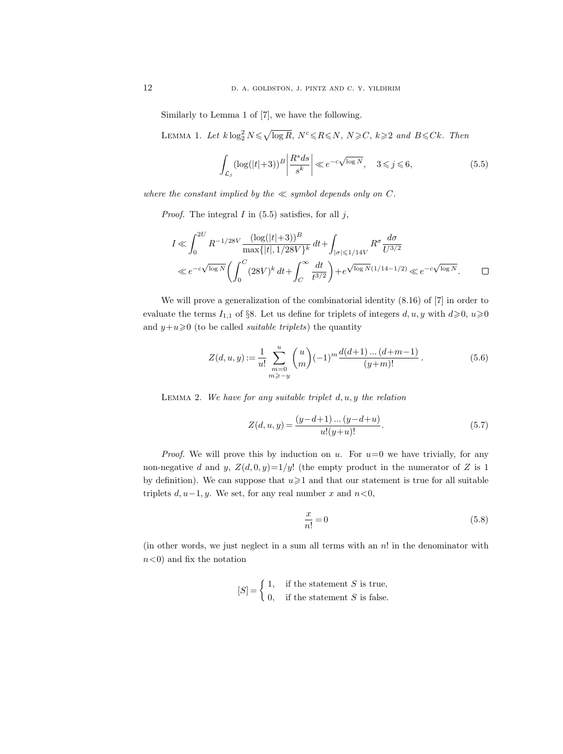Similarly to Lemma 1 of [7], we have the following.

LEMMA 1. Let  $k \log_2^2 N \leq \sqrt{\log R}$ ,  $N^c \leq R \leq N$ ,  $N \geq C$ ,  $k \geq 2$  and  $B \leq Ck$ . Then

$$
\int_{\mathcal{L}_j} (\log(|t|+3))^B \left| \frac{R^s ds}{s^k} \right| \ll e^{-c\sqrt{\log N}}, \quad 3 \le j \le 6,\tag{5.5}
$$

where the constant implied by the  $\ll$  symbol depends only on C.

*Proof.* The integral  $I$  in (5.5) satisfies, for all  $j$ ,

$$
I \ll \int_0^{2U} R^{-1/28V} \frac{(\log(|t|+3))^B}{\max\{|t|, 1/28V\}^k} dt + \int_{|\sigma| \le 1/14V} R^{\sigma} \frac{d\sigma}{U^{3/2}}
$$
  

$$
\ll e^{-c\sqrt{\log N}} \left( \int_0^C (28V)^k dt + \int_C^{\infty} \frac{dt}{t^{3/2}} \right) + e^{\sqrt{\log N} (1/14 - 1/2)} \ll e^{-c\sqrt{\log N}}.
$$

We will prove a generalization of the combinatorial identity (8.16) of [7] in order to evaluate the terms  $I_{1,1}$  of §8. Let us define for triplets of integers  $d, u, y$  with  $d \ge 0, u \ge 0$ and  $y+u\geqslant 0$  (to be called *suitable triplets*) the quantity

$$
Z(d, u, y) := \frac{1}{u!} \sum_{\substack{m=0 \ m \geq -y}}^{u} {u \choose m} (-1)^m \frac{d(d+1) \dots (d+m-1)}{(y+m)!}.
$$
 (5.6)

LEMMA 2. We have for any suitable triplet  $d, u, y$  the relation

$$
Z(d, u, y) = \frac{(y - d + 1) \dots (y - d + u)}{u!(y+u)!}.
$$
\n(5.7)

*Proof.* We will prove this by induction on u. For  $u=0$  we have trivially, for any non-negative d and y,  $Z(d, 0, y)=1/y!$  (the empty product in the numerator of Z is 1) by definition). We can suppose that  $u\geq 1$  and that our statement is true for all suitable triplets  $d, u-1, y$ . We set, for any real number x and  $n < 0$ ,

$$
\frac{x}{n!} = 0\tag{5.8}
$$

(in other words, we just neglect in a sum all terms with an  $n!$  in the denominator with  $n<0$  and fix the notation

$$
[S] = \begin{cases} 1, & \text{if the statement } S \text{ is true,} \\ 0, & \text{if the statement } S \text{ is false.} \end{cases}
$$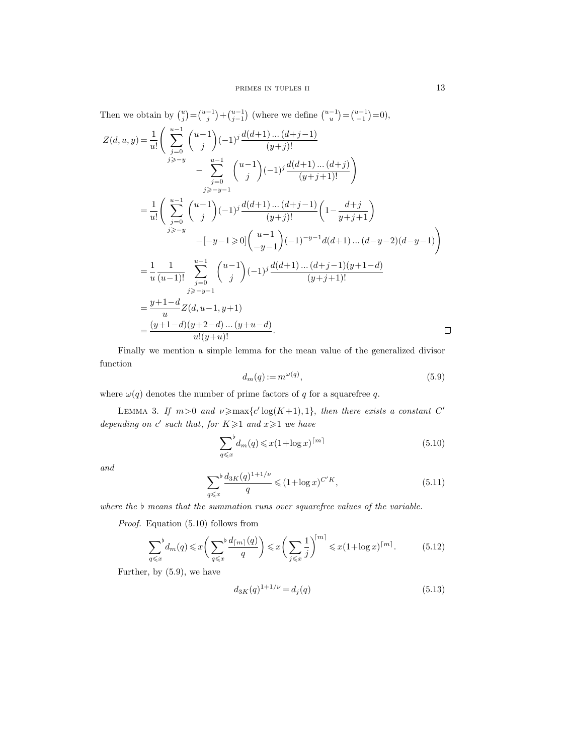Then we obtain by  $\binom{u}{j} = \binom{u-1}{j} + \binom{u-1}{j-1}$  (where we define  $\binom{u-1}{u} = \binom{u-1}{-1} = 0$ ),  $\left(\begin{array}{c}\n\frac{u-1}{\lambda}\n\end{array}\right)$  $Z(d, u, y) = \frac{1}{u!}$  $\sqrt{u-1}$  $(-1)^{j} \frac{d(d+1)...(d+j-1)}{(n+j)!}$ j  $(y+j)!$  $j=0$ j $\geqslant$ −y  $\sum^{u-1}$  $\left( (-1)^j \frac{d(d+1)...(d+j)}{(y+j+1)!} \right)$  $\sqrt{u-1}$ − j  $j=0$ <br>j≥−y−1  $\left(\begin{array}{c}\n\frac{u-1}{\lambda}\n\end{array}\right)$  $=\frac{1}{1}$  $\sqrt{u-1}$  $\left( (-1)^j \frac{d(d+1)\dots(d+j-1)}{(y+j)!} \left(1 - \frac{d+j}{y+j+1}\right) \right)$  $u!$ j  $j=0$ <br>j≥−y  $(-1)^{-y-1}d(d+1)...(d-y-2)(d-y-1)$  $-[-y-1] \geq 0$  $-y-1$  $\sum^{u-1}$  $=$  $\frac{1}{1}$ 1  $\sqrt{u-1}$  $(-1)^j \frac{d(d+1)...(d+j-1)(y+1-d)}{y+1-d}$ u  $(u-1)!$ j  $(y+j+1)!$  $j=0$ <br>j≥−y−1  $=\frac{y+1-d}{x}$  $\frac{1}{u}Z(d, u-1, y+1)$  $=\frac{(y+1-d)(y+2-d)...(y+u-d)}{u!(y+u)!}.$  $\Box$ 

Finally we mention a simple lemma for the mean value of the generalized divisor function

$$
d_m(q) := m^{\omega(q)},\tag{5.9}
$$

where  $\omega(q)$  denotes the number of prime factors of q for a squarefree q.

LEMMA 3. If  $m>0$  and  $\nu \geq \max\{c' \log(K+1), 1\}$ , then there exists a constant C' depending on c' such that, for  $K \geq 1$  and  $x \geq 1$  we have

$$
\sum_{q \leq x}^{b} d_m(q) \leq x (1 + \log x)^{\lceil m \rceil} \tag{5.10}
$$

and

$$
\sum_{q \leq x} \frac{d_{3K}(q)^{1+1/\nu}}{q} \leq (1 + \log x)^{C'K},\tag{5.11}
$$

where the  $\flat$  means that the summation runs over squarefree values of the variable.

Proof. Equation (5.10) follows from

$$
\sum_{q \leq x}^{\flat} d_m(q) \leq x \left( \sum_{q \leq x}^{\flat} \frac{d_{\lceil m \rceil}(q)}{q} \right) \leq x \left( \sum_{j \leq x} \frac{1}{j} \right)^{\lceil m \rceil} \leq x (1 + \log x)^{\lceil m \rceil}.
$$
 (5.12)

Further, by (5.9), we have

$$
d_{3K}(q)^{1+1/\nu} = d_j(q) \tag{5.13}
$$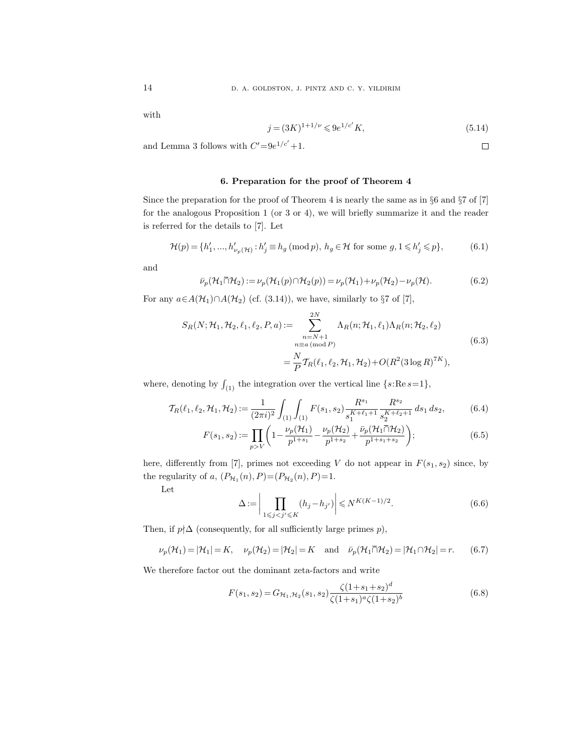with

$$
j = (3K)^{1+1/\nu} \leq 9e^{1/c'}K,\tag{5.14}
$$

 $\Box$ 

and Lemma 3 follows with  $C' = 9e^{1/c'} + 1$ .

#### 6. Preparation for the proof of Theorem 4

Since the preparation for the proof of Theorem 4 is nearly the same as in §6 and §7 of [7] for the analogous Proposition 1 (or 3 or 4), we will briefly summarize it and the reader is referred for the details to [7]. Let

$$
\mathcal{H}(p) = \{h'_1, \dots, h'_{\nu_p(\mathcal{H})} : h'_j \equiv h_g \text{ (mod } p), h_g \in \mathcal{H} \text{ for some } g, 1 \leq h'_j \leq p\},\tag{6.1}
$$

and

$$
\bar{\nu}_p(\mathcal{H}_1 \cap \mathcal{H}_2) := \nu_p(\mathcal{H}_1(p) \cap \mathcal{H}_2(p)) = \nu_p(\mathcal{H}_1) + \nu_p(\mathcal{H}_2) - \nu_p(\mathcal{H}). \tag{6.2}
$$

For any  $a \in A(\mathcal{H}_1) \cap A(\mathcal{H}_2)$  (cf. (3.14)), we have, similarly to §7 of [7],

$$
S_R(N; \mathcal{H}_1, \mathcal{H}_2, \ell_1, \ell_2, P, a) := \sum_{\substack{n = N + 1 \\ n \equiv a \, (\text{mod } P)}}^{2N} \Lambda_R(n; \mathcal{H}_1, \ell_1) \Lambda_R(n; \mathcal{H}_2, \ell_2)
$$
  
= 
$$
\frac{N}{P} \mathcal{T}_R(\ell_1, \ell_2, \mathcal{H}_1, \mathcal{H}_2) + O(R^2(3 \log R)^{7K}),
$$
(6.3)

where, denoting by  $\int_{(1)}$  the integration over the vertical line  $\{s: \text{Re } s=1\},$ 

$$
\mathcal{T}_{R}(\ell_1, \ell_2, \mathcal{H}_1, \mathcal{H}_2) := \frac{1}{(2\pi i)^2} \int_{(1)} \int_{(1)} F(s_1, s_2) \frac{R^{s_1}}{s_1^{K+\ell_1+1}} \frac{R^{s_2}}{s_2^{K+\ell_2+1}} ds_1 ds_2, \tag{6.4}
$$

$$
F(s_1, s_2) := \prod_{p>V} \left( 1 - \frac{\nu_p(\mathcal{H}_1)}{p^{1+s_1}} - \frac{\nu_p(\mathcal{H}_2)}{p^{1+s_2}} + \frac{\bar{\nu}_p(\mathcal{H}_1 \cap \mathcal{H}_2)}{p^{1+s_1+s_2}} \right);
$$
(6.5)

here, differently from [7], primes not exceeding V do not appear in  $F(s_1, s_2)$  since, by the regularity of a,  $(P_{H_1}(n), P) = (P_{H_2}(n), P) = 1$ .

Let

$$
\Delta := \bigg| \prod_{1 \leq j < j' \leq K} (h_j - h_{j'}) \bigg| \leqslant N^{K(K-1)/2}.\tag{6.6}
$$

Then, if  $p \nmid \Delta$  (consequently, for all sufficiently large primes  $p$ ),

$$
\nu_p(\mathcal{H}_1) = |\mathcal{H}_1| = K, \quad \nu_p(\mathcal{H}_2) = |\mathcal{H}_2| = K \quad \text{and} \quad \bar{\nu}_p(\mathcal{H}_1 \cap \mathcal{H}_2) = |\mathcal{H}_1 \cap \mathcal{H}_2| = r. \tag{6.7}
$$

We therefore factor out the dominant zeta-factors and write

$$
F(s_1, s_2) = G_{\mathcal{H}_1, \mathcal{H}_2}(s_1, s_2) \frac{\zeta(1 + s_1 + s_2)^d}{\zeta(1 + s_1)^a \zeta(1 + s_2)^b}
$$
(6.8)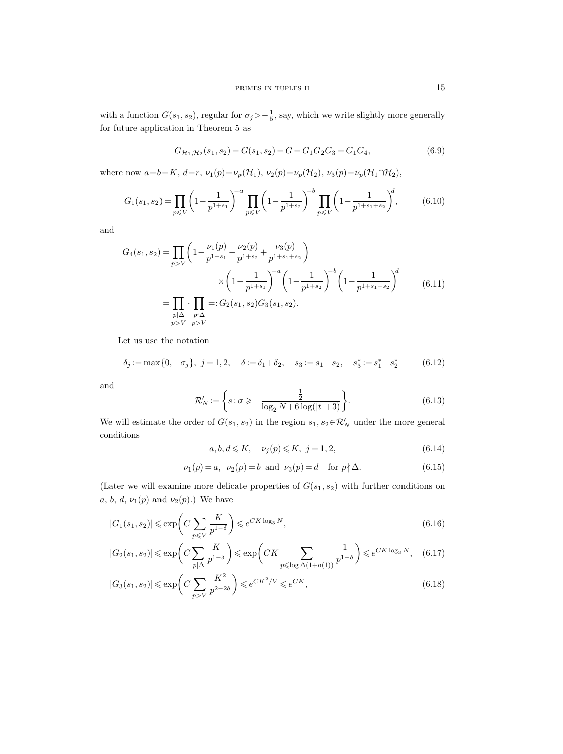with a function  $G(s_1, s_2)$ , regular for  $\sigma_j > -\frac{1}{5}$ , say, which we write slightly more generally for future application in Theorem 5 as

$$
G_{\mathcal{H}_1, \mathcal{H}_2}(s_1, s_2) = G(s_1, s_2) = G = G_1 G_2 G_3 = G_1 G_4,
$$
\n
$$
(6.9)
$$

where now  $a=b=K, d=r, \nu_1(p)=\nu_p(\mathcal{H}_1), \nu_2(p)=\nu_p(\mathcal{H}_2), \nu_3(p)=\bar{\nu}_p(\mathcal{H}_1\cap\mathcal{H}_2),$ 

$$
G_1(s_1, s_2) = \prod_{p \leq V} \left( 1 - \frac{1}{p^{1+s_1}} \right)^{-a} \prod_{p \leq V} \left( 1 - \frac{1}{p^{1+s_2}} \right)^{-b} \prod_{p \leq V} \left( 1 - \frac{1}{p^{1+s_1+s_2}} \right)^{d},\tag{6.10}
$$

and

$$
G_4(s_1, s_2) = \prod_{p>V} \left( 1 - \frac{\nu_1(p)}{p^{1+s_1}} - \frac{\nu_2(p)}{p^{1+s_2}} + \frac{\nu_3(p)}{p^{1+s_1+s_2}} \right)
$$
  

$$
\times \left( 1 - \frac{1}{p^{1+s_1}} \right)^{-a} \left( 1 - \frac{1}{p^{1+s_2}} \right)^{-b} \left( 1 - \frac{1}{p^{1+s_1+s_2}} \right)^{d}
$$
  

$$
= \prod_{\substack{p \mid \Delta \ p \nmid \Delta}} \cdot \prod_{\substack{p \nmid \Delta \ p \nmid \Delta}} =: G_2(s_1, s_2) G_3(s_1, s_2).
$$
 (6.11)

Let us use the notation

$$
\delta_j := \max\{0, -\sigma_j\}, \ j = 1, 2, \quad \delta := \delta_1 + \delta_2, \quad s_3 := s_1 + s_2, \quad s_3^* := s_1^* + s_2^* \tag{6.12}
$$

and

$$
\mathcal{R}'_N := \left\{ s : \sigma \geqslant -\frac{\frac{1}{2}}{\log_2 N + 6\log(|t|+3)} \right\}.
$$
\n
$$
(6.13)
$$

We will estimate the order of  $G(s_1, s_2)$  in the region  $s_1, s_2 \in \mathcal{R}'_N$  under the more general conditions

$$
a, b, d \leqslant K, \quad \nu_j(p) \leqslant K, \ j = 1, 2,
$$
\n
$$
(6.14)
$$

$$
\nu_1(p) = a, \ \nu_2(p) = b \text{ and } \nu_3(p) = d \text{ for } p \nmid \Delta.
$$
 (6.15)

(Later we will examine more delicate properties of  $G(s_1, s_2)$  with further conditions on a, b, d,  $\nu_1(p)$  and  $\nu_2(p)$ .) We have

$$
|G_1(s_1, s_2)| \le \exp\left(C\sum_{p \le V} \frac{K}{p^{1-\delta}}\right) \le e^{CK\log_3 N},\tag{6.16}
$$

$$
|G_2(s_1,s_2)| \leqslant \exp\biggl(C\sum_{p\mid \Delta} \frac{K}{p^{1-\delta}}\biggr) \leqslant \exp\biggl(CK\sum_{p\leqslant \log \Delta(1+o(1))} \frac{1}{p^{1-\delta}}\biggr) \leqslant e^{CK\log_3 N}, \quad (6.17)
$$

$$
|G_3(s_1, s_2)| \le \exp\left(C\sum_{p>V} \frac{K^2}{p^{2-2\delta}}\right) \le e^{CK^2/V} \le e^{CK},\tag{6.18}
$$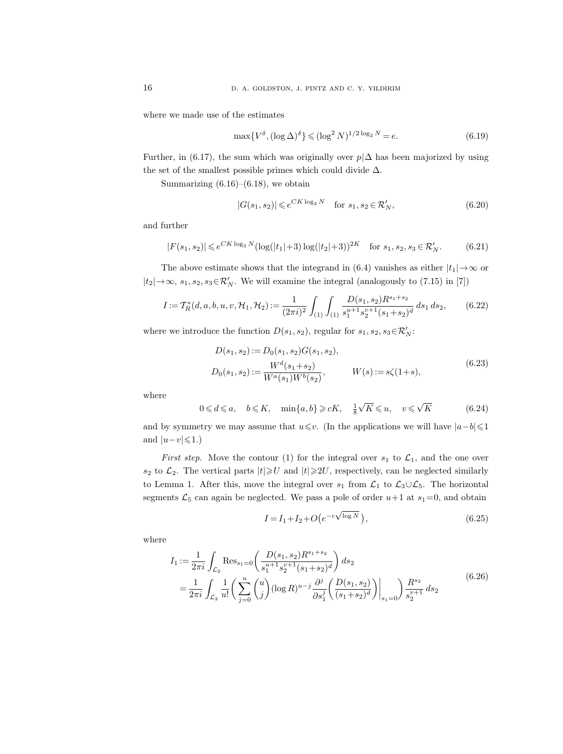where we made use of the estimates

$$
\max\{V^{\delta}, (\log \Delta)^{\delta}\} \leqslant (\log^2 N)^{1/2 \log_2 N} = e. \tag{6.19}
$$

Further, in (6.17), the sum which was originally over  $p/\Delta$  has been majorized by using the set of the smallest possible primes which could divide  $\Delta$ .

Summarizing  $(6.16)$ – $(6.18)$ , we obtain

$$
|G(s_1, s_2)| \leqslant e^{CK \log_3 N} \quad \text{for } s_1, s_2 \in \mathcal{R}'_N,\tag{6.20}
$$

and further

$$
|F(s_1, s_2)| \le e^{CK \log_3 N} (\log(|t_1| + 3) \log(|t_2| + 3))^{2K} \quad \text{for } s_1, s_2, s_3 \in \mathcal{R}'_N. \tag{6.21}
$$

The above estimate shows that the integrand in (6.4) vanishes as either  $|t_1| \rightarrow \infty$  or  $|t_2| \rightarrow \infty$ ,  $s_1, s_2, s_3 \in \mathcal{R}'_N$ . We will examine the integral (analogously to (7.15) in [7])

$$
I := T_R^*(d, a, b, u, v, \mathcal{H}_1, \mathcal{H}_2) := \frac{1}{(2\pi i)^2} \int_{(1)} \int_{(1)} \frac{D(s_1, s_2) R^{s_1 + s_2}}{s_1^{u+1} s_2^{v+1} (s_1 + s_2)^d} ds_1 ds_2, \qquad (6.22)
$$

where we introduce the function  $D(s_1, s_2)$ , regular for  $s_1, s_2, s_3 \in \mathcal{R}_N'$ :

$$
D(s_1, s_2) := D_0(s_1, s_2)G(s_1, s_2),
$$
  
\n
$$
D_0(s_1, s_2) := \frac{W^d(s_1 + s_2)}{W^a(s_1)W^b(s_2)}, \qquad W(s) := s\zeta(1+s),
$$
\n(6.23)

where

$$
0 \leq d \leq a, \quad b \leq K, \quad \min\{a, b\} \geq cK, \quad \frac{1}{8}\sqrt{K} \leq u, \quad v \leq \sqrt{K} \tag{6.24}
$$

and by symmetry we may assume that  $u \leq v$ . (In the applications we will have  $|a-b| \leq 1$ and  $|u-v| \leqslant 1.$ )

First step. Move the contour (1) for the integral over  $s_1$  to  $\mathcal{L}_1$ , and the one over  $s_2$  to  $\mathcal{L}_2$ . The vertical parts  $|t| \geq U$  and  $|t| \geq 2U$ , respectively, can be neglected similarly to Lemma 1. After this, move the integral over  $s_1$  from  $\mathcal{L}_1$  to  $\mathcal{L}_3 \cup \mathcal{L}_5$ . The horizontal segments  $\mathcal{L}_5$  can again be neglected. We pass a pole of order  $u+1$  at  $s_1=0$ , and obtain

$$
I = I_1 + I_2 + O(e^{-c\sqrt{\log N}}),
$$
\n(6.25)

where

$$
I_1 := \frac{1}{2\pi i} \int_{\mathcal{L}_2} \text{Res}_{s_1=0} \left( \frac{D(s_1, s_2) R^{s_1+s_2}}{s_1^{u+1} s_2^{v+1} (s_1+s_2)^d} \right) ds_2
$$
  
= 
$$
\frac{1}{2\pi i} \int_{\mathcal{L}_2} \frac{1}{u!} \left( \sum_{j=0}^u \binom{u}{j} (\log R)^{u-j} \frac{\partial^j}{\partial s_1^j} \left( \frac{D(s_1, s_2)}{(s_1+s_2)^d} \right) \Big|_{s_1=0} \right) \frac{R^{s_2}}{s_2^{v+1}} ds_2
$$
(6.26)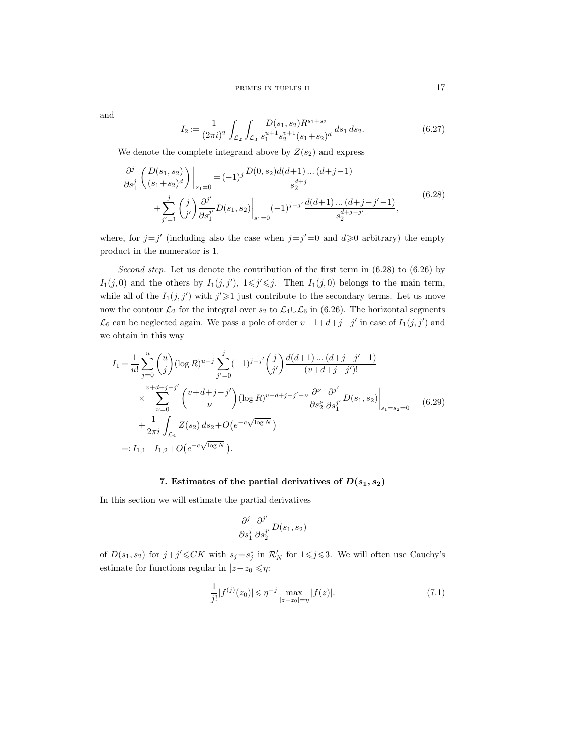and

$$
I_2 := \frac{1}{(2\pi i)^2} \int_{\mathcal{L}_2} \int_{\mathcal{L}_3} \frac{D(s_1, s_2) R^{s_1 + s_2}}{s_1^{u+1} s_2^{v+1} (s_1 + s_2)^d} ds_1 ds_2.
$$
 (6.27)

We denote the complete integrand above by  $Z(s_2)$  and express

$$
\frac{\partial^j}{\partial s_1^j} \left( \frac{D(s_1, s_2)}{(s_1 + s_2)^d} \right) \Big|_{s_1 = 0} = (-1)^j \frac{D(0, s_2) d(d+1) \dots (d+j-1)}{s_2^{d+j}} \n+ \sum_{j'=1}^j \binom{j}{j'} \frac{\partial^{j'}}{\partial s_1^{j'}} D(s_1, s_2) \Big|_{s_1 = 0} (-1)^{j-j'} \frac{d(d+1) \dots (d+j-j'-1)}{s_2^{d+j-j'}} ,
$$
\n(6.28)

where, for  $j=j'$  (including also the case when  $j=j'=0$  and  $d\geqslant 0$  arbitrary) the empty product in the numerator is 1.

Second step. Let us denote the contribution of the first term in  $(6.28)$  to  $(6.26)$  by  $I_1(j,0)$  and the others by  $I_1(j, j')$ ,  $1 \leq j' \leq j$ . Then  $I_1(j, 0)$  belongs to the main term, while all of the  $I_1(j, j')$  with  $j' \geq 1$  just contribute to the secondary terms. Let us move now the contour  $\mathcal{L}_2$  for the integral over  $s_2$  to  $\mathcal{L}_4 \cup \mathcal{L}_6$  in (6.26). The horizontal segments  $\mathcal{L}_6$  can be neglected again. We pass a pole of order  $v+1+d+j-j'$  in case of  $I_1(j, j')$  and we obtain in this way

$$
I_{1} = \frac{1}{u!} \sum_{j=0}^{u} {u \choose j} (\log R)^{u-j} \sum_{j'=0}^{j} (-1)^{j-j'} {j \choose j'} \frac{d(d+1) \dots (d+j-j'-1)}{(v+d+j-j')!} \times \sum_{\nu=0}^{v+d+j-j'} {v+d+j-j' \choose \nu} (\log R)^{v+d+j-j'-\nu} \frac{\partial^{\nu}}{\partial s_{2}^{\nu}} \frac{\partial^{j'}}{\partial s_{1}^{j'}} D(s_{1}, s_{2}) \Big|_{s_{1}=s_{2}=0} + \frac{1}{2\pi i} \int_{\mathcal{L}_{4}} Z(s_{2}) ds_{2} + O(e^{-c\sqrt{\log N}}) =: I_{1,1} + I_{1,2} + O(e^{-c\sqrt{\log N}}).
$$
 (6.29)

# 7. Estimates of the partial derivatives of  $D(s_1, s_2)$

In this section we will estimate the partial derivatives

$$
\frac{\partial^j}{\partial s_1^j}\frac{\partial^{j'}}{\partial s_2^{j'}}D(s_1,s_2)
$$

of  $D(s_1, s_2)$  for  $j + j' \leq C K$  with  $s_j = s_j^*$  in  $\mathcal{R}'_N$  for  $1 \leq j \leq 3$ . We will often use Cauchy's estimate for functions regular in  $|z-z_0|\leqslant \eta$ :

$$
\frac{1}{j!}|f^{(j)}(z_0)| \le \eta^{-j} \max_{|z-z_0|=\eta} |f(z)|. \tag{7.1}
$$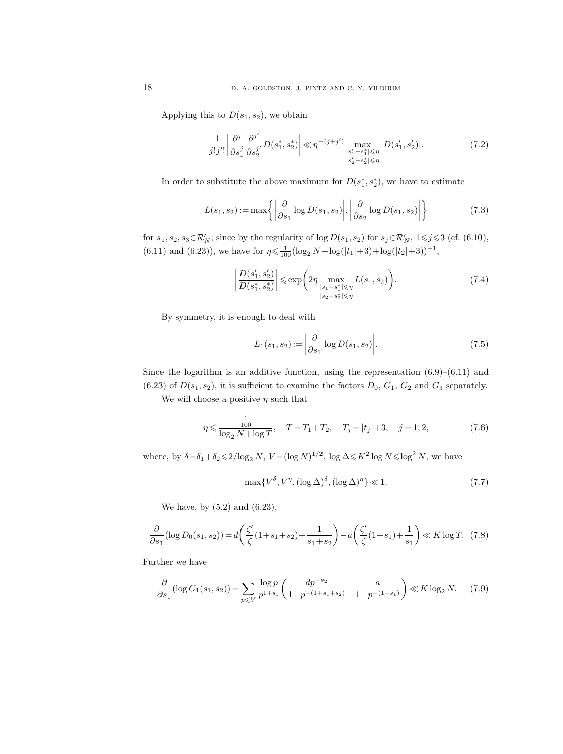Applying this to  $D(s_1, s_2)$ , we obtain

$$
\frac{1}{j!j'!} \left| \frac{\partial^j}{\partial s_1^j} \frac{\partial^{j'}}{\partial s_2^{j'}} D(s_1^*, s_2^*) \right| \ll \eta^{-(j+j')} \max_{\substack{|s_1'-s_1^*| \le \eta \\ |s_2'-s_2^*| \le \eta}} |D(s_1', s_2')|.
$$
\n(7.2)

In order to substitute the above maximum for  $D(s_1^*, s_2^*)$ , we have to estimate

$$
L(s_1, s_2) := \max\left\{ \left| \frac{\partial}{\partial s_1} \log D(s_1, s_2) \right|, \left| \frac{\partial}{\partial s_2} \log D(s_1, s_2) \right| \right\}
$$
(7.3)

for  $s_1, s_2, s_3 \in \mathcal{R}'_N$ ; since by the regularity of  $\log D(s_1, s_2)$  for  $s_j \in \mathcal{R}'_N$ ,  $1 \leq j \leq 3$  (cf. (6.10),  $(6.11)$  and  $(6.23)$ , we have for  $\eta \leq \frac{1}{100} (\log_2 N + \log(|t_1|+3) + \log(|t_2|+3))^{-1}$ ,

$$
\left| \frac{D(s'_1, s'_2)}{D(s_1^*, s_2^*)} \right| \leq \exp\left( 2\eta \max_{\substack{|s_1 - s_1^*| \leq \eta \\ |s_2 - s_2^*| \leq \eta}} L(s_1, s_2) \right).
$$
 (7.4)

By symmetry, it is enough to deal with

$$
L_1(s_1, s_2) := \left| \frac{\partial}{\partial s_1} \log D(s_1, s_2) \right|.
$$
\n
$$
(7.5)
$$

Since the logarithm is an additive function, using the representation  $(6.9)$ – $(6.11)$  and  $(6.23)$  of  $D(s_1, s_2)$ , it is sufficient to examine the factors  $D_0$ ,  $G_1$ ,  $G_2$  and  $G_3$  separately.

We will choose a positive  $\eta$  such that

$$
\eta \leqslant \frac{\frac{1}{100}}{\log_2 N + \log T}, \quad T = T_1 + T_2, \quad T_j = |t_j| + 3, \quad j = 1, 2,
$$
\n
$$
(7.6)
$$

where, by  $\delta = \delta_1 + \delta_2 \leq 2/\log_2 N$ ,  $V = (\log N)^{1/2}$ ,  $\log \Delta \leq K^2 \log N \leq \log^2 N$ , we have

$$
\max\{V^{\delta}, V^{\eta}, (\log \Delta)^{\delta}, (\log \Delta)^{\eta}\} \ll 1. \tag{7.7}
$$

We have, by (5.2) and (6.23),

$$
\frac{\partial}{\partial s_1}(\log D_0(s_1, s_2)) = d\left(\frac{\zeta'}{\zeta}(1 + s_1 + s_2) + \frac{1}{s_1 + s_2}\right) - a\left(\frac{\zeta'}{\zeta}(1 + s_1) + \frac{1}{s_1}\right) \ll K \log T. \tag{7.8}
$$

Further we have

$$
\frac{\partial}{\partial s_1}(\log G_1(s_1, s_2)) = \sum_{p \leq V} \frac{\log p}{p^{1+s_1}} \left( \frac{dp^{-s_2}}{1 - p^{-(1+s_1+s_2)}} - \frac{a}{1 - p^{-(1+s_1)}} \right) \ll K \log_2 N. \tag{7.9}
$$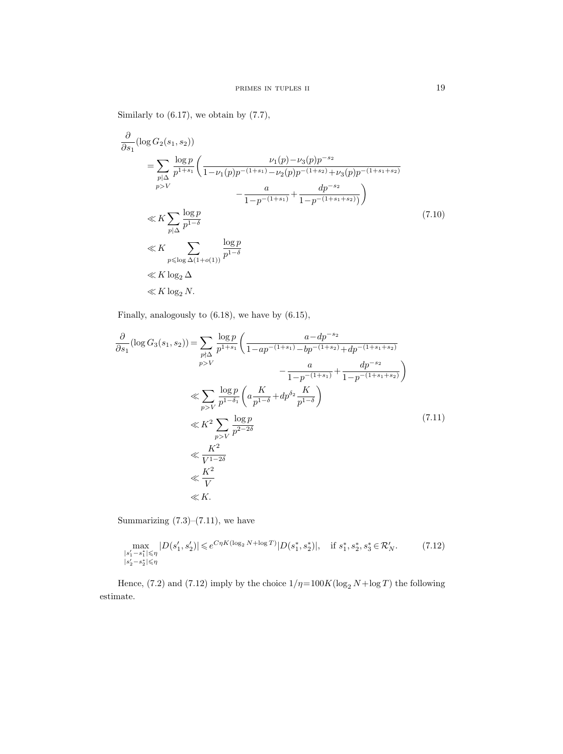Similarly to  $(6.17)$ , we obtain by  $(7.7)$ ,

$$
\frac{\partial}{\partial s_1} (\log G_2(s_1, s_2))
$$
\n
$$
= \sum_{\substack{p \mid \Delta \\ p > V}} \frac{\log p}{p^{1+s_1}} \left( \frac{\nu_1(p) - \nu_3(p)p^{-s_2}}{1 - \nu_1(p)p^{-(1+s_1)} - \nu_2(p)p^{-(1+s_2)} + \nu_3(p)p^{-(1+s_1+s_2)}} - \frac{a}{1 - p^{-(1+s_1)}} + \frac{dp^{-s_2}}{1 - p^{-(1+s_1+s_2)}} \right)
$$
\n
$$
\ll K \sum_{\substack{p \mid \Delta \\ p \le \log \Delta(1 + o(1))}} \frac{\log p}{p^{1-\delta}}
$$
\n
$$
\ll K \log_2 \Delta
$$
\n
$$
\ll K \log_2 \Delta
$$
\n
$$
\ll K \log_2 N.
$$
\n(7.10)

Finally, analogously to (6.18), we have by (6.15),

$$
\frac{\partial}{\partial s_1}(\log G_3(s_1, s_2)) = \sum_{\substack{p \nmid \Delta \\ p > V}} \frac{\log p}{p^{1+s_1}} \left( \frac{a - dp^{-s_2}}{1 - ap^{-(1+s_1)} - bp^{-(1+s_2)} + dp^{-(1+s_1+s_2)}} - \frac{a}{1 - p^{-(1+s_1)}} + \frac{dp^{-s_2}}{1 - p^{-(1+s_1+s_2)}} \right)
$$
  
\n
$$
\ll \sum_{p > V} \frac{\log p}{p^{1 - \delta_1}} \left( a \frac{K}{p^{1 - \delta}} + dp^{\delta_2} \frac{K}{p^{1 - \delta}} \right)
$$
  
\n
$$
\ll K^2 \sum_{p > V} \frac{\log p}{p^{2 - 2\delta}}
$$
  
\n
$$
\ll \frac{K^2}{V^{1 - 2\delta}}
$$
  
\n
$$
\ll K.
$$
\n(7.11)

Summarizing  $(7.3)$ – $(7.11)$ , we have

$$
\max_{\substack{|s_1'-s_1^*| \leqslant \eta \\ |s_2'-s_2^*| \leqslant \eta}} |D(s_1', s_2')| \leqslant e^{C\eta K (\log_2 N + \log T)} |D(s_1^*, s_2^*)|, \quad \text{if } s_1^*, s_2^*, s_3^* \in \mathcal{R}_N'. \tag{7.12}
$$

Hence, (7.2) and (7.12) imply by the choice  $1/\eta\!=\!100K(\log_2 N\!+\!\log T)$  the following estimate.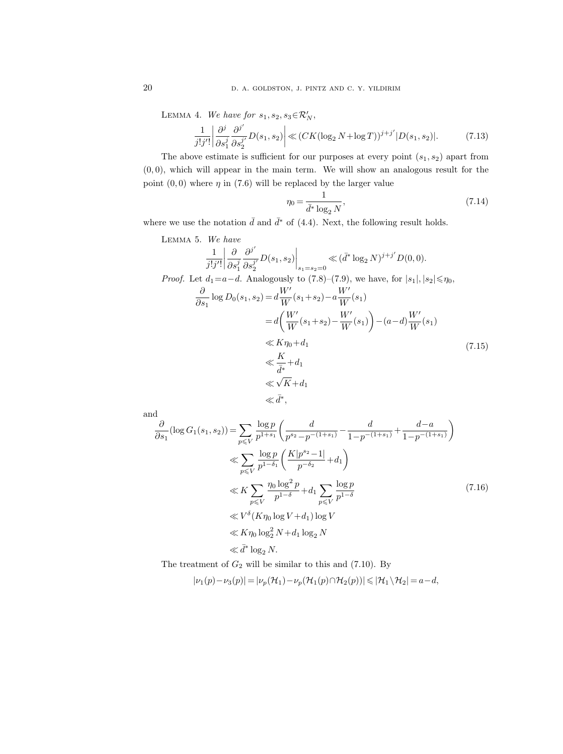LEMMA 4. We have for  $s_1, s_2, s_3 \in \mathcal{R}'_N$ ,

$$
\frac{1}{j!j'!} \left| \frac{\partial^j}{\partial s_1^j} \frac{\partial^{j'}}{\partial s_2^{j'}} D(s_1, s_2) \right| \ll (CK(\log_2 N + \log T))^{j+j'} |D(s_1, s_2)|. \tag{7.13}
$$

The above estimate is sufficient for our purposes at every point  $(s_1, s_2)$  apart from  $(0, 0)$ , which will appear in the main term. We will show an analogous result for the point  $(0, 0)$  where  $\eta$  in (7.6) will be replaced by the larger value

$$
\eta_0 = \frac{1}{\bar{d}^* \log_2 N},\tag{7.14}
$$

where we use the notation  $\bar{d}$  and  $\bar{d}^*$  of (4.4). Next, the following result holds.

LEMMA 5. We have  
\n
$$
\frac{1}{j!j'!} \left| \frac{\partial}{\partial s_1^j} \frac{\partial^{j'}}{\partial s_2^{j'}} D(s_1, s_2) \right|_{s_1 = s_2 = 0} \ll (\bar{d}^* \log_2 N)^{j+j'} D(0, 0).
$$
\nProof. Let  $d_1 = a - d$ . Analogously to (7.8)–(7.9), we have, for  $|s_1|, |s_2| \le \eta_0$ ,  
\n
$$
\frac{\partial}{\partial s_1} \log D_0(s_1, s_2) = d \frac{W'}{W}(s_1 + s_2) - a \frac{W'}{W}(s_1)
$$
\n
$$
= d \left( \frac{W'}{W}(s_1 + s_2) - \frac{W'}{W}(s_1) \right) - (a - d) \frac{W'}{W}(s_1)
$$
\n
$$
\ll K \eta_0 + d_1
$$
\n
$$
\ll \frac{K}{\bar{d}^*} + d_1
$$
\n
$$
\ll \sqrt{K} + d_1
$$
\n
$$
\ll \bar{d}^*,
$$
\n(7.15)

and

$$
\frac{\partial}{\partial s_1}(\log G_1(s_1, s_2)) = \sum_{p \leq V} \frac{\log p}{p^{1+s_1}} \left( \frac{d}{p^{s_2} - p^{-(1+s_1)}} - \frac{d}{1 - p^{-(1+s_1)}} + \frac{d - a}{1 - p^{-(1+s_1)}} \right)
$$
  
\n
$$
\ll \sum_{p \leq V} \frac{\log p}{p^{1-\delta_1}} \left( \frac{K|p^{s_2} - 1|}{p^{-\delta_2}} + d_1 \right)
$$
  
\n
$$
\ll K \sum_{p \leq V} \frac{\eta_0 \log^2 p}{p^{1-\delta}} + d_1 \sum_{p \leq V} \frac{\log p}{p^{1-\delta}}
$$
  
\n
$$
\ll V^{\delta} (K \eta_0 \log V + d_1) \log V
$$
  
\n
$$
\ll K \eta_0 \log_2^2 N + d_1 \log_2 N
$$
  
\n
$$
\ll \bar{d}^* \log_2 N.
$$
 (7.16)

The treatment of  $G_2$  will be similar to this and  $(7.10)$ . By

 $|\nu_1(p)-\nu_3(p)| = |\nu_p(\mathcal{H}_1)-\nu_p(\mathcal{H}_1(p)\cap\mathcal{H}_2(p))| \leq |\mathcal{H}_1\setminus\mathcal{H}_2| = a-d,$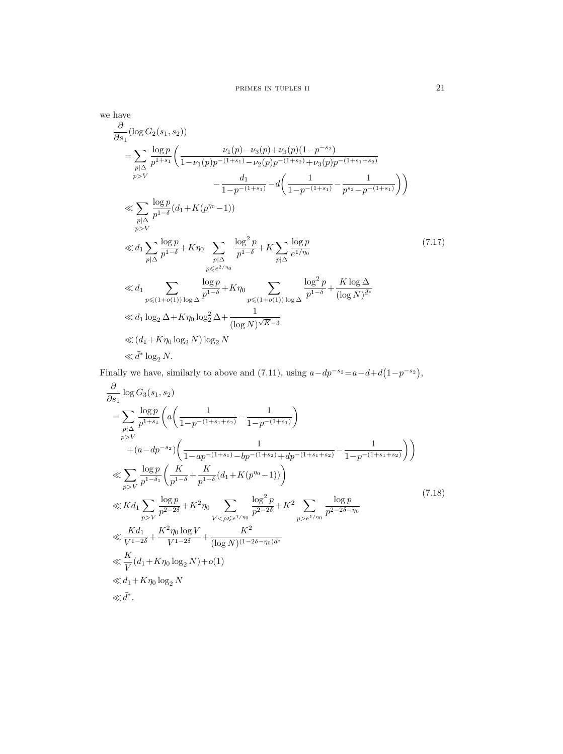we have  
\n
$$
\frac{\partial}{\partial s_1}(\log G_2(s_1, s_2))
$$
\n
$$
= \sum_{p|\Delta} \frac{\log p}{p^{1+s_1}} \left( \frac{\nu_1(p) - \nu_3(p) + \nu_3(p)(1-p^{-s_2})}{1 - \nu_1(p)p^{-(1+s_1)} - \nu_2(p)p^{-(1+s_2)} + \nu_3(p)p^{-(1+s_1+s_2)}} - \frac{d_1}{1 - p^{-(1+s_1)}} - d\left( \frac{1}{1 - p^{-(1+s_1)}} - \frac{1}{p^{s_2} - p^{-(1+s_1)}} \right) \right)
$$
\n
$$
\ll \sum_{p|\Delta} \frac{\log p}{p^{1-\delta}} (d_1 + K(p^{\eta_0} - 1))
$$
\n
$$
\ll d_1 \sum_{p|\Delta} \frac{\log p}{p^{1-\delta}} + K\eta_0 \sum_{p|\Delta} \frac{\log^2 p}{p^{1-\delta}} + K \sum_{p|\Delta} \frac{\log p}{e^{1/\eta_0}}
$$
\n
$$
\ll d_1 \sum_{p \le (1+o(1))} \frac{\log p}{p^{1-\delta}} + K\eta_0 \sum_{p \le (1+o(1))} \frac{\log^2 p}{p^{1-\delta}} + \frac{K \log \Delta}{(\log N)^{d^*}}
$$
\n
$$
\ll d_1 \log_2 \Delta + K\eta_0 \log_2^2 \Delta + \frac{1}{(\log N)^{\sqrt{K}-3}}
$$
\n
$$
\ll d_1 + K\eta_0 \log_2 N) \log_2 N
$$
\n
$$
\ll \bar{d}^* \log_2 N.
$$
\n(41 + K\eta\_0 \log\_2 N) \log\_2 N

Finally we have, similarly to above and (7.11), using  $a-dp^{-s_2}=a-d+d(1-p^{-s_2}),$ 

$$
\frac{\partial}{\partial s_1} \log G_3(s_1, s_2)
$$
\n
$$
= \sum_{\substack{p \nmid \Delta \\ p \geq V}} \frac{\log p}{p^{1+s_1}} \left( a \left( \frac{1}{1 - p^{-(1+s_1+s_2)}} - \frac{1}{1 - p^{-(1+s_1)}} \right) + (a - dp^{-s_2}) \left( \frac{1}{1 - ap^{-(1+s_1)} - bp^{-(1+s_2)} + dp^{-(1+s_1+s_2)}} - \frac{1}{1 - p^{-(1+s_1+s_2)}} \right) \right)
$$
\n
$$
\ll \sum_{p > V} \frac{\log p}{p^{1 - \delta_1}} \left( \frac{K}{p^{1 - \delta}} + \frac{K}{p^{1 - \delta}} (d_1 + K(p^{\eta_0} - 1)) \right)
$$
\n
$$
\ll K d_1 \sum_{p > V} \frac{\log p}{p^{2 - 2\delta}} + K^2 \eta_0 \sum_{V < p \leq e^{1/\eta_0}} \frac{\log^2 p}{p^{2 - 2\delta}} + K^2 \sum_{p > e^{1/\eta_0}} \frac{\log p}{p^{2 - 2\delta - \eta_0}}
$$
\n
$$
\ll \frac{K d_1}{V^{1 - 2\delta}} + \frac{K^2 \eta_0 \log V}{V^{1 - 2\delta}} + \frac{K^2}{(\log N)^{(1 - 2\delta - \eta_0)\bar{d}^*}}
$$
\n
$$
\ll \frac{K}{V} (d_1 + K \eta_0 \log_2 N) + o(1)
$$
\n
$$
\ll d_1 + K \eta_0 \log_2 N
$$
\n
$$
\ll \bar{d}^*.
$$
\n(11.11)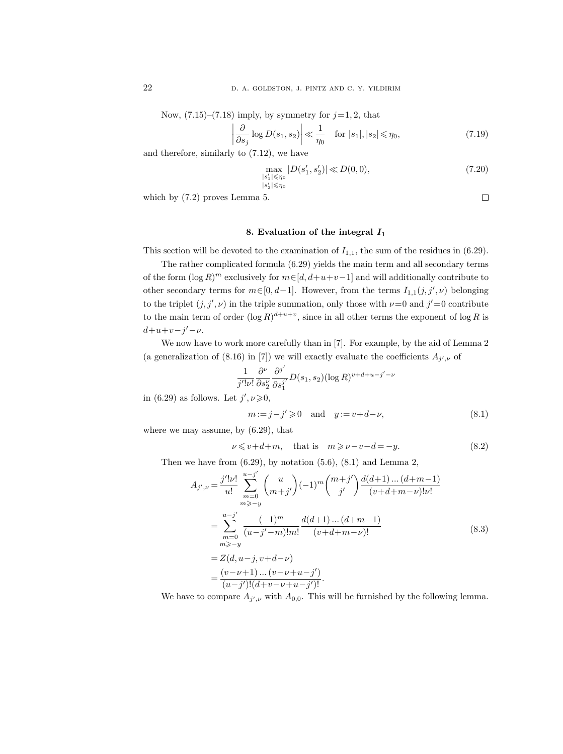Now,  $(7.15)$ – $(7.18)$  imply, by symmetry for  $j=1, 2$ , that

$$
\left| \frac{\partial}{\partial s_j} \log D(s_1, s_2) \right| \ll \frac{1}{\eta_0} \quad \text{for } |s_1|, |s_2| \le \eta_0,
$$
\n(7.19)

and therefore, similarly to (7.12), we have

$$
\max_{\substack{|s_1'|\leqslant \eta_0\\|s_2'|\leqslant \eta_0}}|D(s_1', s_2')| \ll D(0, 0),\tag{7.20}
$$

which by (7.2) proves Lemma 5.

# $\Box$

# 8. Evaluation of the integral  $I_1$

This section will be devoted to the examination of  $I_{1,1}$ , the sum of the residues in (6.29).

The rather complicated formula (6.29) yields the main term and all secondary terms of the form  $(\log R)^m$  exclusively for  $m \in [d, d + u + v - 1]$  and will additionally contribute to other secondary terms for  $m \in [0, d-1]$ . However, from the terms  $I_{1,1}(j, j', \nu)$  belonging to the triplet  $(j, j', \nu)$  in the triple summation, only those with  $\nu = 0$  and  $j' = 0$  contribute to the main term of order  $(\log R)^{d+u+v}$ , since in all other terms the exponent of  $\log R$  is  $d+u+v-j'-\nu$ .

We now have to work more carefully than in [7]. For example, by the aid of Lemma 2 (a generalization of (8.16) in [7]) we will exactly evaluate the coefficients  $A_{j',\nu}$  of

$$
\frac{1}{j'|v!} \frac{\partial^{\nu}}{\partial s_2^{\nu}} \frac{\partial^{j'}}{\partial s_1^{j'}} D(s_1, s_2) (\log R)^{v+d+u-j'-\nu}
$$

in (6.29) as follows. Let  $j', \nu \geq 0$ ,

$$
m := j - j' \geqslant 0 \quad \text{and} \quad y := v + d - \nu,
$$
\n
$$
(8.1)
$$

where we may assume, by (6.29), that

$$
\nu \leq v + d + m, \quad \text{that is} \quad m \geqslant \nu - v - d = -y. \tag{8.2}
$$

Then we have from  $(6.29)$ , by notation  $(5.6)$ ,  $(8.1)$  and Lemma 2,

$$
A_{j',\nu} = \frac{j'| \nu!}{u!} \sum_{m=0}^{u-j'} \binom{u}{m+j'} (-1)^m \binom{m+j'}{j'} \frac{d(d+1)\dots(d+m-1)}{(v+d+m-\nu)! \nu!}
$$
  
\n
$$
= \sum_{m=0}^{u-j'} \frac{(-1)^m}{(u-j'-m)!m!} \frac{d(d+1)\dots(d+m-1)}{(v+d+m-\nu)!}
$$
  
\n
$$
= Z(d, u-j, v+d-\nu)
$$
  
\n
$$
= \frac{(v-\nu+1)\dots(v-\nu+u-j')}{(u-j')!(d+v-\nu+u-j)!}.
$$
 (8.3)

We have to compare  $A_{j',\nu}$  with  $A_{0,0}$ . This will be furnished by the following lemma.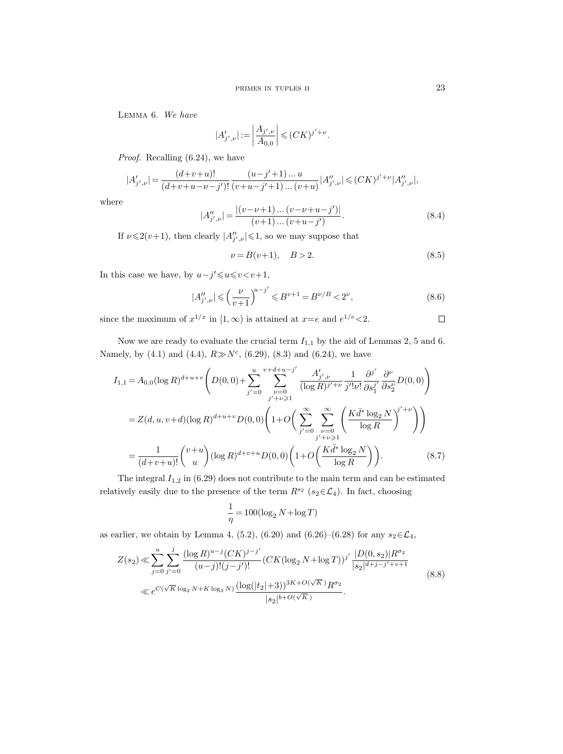Lemma 6. We have

$$
|A'_{j',\nu}| := \left| \frac{A_{j',\nu}}{A_{0,0}} \right| \leqslant (CK)^{j'+\nu}.
$$

Proof. Recalling (6.24), we have

$$
|A'_{j',\nu}|=\frac{(d\!+\!v\!+\!u)!}{(d\!+\!v\!+\!u\!-\!\nu\!-\!j')!}\frac{(u\!-\!j'\!+\!1)\dots u}{(v\!+\!u\!-\!j'\!+\!1)\dots(v\!+\!u)}|A''_{j',\nu}|\leqslant (CK)^{j'+\nu}|A''_{j',\nu}|,
$$

where

$$
|A''_{j',\nu}| = \frac{|(v-\nu+1)\dots(v-\nu+u-j')|}{(v+1)\dots(v+u-j')}.
$$
\n(8.4)

If  $\nu \leq 2(\nu+1)$ , then clearly  $|A_{j',\nu}''| \leq 1$ , so we may suppose that

$$
\nu = B(\nu + 1), \quad B > 2. \tag{8.5}
$$

In this case we have, by  $u-j' \leq u \leq v \lt v+1$ ,

$$
|A_{j',\nu}''| \leqslant \left(\frac{\nu}{\nu+1}\right)^{u-j'} \leqslant B^{\nu+1} = B^{\nu/B} < 2^{\nu},\tag{8.6}
$$

since the maximum of  $x^{1/x}$  in  $[1,\infty)$  is attained at  $x=e$  and  $e^{1/e} < 2$ .  $\Box$ 

Now we are ready to evaluate the crucial term  $I_{1,1}$  by the aid of Lemmas 2, 5 and 6. Namely, by  $(4.1)$  and  $(4.4)$ ,  $R \gg N^c$ ,  $(6.29)$ ,  $(8.3)$  and  $(6.24)$ , we have

$$
I_{1,1} = A_{0,0} (\log R)^{d+u+v} \left( D(0,0) + \sum_{j'=0}^{u} \sum_{\nu=0}^{v+d+u-j'} \frac{A'_{j',\nu}}{(\log R)^{j'+\nu}} \frac{1}{j'!\nu!} \frac{\partial^{j'}}{\partial s_1^{j'}} \frac{\partial^{\nu}}{\partial s_2^{\nu}} D(0,0) \right)
$$
  
= Z(d, u, v+d) (\log R)^{d+u+v} D(0,0) \left( 1+O\left( \sum\_{j'=0}^{\infty} \sum\_{\substack{\nu=0 \ j'+\nu \geq 1}}^{\infty} \left( \frac{K \bar{d}^\* \log\_2 N}{\log R} \right)^{j'+\nu} \right) \right)  
= \frac{1}{(d+v+u)!} {v+u \choose u} (\log R)^{d+v+u} D(0,0) \left( 1+O\left( \frac{K \bar{d}^\* \log\_2 N}{\log R} \right) \right). \tag{8.7}

The integral  $I_{1,2}$  in (6.29) does not contribute to the main term and can be estimated relatively easily due to the presence of the term  $R^{s_2}$  ( $s_2 \in \mathcal{L}_4$ ). In fact, choosing

$$
\frac{1}{\eta} = 100(\log_2 N + \log T)
$$

as earlier, we obtain by Lemma 4, (5.2), (6.20) and (6.26)–(6.28) for any  $s_2 \in \mathcal{L}_4$ ,

$$
Z(s_2) \ll \sum_{j=0}^{u} \sum_{j'=0}^{j} \frac{(\log R)^{u-j} (CK)^{j-j'}}{(u-j)!(j-j')!} (CK(\log_2 N + \log T))^{j'} \frac{|D(0, s_2)| R^{\sigma_2}}{|s_2|^{d+j-j'+v+1}} \ll e^{C(\sqrt{K}\log_2 N + K\log_3 N)} \frac{(\log(|t_2|+3))^{3K+O(\sqrt{K})} R^{\sigma_2}}{|s_2|^{b+O(\sqrt{K})}}.
$$
\n
$$
(8.8)
$$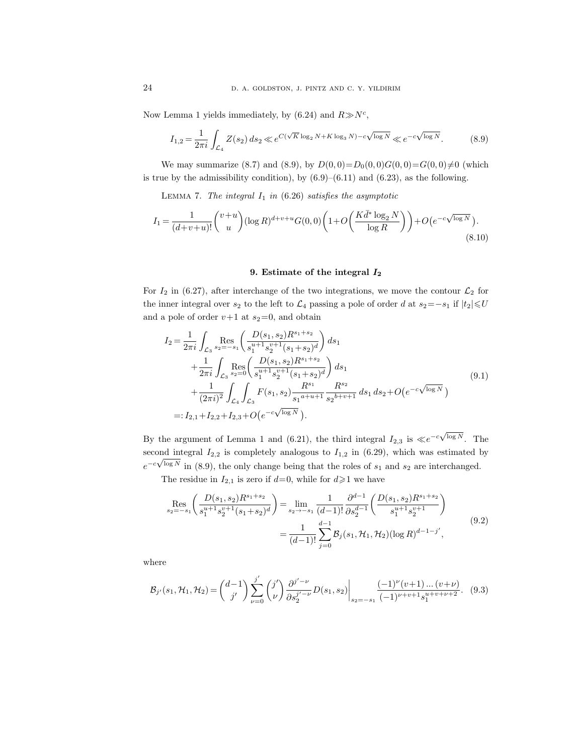Now Lemma 1 yields immediately, by  $(6.24)$  and  $R \gg N<sup>c</sup>$ ,

$$
I_{1,2} = \frac{1}{2\pi i} \int_{\mathcal{L}_4} Z(s_2) \, ds_2 \ll e^{C(\sqrt{K} \log_2 N + K \log_3 N) - c\sqrt{\log N}} \ll e^{-c\sqrt{\log N}}.
$$
 (8.9)

We may summarize (8.7) and (8.9), by  $D(0,0)=D_0(0,0)G(0,0)=G(0,0)\neq0$  (which is true by the admissibility condition), by  $(6.9)$ – $(6.11)$  and  $(6.23)$ , as the following.

LEMMA 7. The integral  $I_1$  in (6.26) satisfies the asymptotic

$$
I_1 = \frac{1}{(d+v+u)!} \binom{v+u}{u} (\log R)^{d+v+u} G(0,0) \left( 1 + O\left(\frac{K\bar{d}^* \log_2 N}{\log R}\right) \right) + O\left(e^{-c\sqrt{\log N}}\right). \tag{8.10}
$$

# 9. Estimate of the integral I<sup>2</sup>

For  $I_2$  in (6.27), after interchange of the two integrations, we move the contour  $\mathcal{L}_2$  for the inner integral over  $s_2$  to the left to  $\mathcal{L}_4$  passing a pole of order d at  $s_2=-s_1$  if  $|t_2|\leqslant U$ and a pole of order  $v+1$  at  $s_2=0$ , and obtain

$$
I_{2} = \frac{1}{2\pi i} \int_{\mathcal{L}_{3}} \mathop{\mathrm{Res}}_{s_{2}=-s_{1}} \left( \frac{D(s_{1}, s_{2})R^{s_{1}+s_{2}}}{s_{1}^{u+1}s_{2}^{v+1}(s_{1}+s_{2})^{d}} \right) ds_{1} + \frac{1}{2\pi i} \int_{\mathcal{L}_{3}} \mathop{\mathrm{Res}}_{s_{2}=0} \left( \frac{D(s_{1}, s_{2})R^{s_{1}+s_{2}}}{s_{1}^{u+1}s_{2}^{v+1}(s_{1}+s_{2})^{d}} \right) ds_{1} + \frac{1}{(2\pi i)^{2}} \int_{\mathcal{L}_{4}} \int_{\mathcal{L}_{3}} F(s_{1}, s_{2}) \frac{R^{s_{1}}}{s_{1}^{a+u+1}} \frac{R^{s_{2}}}{s_{2}^{b+v+1}} ds_{1} ds_{2} + O(e^{-c\sqrt{\log N}}) =: I_{2,1} + I_{2,2} + I_{2,3} + O(e^{-c\sqrt{\log N}}).
$$
\n(9.1)

By the argument of Lemma 1 and (6.21), the third integral  $I_{2,3}$  is  $\ll e^{-c\sqrt{2}}$  $\log N$ . The second integral  $I_{2,2}$  is completely analogous to  $I_{1,2}$  in (6.29), which was estimated by  $e^{-c\sqrt{\log N}}$  in (8.9), the only change being that the roles of  $s_1$  and  $s_2$  are interchanged.

The residue in  $I_{2,1}$  is zero if  $d=0$ , while for  $d\geq 1$  we have

$$
\operatorname{Res}_{s_2=-s_1} \left( \frac{D(s_1, s_2)R^{s_1+s_2}}{s_1^{u+1} s_2^{v+1} (s_1+s_2)^d} \right) = \lim_{s_2 \to -s_1} \frac{1}{(d-1)!} \frac{\partial^{d-1}}{\partial s_2^{d-1}} \left( \frac{D(s_1, s_2)R^{s_1+s_2}}{s_1^{u+1} s_2^{v+1}} \right)
$$
\n
$$
= \frac{1}{(d-1)!} \sum_{j=0}^{d-1} \mathcal{B}_j(s_1, \mathcal{H}_1, \mathcal{H}_2) (\log R)^{d-1-j'},
$$
\n(9.2)

where

$$
\mathcal{B}_{j'}(s_1, \mathcal{H}_1, \mathcal{H}_2) = \binom{d-1}{j'} \sum_{\nu=0}^{j'} \binom{j'}{\nu} \frac{\partial^{j'-\nu}}{\partial s_2^{j'-\nu}} D(s_1, s_2) \bigg|_{s_2 = -s_1} \frac{(-1)^{\nu}(v+1) \dots (v+\nu)}{(-1)^{\nu+v+1} s_1^{u+v+\nu+2}}. \tag{9.3}
$$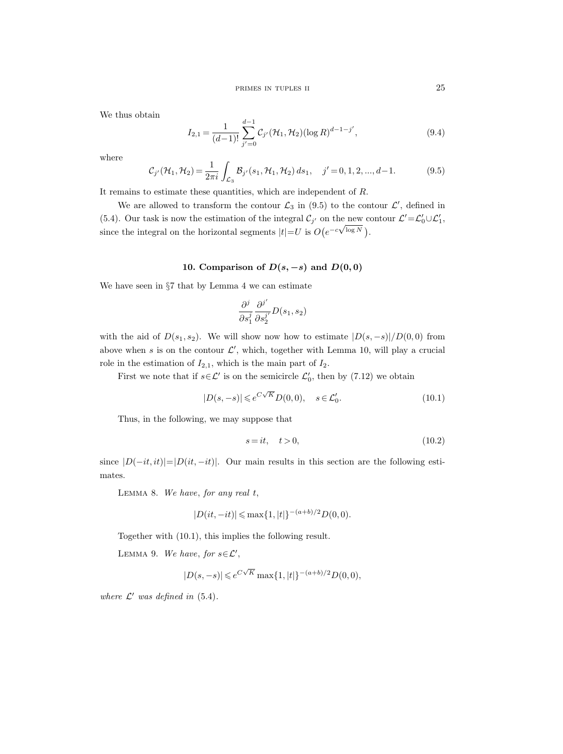We thus obtain

$$
I_{2,1} = \frac{1}{(d-1)!} \sum_{j'=0}^{d-1} C_{j'}(\mathcal{H}_1, \mathcal{H}_2) (\log R)^{d-1-j'},
$$
\n(9.4)

where

$$
C_{j'}(\mathcal{H}_1, \mathcal{H}_2) = \frac{1}{2\pi i} \int_{\mathcal{L}_3} \mathcal{B}_{j'}(s_1, \mathcal{H}_1, \mathcal{H}_2) \, ds_1, \quad j' = 0, 1, 2, ..., d-1.
$$
 (9.5)

It remains to estimate these quantities, which are independent of  $R$ .

We are allowed to transform the contour  $\mathcal{L}_3$  in (9.5) to the contour  $\mathcal{L}'$ , defined in (5.4). Our task is now the estimation of the integral  $\mathcal{C}_{j'}$  on the new contour  $\mathcal{L}' = \mathcal{L}'_0 \cup \mathcal{L}'_1$ , (0.4). Our task is now the estimation of the integral  $c_j$  on the new consistent of the integral on the horizontal segments  $|t| = U$  is  $O(e^{-c\sqrt{\log N}})$ .

# 10. Comparison of  $D(s, -s)$  and  $D(0, 0)$

We have seen in §7 that by Lemma 4 we can estimate

$$
\frac{\partial^j}{\partial s_1^j}\frac{\partial^{j'}}{\partial s_2^{j'}}D(s_1,s_2)
$$

with the aid of  $D(s_1, s_2)$ . We will show now how to estimate  $|D(s, -s)|/D(0, 0)$  from above when s is on the contour  $\mathcal{L}'$ , which, together with Lemma 10, will play a crucial role in the estimation of  $I_{2,1}$ , which is the main part of  $I_2$ .

First we note that if  $s \in \mathcal{L}'$  is on the semicircle  $\mathcal{L}'_0$ , then by (7.12) we obtain

$$
|D(s, -s)| \leqslant e^{C\sqrt{K}} D(0, 0), \quad s \in \mathcal{L}'_0.
$$
\n
$$
(10.1)
$$

Thus, in the following, we may suppose that

$$
s = it, \quad t > 0,\tag{10.2}
$$

since  $|D(-it, it)| = |D(it, -it)|$ . Our main results in this section are the following estimates.

LEMMA 8. We have, for any real  $t$ ,

$$
|D(it, -it)| \le \max\{1, |t|\}^{-(a+b)/2} D(0, 0).
$$

Together with (10.1), this implies the following result.

LEMMA 9. We have, for  $s \in \mathcal{L}'$ ,

$$
|D(s, -s)| \leqslant e^{C\sqrt{K}} \max\{1, |t|\}^{-(a+b)/2} D(0, 0),
$$

where  $\mathcal{L}'$  was defined in (5.4).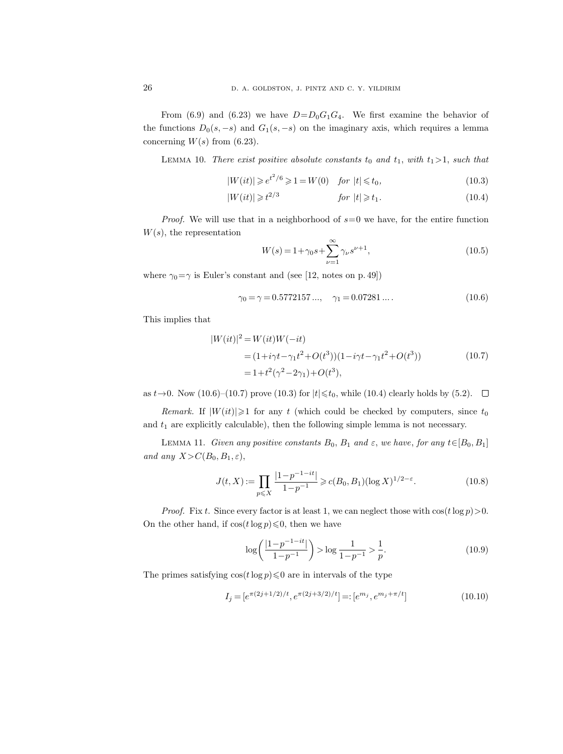From (6.9) and (6.23) we have  $D=D_0G_1G_4$ . We first examine the behavior of the functions  $D_0(s, -s)$  and  $G_1(s, -s)$  on the imaginary axis, which requires a lemma concerning  $W(s)$  from (6.23).

LEMMA 10. There exist positive absolute constants  $t_0$  and  $t_1$ , with  $t_1>1$ , such that

$$
|W(it)| \geq e^{t^2/6} \geq 1 = W(0) \quad \text{for } |t| \leq t_0,\tag{10.3}
$$

$$
|W(it)| \geqslant t^{2/3} \qquad \qquad \text{for } |t| \geqslant t_1. \tag{10.4}
$$

*Proof.* We will use that in a neighborhood of  $s=0$  we have, for the entire function  $W(s)$ , the representation

$$
W(s) = 1 + \gamma_0 s + \sum_{\nu=1}^{\infty} \gamma_{\nu} s^{\nu+1},
$$
\n(10.5)

where  $\gamma_0 = \gamma$  is Euler's constant and (see [12, notes on p. 49])

$$
\gamma_0 = \gamma = 0.5772157..., \quad \gamma_1 = 0.07281.... \tag{10.6}
$$

This implies that

$$
|W(it)|^2 = W(it)W(-it)
$$
  
=  $(1+i\gamma t - \gamma_1 t^2 + O(t^3))(1-i\gamma t - \gamma_1 t^2 + O(t^3))$  (10.7)  
=  $1+t^2(\gamma^2 - 2\gamma_1) + O(t^3)$ ,

as  $t \to 0$ . Now (10.6)–(10.7) prove (10.3) for  $|t| \le t_0$ , while (10.4) clearly holds by (5.2).  $\Box$ 

Remark. If  $|W(it)| \ge 1$  for any t (which could be checked by computers, since  $t_0$ and  $t_1$  are explicitly calculable), then the following simple lemma is not necessary.

LEMMA 11. Given any positive constants  $B_0$ ,  $B_1$  and  $\varepsilon$ , we have, for any  $t \in [B_0, B_1]$ and any  $X > C(B_0, B_1, \varepsilon),$ 

$$
J(t, X) := \prod_{p \leqslant X} \frac{|1 - p^{-1 - it}|}{1 - p^{-1}} \geqslant c(B_0, B_1) (\log X)^{1/2 - \varepsilon}.
$$
 (10.8)

*Proof.* Fix t. Since every factor is at least 1, we can neglect those with  $\cos(t \log p) > 0$ . On the other hand, if  $\cos(t \log p) \leq 0$ , then we have

$$
\log\left(\frac{|1-p^{-1-it}|}{1-p^{-1}}\right) > \log\frac{1}{1-p^{-1}} > \frac{1}{p}.\tag{10.9}
$$

The primes satisfying  $\cos(t \log p) \leq 0$  are in intervals of the type

$$
I_j = [e^{\pi(2j+1/2)/t}, e^{\pi(2j+3/2)/t}] = : [e^{m_j}, e^{m_j + \pi/t}]
$$
\n(10.10)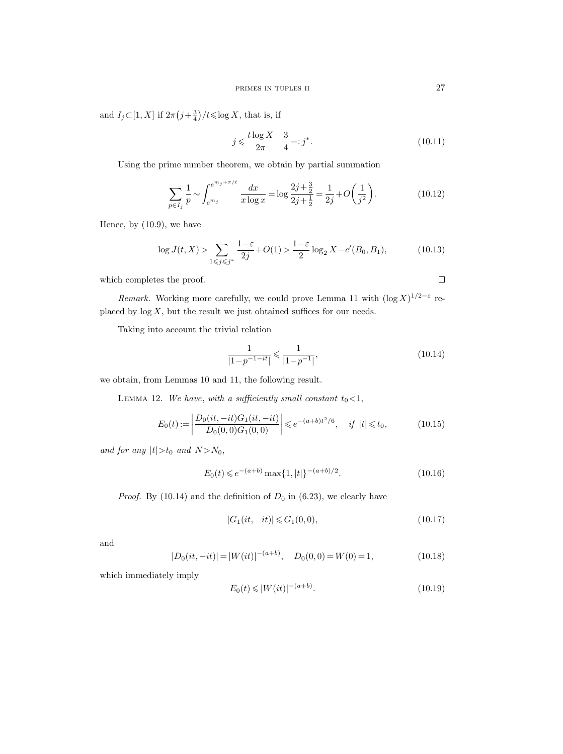and  $I_j \subset [1, X]$  if  $2\pi (j + \frac{3}{4})/t \leq \log X$ , that is, if

$$
j \leqslant \frac{t \log X}{2\pi} - \frac{3}{4} =: j^*.
$$
\n(10.11)

Using the prime number theorem, we obtain by partial summation

$$
\sum_{p \in I_j} \frac{1}{p} \sim \int_{e^{m_j}}^{e^{m_j + \pi/t}} \frac{dx}{x \log x} = \log \frac{2j + \frac{3}{2}}{2j + \frac{1}{2}} = \frac{1}{2j} + O\left(\frac{1}{j^2}\right).
$$
 (10.12)

Hence, by (10.9), we have

$$
\log J(t, X) > \sum_{1 \le j \le j^*} \frac{1 - \varepsilon}{2j} + O(1) > \frac{1 - \varepsilon}{2} \log_2 X - c'(B_0, B_1),\tag{10.13}
$$

which completes the proof.

Remark. Working more carefully, we could prove Lemma 11 with  $(\log X)^{1/2-\epsilon}$  re-

placed by  $\log X$ , but the result we just obtained suffices for our needs.

Taking into account the trivial relation

$$
\frac{1}{|1-p^{-1-it}|} \leqslant \frac{1}{|1-p^{-1}|},\tag{10.14}
$$

we obtain, from Lemmas 10 and 11, the following result.

LEMMA 12. We have, with a sufficiently small constant  $t_0 < 1$ ,

$$
E_0(t) := \left| \frac{D_0(it, -it)G_1(it, -it)}{D_0(0, 0)G_1(0, 0)} \right| \le e^{-(a+b)t^2/6}, \quad \text{if } |t| \le t_0,
$$
\n(10.15)

and for any  $|t|>t_0$  and  $N>N_0$ ,

$$
E_0(t) \leqslant e^{-(a+b)} \max\{1, |t|\}^{-(a+b)/2}.
$$
\n(10.16)

*Proof.* By (10.14) and the definition of  $D_0$  in (6.23), we clearly have

$$
|G_1(it, -it)| \leq G_1(0, 0),\tag{10.17}
$$

and

$$
|D_0(it, -it)| = |W(it)|^{-(a+b)}, \quad D_0(0,0) = W(0) = 1,
$$
\n(10.18)

which immediately imply

$$
E_0(t) \le |W(it)|^{-(a+b)}.\tag{10.19}
$$

 $\Box$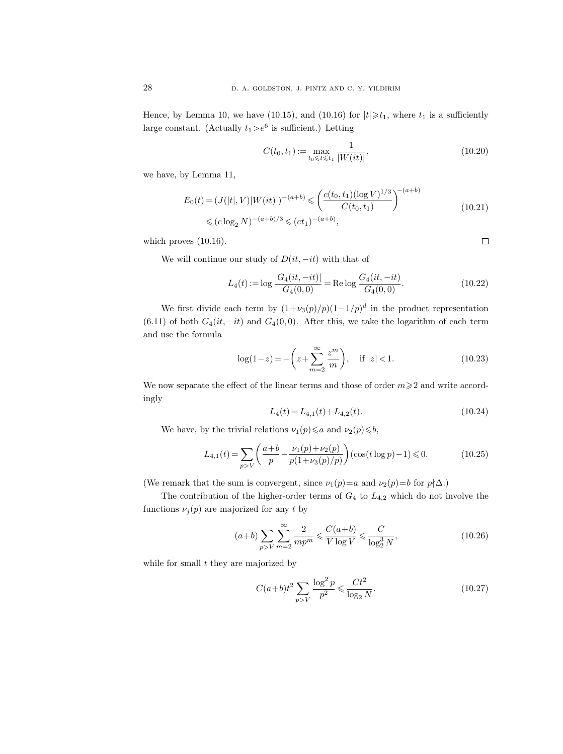Hence, by Lemma 10, we have (10.15), and (10.16) for  $|t| \geq t_1$ , where  $t_1$  is a sufficiently large constant. (Actually  $t_1 > e^6$  is sufficient.) Letting

$$
C(t_0, t_1) := \max_{t_0 \leq t \leq t_1} \frac{1}{|W(it)|},
$$
\n(10.20)

 $\Box$ 

we have, by Lemma 11,

$$
E_0(t) = (J(|t|, V)|W(it)|)^{-(a+b)} \leq \left(\frac{c(t_0, t_1)(\log V)^{1/3}}{C(t_0, t_1)}\right)^{-(a+b)}
$$
  

$$
\leq (c \log_2 N)^{-(a+b)/3} \leq (et_1)^{-(a+b)},
$$
\n(10.21)

which proves  $(10.16)$ .

We will continue our study of  $D(it, -it)$  with that of

$$
L_4(t) := \log \frac{|G_4(it, -it)|}{G_4(0,0)} = \text{Re}\log \frac{G_4(it, -it)}{G_4(0,0)}.
$$
\n(10.22)

We first divide each term by  $(1+\nu_3(p)/p)(1-1/p)^d$  in the product representation (6.11) of both  $G_4(it, -it)$  and  $G_4(0,0)$ . After this, we take the logarithm of each term and use the formula

$$
\log(1-z) = -\left(z + \sum_{m=2}^{\infty} \frac{z^m}{m}\right), \quad \text{if } |z| < 1.
$$
 (10.23)

We now separate the effect of the linear terms and those of order  $m \geq 2$  and write accordingly

$$
L_4(t) = L_{4,1}(t) + L_{4,2}(t). \tag{10.24}
$$

We have, by the trivial relations  $\nu_1(p) \leq a$  and  $\nu_2(p) \leq b$ ,

$$
L_{4,1}(t) = \sum_{p>V} \left( \frac{a+b}{p} - \frac{\nu_1(p) + \nu_2(p)}{p(1 + \nu_3(p)/p)} \right) (\cos(t \log p) - 1) \le 0.
$$
 (10.25)

(We remark that the sum is convergent, since  $\nu_1(p)=a$  and  $\nu_2(p)=b$  for  $p\nmid\Delta$ .)

The contribution of the higher-order terms of  $G_4$  to  $L_{4,2}$  which do not involve the functions  $\nu_j(p)$  are majorized for any t by

$$
(a+b)\sum_{p>V}\sum_{m=2}^{\infty}\frac{2}{mp^m} \le \frac{C(a+b)}{V\log V} \le \frac{C}{\log_2^3 N},\tag{10.26}
$$

while for small  $t$  they are majorized by

$$
C(a+b)t^2 \sum_{p>V} \frac{\log^2 p}{p^2} \leq \frac{Ct^2}{\log_2 N}.
$$
 (10.27)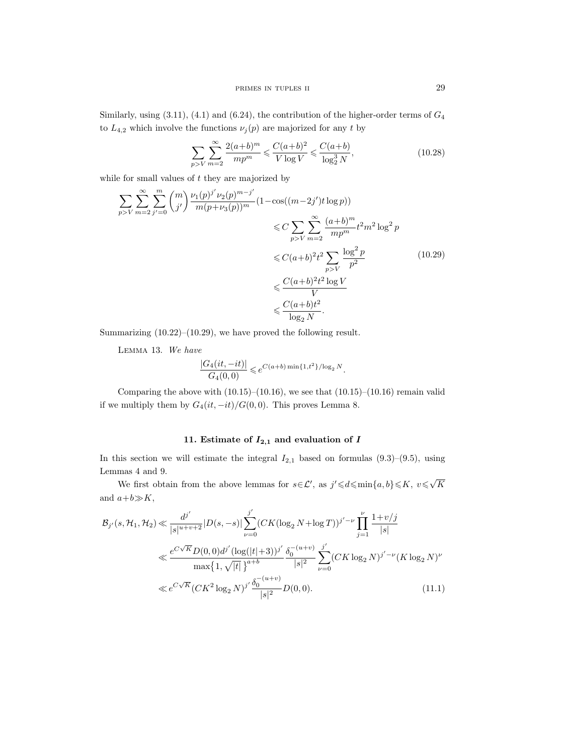Similarly, using  $(3.11)$ ,  $(4.1)$  and  $(6.24)$ , the contribution of the higher-order terms of  $G_4$ to  $L_{4,2}$  which involve the functions  $\nu_j(p)$  are majorized for any t by

$$
\sum_{p>V} \sum_{m=2}^{\infty} \frac{2(a+b)^m}{mp^m} \leq \frac{C(a+b)^2}{V \log V} \leq \frac{C(a+b)}{\log_2^3 N},\tag{10.28}
$$

while for small values of  $t$  they are majorized by

$$
\sum_{p>V} \sum_{m=2}^{\infty} \sum_{j'=0}^{m} {m \choose j'} \frac{\nu_1(p)^{j'} \nu_2(p)^{m-j'}}{m(p+\nu_3(p))^m} (1 - \cos((m-2j')t \log p))
$$
  

$$
\leq C \sum_{p>V} \sum_{m=2}^{\infty} \frac{(a+b)^m}{mp^m} t^2 m^2 \log^2 p
$$
  

$$
\leq C(a+b)^2 t^2 \sum_{p>V} \frac{\log^2 p}{p^2}
$$
  

$$
\leq C(a+b)^2 t^2 \log V
$$
  

$$
\leq \frac{C(a+b)t^2}{V}
$$
  

$$
\leq \frac{C(a+b)t^2}{\log_2 N}.
$$
 (10.29)

Summarizing (10.22)–(10.29), we have proved the following result.

Lemma 13. We have

$$
\frac{|G_4(it, -it)|}{G_4(0, 0)} \leqslant e^{C(a+b)\min\{1, t^2\}/\log_2 N}.
$$

Comparing the above with  $(10.15)$ – $(10.16)$ , we see that  $(10.15)$ – $(10.16)$  remain valid if we multiply them by  $G_4(it, -it)/G(0, 0)$ . This proves Lemma 8.

# 11. Estimate of  $I_{2,1}$  and evaluation of I

In this section we will estimate the integral  $I_{2,1}$  based on formulas  $(9.3)$ – $(9.5)$ , using Lemmas 4 and 9.

We first obtain from the above lemmas for  $s \in \mathcal{L}'$ , as  $j' \leq d \leq \min\{a, b\} \leq K$ ,  $v \leq \sqrt{d}$ K and  $a+b\gg K$ ,

$$
\mathcal{B}_{j'}(s, \mathcal{H}_1, \mathcal{H}_2) \ll \frac{d^{j'}}{|s|^{u+v+2}} |D(s, -s)| \sum_{\nu=0}^{j'} (CK(\log_2 N + \log T))^{j'-\nu} \prod_{j=1}^{\nu} \frac{1+v/j}{|s|}
$$
  

$$
\ll \frac{e^{C\sqrt{K}} D(0, 0) d^{j'} (\log(|t|+3))^{j'}}{\max\{1, \sqrt{|t|}\}^{a+b}} \frac{\delta_0^{-(u+v)}}{|s|^2} \sum_{\nu=0}^{j'} (CK \log_2 N)^{j'-\nu} (K \log_2 N)^{\nu}
$$
  

$$
\ll e^{C\sqrt{K}} (CK^2 \log_2 N)^{j'} \frac{\delta_0^{-(u+v)}}{|s|^2} D(0, 0). \tag{11.1}
$$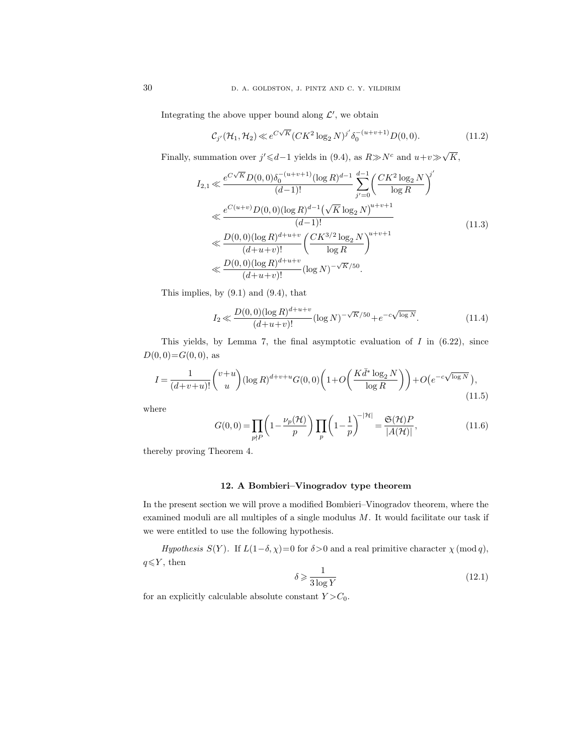Integrating the above upper bound along  $\mathcal{L}'$ , we obtain

$$
\mathcal{C}_{j'}(\mathcal{H}_1, \mathcal{H}_2) \ll e^{C\sqrt{K}} (CK^2 \log_2 N)^{j'} \delta_0^{-(u+v+1)} D(0,0). \tag{11.2}
$$

Finally, summation over  $j' \le d-1$  yields in (9.4), as  $R \gg N^c$  and  $u+v \gg \sqrt{ }$ K,

$$
I_{2,1} \ll \frac{e^{C\sqrt{K}}D(0,0)\delta_0^{-(u+v+1)}(\log R)^{d-1}}{(d-1)!} \sum_{j'=0}^{d-1} \left(\frac{CK^2\log_2 N}{\log R}\right)^{j'}
$$
  

$$
\ll \frac{e^{C(u+v)}D(0,0)(\log R)^{d-1}(\sqrt{K}\log_2 N)^{u+v+1}}{(d-1)!}
$$
  

$$
\ll \frac{D(0,0)(\log R)^{d+u+v}}{(d+u+v)!} \left(\frac{CK^{3/2}\log_2 N}{\log R}\right)^{u+v+1}
$$
  

$$
\ll \frac{D(0,0)(\log R)^{d+u+v}}{(d+u+v)!} (\log N)^{-\sqrt{K}/50}.
$$
 (11.3)

This implies, by (9.1) and (9.4), that

$$
I_2 \ll \frac{D(0,0)(\log R)^{d+u+v}}{(d+u+v)!} (\log N)^{-\sqrt{K}/50} + e^{-c\sqrt{\log N}}.
$$
 (11.4)

This yields, by Lemma 7, the final asymptotic evaluation of  $I$  in  $(6.22)$ , since  $D(0, 0) = G(0, 0)$ , as

$$
I = \frac{1}{(d+v+u)!} \binom{v+u}{u} (\log R)^{d+v+u} G(0,0) \left( 1 + O\left(\frac{K \bar{d}^* \log_2 N}{\log R}\right) \right) + O\left(e^{-c\sqrt{\log N}}\right),\tag{11.5}
$$

where

$$
G(0,0) = \prod_{p \nmid P} \left( 1 - \frac{\nu_p(\mathcal{H})}{p} \right) \prod_p \left( 1 - \frac{1}{p} \right)^{-|\mathcal{H}|} = \frac{\mathfrak{S}(\mathcal{H}) P}{|A(\mathcal{H})|},\tag{11.6}
$$

thereby proving Theorem 4.

# 12. A Bombieri–Vinogradov type theorem

In the present section we will prove a modified Bombieri–Vinogradov theorem, where the examined moduli are all multiples of a single modulus  $M$ . It would facilitate our task if we were entitled to use the following hypothesis.

Hypothesis  $S(Y)$ . If  $L(1-\delta, \chi)=0$  for  $\delta>0$  and a real primitive character  $\chi \pmod{q}$ ,  $q{\leqslant}Y,$  then

$$
\delta \geqslant \frac{1}{3\log Y} \tag{12.1}
$$

for an explicitly calculable absolute constant  $Y > C_0$ .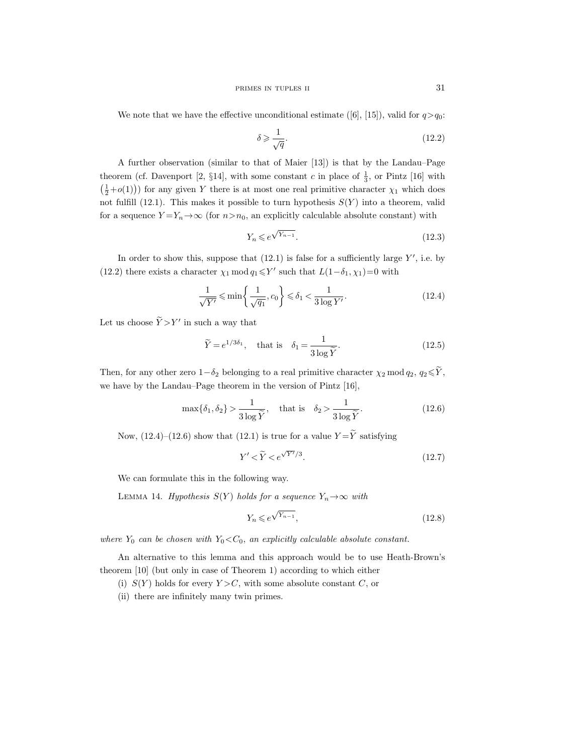We note that we have the effective unconditional estimate ([6], [15]), valid for  $q>q_0$ :

$$
\delta \geqslant \frac{1}{\sqrt{q}}.\tag{12.2}
$$

A further observation (similar to that of Maier [13]) is that by the Landau–Page theorem (cf. Davenport [2, §14], with some constant c in place of  $\frac{1}{3}$ , or Pintz [16] with  $(\frac{1}{2}+o(1))$  for any given Y there is at most one real primitive character  $\chi_1$  which does not fulfill (12.1). This makes it possible to turn hypothesis  $S(Y)$  into a theorem, valid for a sequence  $Y = Y_n \rightarrow \infty$  (for  $n > n_0$ , an explicitly calculable absolute constant) with

$$
Y_n \leqslant e^{\sqrt{Y_{n-1}}}.\tag{12.3}
$$

In order to show this, suppose that  $(12.1)$  is false for a sufficiently large Y', i.e. by (12.2) there exists a character  $\chi_1 \mod q_1 \leq Y'$  such that  $L(1-\delta_1, \chi_1)=0$  with

$$
\frac{1}{\sqrt{Y'}} \le \min\left\{\frac{1}{\sqrt{q_1}}, c_0\right\} \le \delta_1 < \frac{1}{3\log Y'}.\tag{12.4}
$$

Let us choose  $\tilde{Y} > Y'$  in such a way that

$$
\widetilde{Y} = e^{1/3\delta_1}, \quad \text{that is} \quad \delta_1 = \frac{1}{3\log \widetilde{Y}}.\tag{12.5}
$$

Then, for any other zero  $1-\delta_2$  belonging to a real primitive character  $\chi_2 \mod q_2$ ,  $q_2 \leq Y$ , we have by the Landau–Page theorem in the version of Pintz [16],

$$
\max\{\delta_1, \delta_2\} > \frac{1}{3\log \widetilde{Y}}, \quad \text{that is} \quad \delta_2 > \frac{1}{3\log \widetilde{Y}}.\tag{12.6}
$$

Now,  $(12.4)$ – $(12.6)$  show that  $(12.1)$  is true for a value  $Y = \widetilde{Y}$  satisfying

$$
Y' \langle \tilde{Y} \langle e^{\sqrt{Y'}/3} \rangle. \tag{12.7}
$$

We can formulate this in the following way.

LEMMA 14. Hypothesis  $S(Y)$  holds for a sequence  $Y_n \to \infty$  with

$$
Y_n \leqslant e^{\sqrt{Y_{n-1}}},\tag{12.8}
$$

where  $Y_0$  can be chosen with  $Y_0 \ll C_0$ , an explicitly calculable absolute constant.

An alternative to this lemma and this approach would be to use Heath-Brown's theorem [10] (but only in case of Theorem 1) according to which either

- (i)  $S(Y)$  holds for every  $Y > C$ , with some absolute constant C, or
- (ii) there are infinitely many twin primes.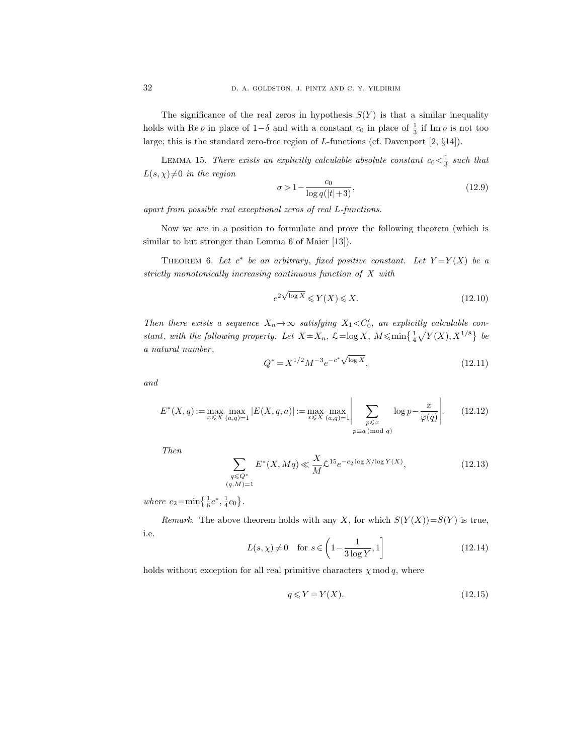The significance of the real zeros in hypothesis  $S(Y)$  is that a similar inequality holds with Re  $\varrho$  in place of 1- $\delta$  and with a constant  $c_0$  in place of  $\frac{1}{3}$  if Im  $\varrho$  is not too large; this is the standard zero-free region of L-functions (cf. Davenport [2, §14]).

LEMMA 15. There exists an explicitly calculable absolute constant  $c_0 < \frac{1}{3}$  such that  $L(s, \chi) \neq 0$  in the region

$$
\sigma > 1 - \frac{c_0}{\log q(|t|+3)},\tag{12.9}
$$

apart from possible real exceptional zeros of real L-functions.

Now we are in a position to formulate and prove the following theorem (which is similar to but stronger than Lemma 6 of Maier [13]).

THEOREM 6. Let  $c^*$  be an arbitrary, fixed positive constant. Let  $Y = Y(X)$  be a strictly monotonically increasing continuous function of X with

$$
e^{2\sqrt{\log X}} \leqslant Y(X) \leqslant X. \tag{12.10}
$$

Then there exists a sequence  $X_n \to \infty$  satisfying  $X_1 \lt C_0'$ , an explicitly calculable constant, with the following property. Let  $X = X_n$ ,  $\mathcal{L} = \log X$ ,  $M \leqslant \min\left\{\frac{1}{4}\sqrt{Y(X)}, X^{1/8}\right\}$  be a natural number ,

$$
Q^* = X^{1/2} M^{-3} e^{-c^* \sqrt{\log X}}, \tag{12.11}
$$

and

$$
E^*(X, q) := \max_{x \le X} \max_{(a,q)=1} |E(X, q, a)| := \max_{x \le X} \max_{(a,q)=1} \left| \sum_{\substack{p \le x \\ p \equiv a \pmod{q}}} \log p - \frac{x}{\varphi(q)} \right|.
$$
 (12.12)

Then

$$
\sum_{\substack{q \leq Q^* \\ (q,M)=1}} E^*(X, Mq) \ll \frac{X}{M} \mathcal{L}^{15} e^{-c_2 \log X / \log Y(X)}, \tag{12.13}
$$

where  $c_2 = \min\left\{\frac{1}{6}c^*, \frac{1}{4}c_0\right\}.$ 

Remark. The above theorem holds with any X, for which  $S(Y(X))=S(Y)$  is true, i.e.

$$
L(s, \chi) \neq 0 \quad \text{for } s \in \left(1 - \frac{1}{3\log Y}, 1\right] \tag{12.14}
$$

holds without exception for all real primitive characters  $\chi \mod q$ , where

$$
q \leqslant Y = Y(X). \tag{12.15}
$$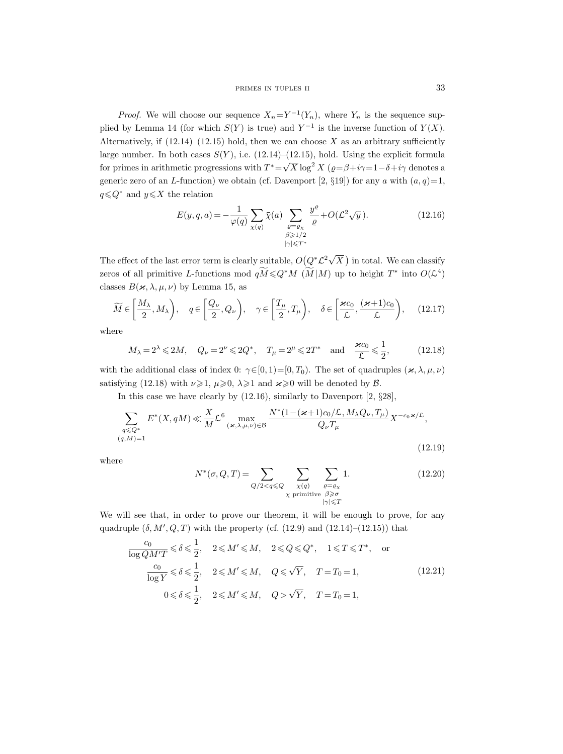*Proof.* We will choose our sequence  $X_n = Y^{-1}(Y_n)$ , where  $Y_n$  is the sequence supplied by Lemma 14 (for which  $S(Y)$  is true) and  $Y^{-1}$  is the inverse function of  $Y(X)$ . Alternatively, if  $(12.14)$ – $(12.15)$  hold, then we can choose X as an arbitrary sufficiently large number. In both cases  $S(Y)$ , i.e. (12.14)–(12.15), hold. Using the explicit formula for primes in arithmetic progressions with  $T^* = \sqrt{X} \log^2 X$  ( $\rho = \beta + i\gamma = 1 - \delta + i\gamma$  denotes a generic zero of an L-function) we obtain (cf. Davenport [2, §19]) for any a with  $(a, q)=1$ ,  $q \leq Q^*$  and  $y \leq X$  the relation

$$
E(y, q, a) = -\frac{1}{\varphi(q)} \sum_{\substack{\chi(q) \\ \beta \ge 1/2}} \bar{\chi}(a) \sum_{\substack{\varrho = \varrho_{\chi} \\ \beta \ge 1/2}} \frac{y^{\varrho}}{\varrho} + O(\mathcal{L}^2 \sqrt{y}). \tag{12.16}
$$

The effect of the last error term is clearly suitable,  $O(Q^* \mathcal{L}^2 \sqrt{})$  $(X)$  in total. We can classify zeros of all primitive L-functions mod  $q\widetilde{M} \leq Q^*M\left(\widetilde{M}|M\right)$  up to height  $T^*$  into  $O(\mathcal{L}^4)$ classes  $B(x, \lambda, \mu, \nu)$  by Lemma 15, as

$$
\widetilde{M} \in \left[\frac{M_{\lambda}}{2}, M_{\lambda}\right), \quad q \in \left[\frac{Q_{\nu}}{2}, Q_{\nu}\right), \quad \gamma \in \left[\frac{T_{\mu}}{2}, T_{\mu}\right), \quad \delta \in \left[\frac{\varkappa c_0}{\mathcal{L}}, \frac{(\varkappa + 1)c_0}{\mathcal{L}}\right), \quad (12.17)
$$

where

$$
M_{\lambda} = 2^{\lambda} \leq 2M
$$
,  $Q_{\nu} = 2^{\nu} \leq 2Q^*$ ,  $T_{\mu} = 2^{\mu} \leq 2T^*$  and  $\frac{\varkappa c_0}{\mathcal{L}} \leq \frac{1}{2}$ , (12.18)

with the additional class of index 0:  $\gamma \in [0, 1) = [0, T_0)$ . The set of quadruples  $(\varkappa, \lambda, \mu, \nu)$ satisfying (12.18) with  $\nu \ge 1$ ,  $\mu \ge 0$ ,  $\lambda \ge 1$  and  $\varkappa \ge 0$  will be denoted by  $\beta$ .

In this case we have clearly by  $(12.16)$ , similarly to Davenport [2, §28],

$$
\sum_{\substack{q \leq Q^* \\ (q,M)=1}} E^*(X, qM) \ll \frac{X}{M} \mathcal{L}^6 \max_{(\varkappa, \lambda, \mu, \nu) \in \mathcal{B}} \frac{N^*(1 - (\varkappa + 1)c_0/\mathcal{L}, M_\lambda Q_\nu, T_\mu)}{Q_\nu T_\mu} X^{-c_0 \varkappa / \mathcal{L}},
$$
\n(12.19)

where

$$
N^*(\sigma, Q, T) = \sum_{Q/2 < q \le Q} \sum_{\substack{\chi(q) \\ \chi \text{ primitive}}} \sum_{\substack{\varrho = \varrho_\chi \\ \beta \ge \sigma \\ |\gamma| \le T}} 1. \tag{12.20}
$$

We will see that, in order to prove our theorem, it will be enough to prove, for any quadruple  $(\delta, M', Q, T)$  with the property (cf. (12.9) and (12.14)–(12.15)) that

$$
\frac{c_0}{\log QM'T} \leq \delta \leq \frac{1}{2}, \quad 2 \leq M' \leq M, \quad 2 \leq Q \leq Q^*, \quad 1 \leq T \leq T^*, \quad \text{or}
$$
\n
$$
\frac{c_0}{\log Y} \leq \delta \leq \frac{1}{2}, \quad 2 \leq M' \leq M, \quad Q \leq \sqrt{Y}, \quad T = T_0 = 1,
$$
\n
$$
0 \leq \delta \leq \frac{1}{2}, \quad 2 \leq M' \leq M, \quad Q > \sqrt{Y}, \quad T = T_0 = 1,
$$
\n(12.21)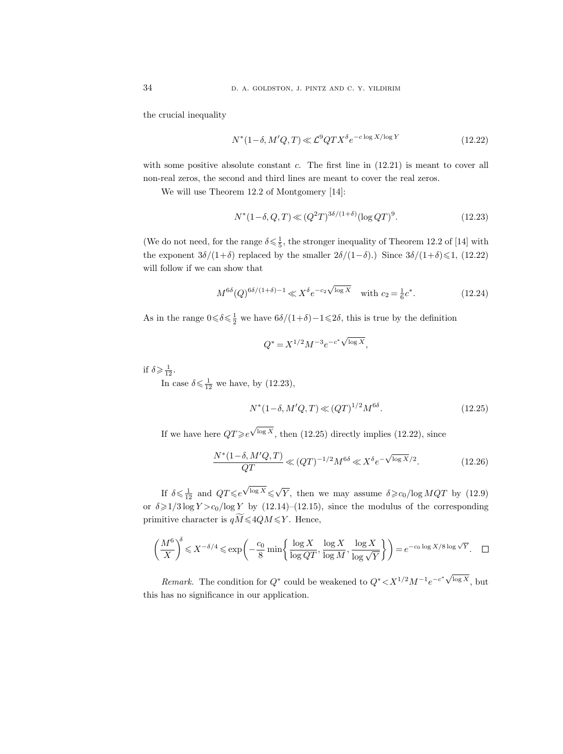the crucial inequality

$$
N^*(1-\delta, M'Q, T) \ll \mathcal{L}^9 Q T X^{\delta} e^{-c \log X/\log Y}
$$
\n(12.22)

with some positive absolute constant  $c$ . The first line in  $(12.21)$  is meant to cover all non-real zeros, the second and third lines are meant to cover the real zeros.

We will use Theorem 12.2 of Montgomery [14]:

$$
N^*(1-\delta, Q, T) \ll (Q^2 T)^{3\delta/(1+\delta)} (\log QT)^9. \tag{12.23}
$$

(We do not need, for the range  $\delta \leq \frac{1}{5}$ , the stronger inequality of Theorem 12.2 of [14] with the exponent  $3\delta/(1+\delta)$  replaced by the smaller  $2\delta/(1-\delta)$ .) Since  $3\delta/(1+\delta) \leq 1$ , (12.22) will follow if we can show that

$$
M^{6\delta}(Q)^{6\delta/(1+\delta)-1} \ll X^{\delta} e^{-c_2 \sqrt{\log X}} \quad \text{with } c_2 = \frac{1}{6}c^*.
$$
 (12.24)

As in the range  $0 \le \delta \le \frac{1}{2}$  we have  $6\delta/(1+\delta)-1 \le 2\delta$ , this is true by the definition

$$
Q^* = X^{1/2} M^{-3} e^{-c^* \sqrt{\log X}},
$$

if  $\delta \geqslant \frac{1}{12}$ .

In case  $\delta \leqslant \frac{1}{12}$  we have, by (12.23),

$$
N^*(1-\delta, M'Q, T) \ll (QT)^{1/2} M^{6\delta}.
$$
\n(12.25)

If we have here  $QT\!\geqslant\!e$ √  $\log X$ , then (12.25) directly implies (12.22), since

$$
\frac{N^*(1-\delta, M'Q, T)}{QT} \ll (QT)^{-1/2} M^{6\delta} \ll X^{\delta} e^{-\sqrt{\log X}/2}.
$$
 (12.26)

If  $\delta \leqslant \frac{1}{12}$  and  $QT \leqslant e$ √  $\overline{\log X} \leqslant \sqrt{Y}$ , then we may assume  $\delta \geqslant c_0/\log MQT$  by (12.9) or  $\delta \geq 1/3 \log Y > c_0/\log Y$  by (12.14)–(12.15), since the modulus of the corresponding primitive character is  $q\widetilde{M}\leqslant 4QM\leqslant Y$ . Hence,

$$
\left(\frac{M^6}{X}\right)^{\delta} \leqslant X^{-\delta/4} \leqslant \exp\left(-\frac{c_0}{8}\min\left\{\frac{\log X}{\log QT}, \frac{\log X}{\log M}, \frac{\log X}{\log \sqrt{Y}}\right\}\right) = e^{-c_0 \log X/8 \log \sqrt{Y}}.\quad \Box
$$

Remark. The condition for  $Q^*$  could be weakened to  $Q^* < X^{1/2} M^{-1} e^{-c^* \sqrt{\log X}}$ , but this has no significance in our application.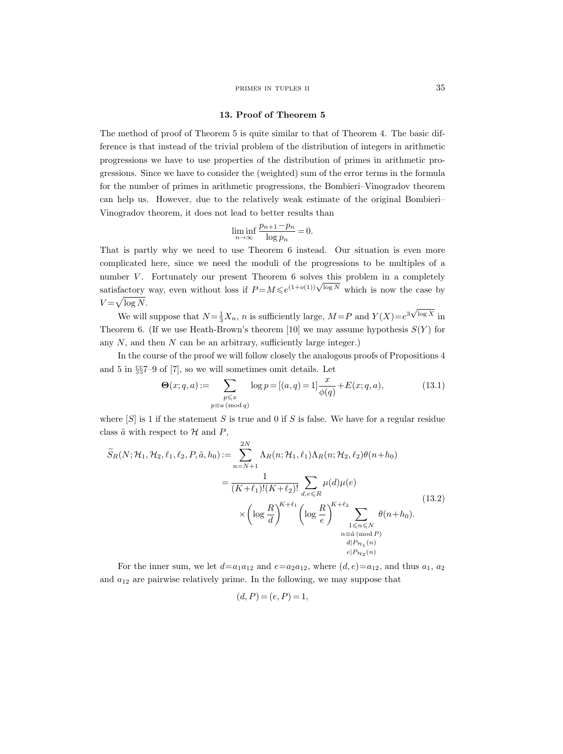#### primes in tuples ii 35

#### 13. Proof of Theorem 5

The method of proof of Theorem 5 is quite similar to that of Theorem 4. The basic difference is that instead of the trivial problem of the distribution of integers in arithmetic progressions we have to use properties of the distribution of primes in arithmetic progressions. Since we have to consider the (weighted) sum of the error terms in the formula for the number of primes in arithmetic progressions, the Bombieri–Vinogradov theorem can help us. However, due to the relatively weak estimate of the original Bombieri– Vinogradov theorem, it does not lead to better results than

$$
\liminf_{n \to \infty} \frac{p_{n+1} - p_n}{\log p_n} = 0.
$$

That is partly why we need to use Theorem 6 instead. Our situation is even more complicated here, since we need the moduli of the progressions to be multiples of a number  $V$ . Fortunately our present Theorem  $6$  solves this problem in a completely number v. Fortunately our present Theorem o solves this problem in a completely satisfactory way, even without loss if  $P = M \leq e^{(1+o(1))\sqrt{\log N}}$  which is now the case by  $V = \sqrt{\log N}.$ 

We will suppose that  $N = \frac{1}{3}X_n$ , *n* is sufficiently large,  $M = P$  and  $Y(X) = e^{3\sqrt{2}}$  $\log X$  in Theorem 6. (If we use Heath-Brown's theorem [10] we may assume hypothesis  $S(Y)$  for any  $N$ , and then  $N$  can be an arbitrary, sufficiently large integer.)

In the course of the proof we will follow closely the analogous proofs of Propositions 4 and 5 in §§7–9 of [7], so we will sometimes omit details. Let

$$
\Theta(x;q,a) := \sum_{\substack{p \leq x \\ p \equiv a \pmod{q}}} \log p = [(a,q) = 1] \frac{x}{\phi(q)} + E(x;q,a), \tag{13.1}
$$

where  $[S]$  is 1 if the statement S is true and 0 if S is false. We have for a regular residue class  $\tilde{a}$  with respect to  $\mathcal{H}$  and  $P$ ,

$$
\widetilde{S}_R(N; \mathcal{H}_1, \mathcal{H}_2, \ell_1, \ell_2, P, \tilde{a}, h_0) := \sum_{n=N+1}^{2N} \Lambda_R(n; \mathcal{H}_1, \ell_1) \Lambda_R(n; \mathcal{H}_2, \ell_2) \theta(n+h_0)
$$
\n
$$
= \frac{1}{(K+\ell_1)!(K+\ell_2)!} \sum_{d,e \le R} \mu(d)\mu(e)
$$
\n
$$
\times \left(\log \frac{R}{d}\right)^{K+\ell_1} \left(\log \frac{R}{e}\right)^{K+\ell_2} \sum_{\substack{1 \le n \le N \\ n \equiv \tilde{a} \pmod{P} \\ d|P_{\mathcal{H}_1}(n)}} \theta(n+h_0).
$$
\n(13.2)

For the inner sum, we let  $d=a_1a_{12}$  and  $e=a_2a_{12}$ , where  $(d, e)=a_{12}$ , and thus  $a_1, a_2$ and  $a_{12}$  are pairwise relatively prime. In the following, we may suppose that

$$
(d, P) = (e, P) = 1,
$$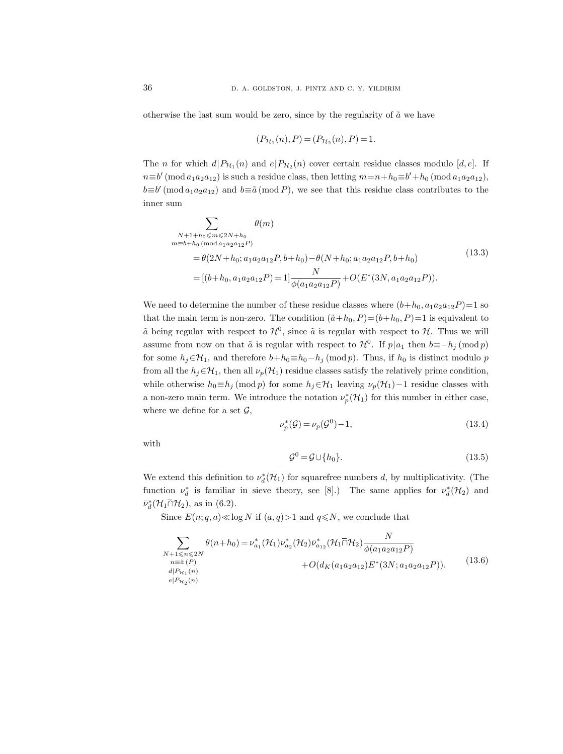otherwise the last sum would be zero, since by the regularity of  $\tilde{a}$  we have

$$
(P_{\mathcal{H}_1}(n), P) = (P_{\mathcal{H}_2}(n), P) = 1.
$$

The *n* for which  $d|P_{H_1}(n)$  and  $e|P_{H_2}(n)$  cover certain residue classes modulo [*d*, *e*]. If  $n \equiv b' \pmod{a_1 a_2 a_{12}}$  is such a residue class, then letting  $m = n + h_0 \equiv b' + h_0 \pmod{a_1 a_2 a_{12}}$ ,  $b \equiv b' \pmod{a_1 a_2 a_{12}}$  and  $b \equiv \tilde{a} \pmod{P}$ , we see that this residue class contributes to the inner sum

$$
\sum_{\substack{N+1+h_0 \le m \le 2N+h_0 \\ m \equiv b+h_0 \pmod{a_1 a_2 a_1 2}P}} \theta(m)
$$
\n
$$
= \theta(2N+h_0; a_1 a_2 a_1 2P, b+h_0) - \theta(N+h_0; a_1 a_2 a_1 2P, b+h_0)
$$
\n
$$
= [(b+h_0, a_1 a_2 a_1 2P) = 1] \frac{N}{\phi(a_1 a_2 a_1 2P)} + O(E^*(3N, a_1 a_2 a_1 2P)).
$$
\n(13.3)

We need to determine the number of these residue classes where  $(b+h_0, a_1a_2a_{12}P)=1$  so that the main term is non-zero. The condition  $(\tilde{a}+h_0, P)=(b+h_0, P)=1$  is equivalent to  $\tilde{a}$  being regular with respect to  $\mathcal{H}^0$ , since  $\tilde{a}$  is regular with respect to  $\mathcal{H}$ . Thus we will assume from now on that  $\tilde{a}$  is regular with respect to  $\mathcal{H}^0$ . If  $p|a_1$  then  $b \equiv -h_j \pmod{p}$ for some  $h_j \in \mathcal{H}_1$ , and therefore  $b+h_0 \equiv h_0-h_j \pmod{p}$ . Thus, if  $h_0$  is distinct modulo p from all the  $h_j \in \mathcal{H}_1$ , then all  $\nu_p(\mathcal{H}_1)$  residue classes satisfy the relatively prime condition, while otherwise  $h_0 \equiv h_j \pmod{p}$  for some  $h_j \in \mathcal{H}_1$  leaving  $\nu_p(\mathcal{H}_1) - 1$  residue classes with a non-zero main term. We introduce the notation  $\nu_p^*(\mathcal{H}_1)$  for this number in either case, where we define for a set  $\mathcal{G},$ 

$$
\nu_p^*(\mathcal{G}) = \nu_p(\mathcal{G}^0) - 1,\tag{13.4}
$$

with

$$
\mathcal{G}^0 = \mathcal{G} \cup \{h_0\}.\tag{13.5}
$$

We extend this definition to  $\nu_d^*(\mathcal{H}_1)$  for squarefree numbers d, by multiplicativity. (The function  $\nu_d^*$  is familiar in sieve theory, see [8].) The same applies for  $\nu_d^*(\mathcal{H}_2)$  and  $\bar{\nu}_d^*(\mathcal{H}_1 \bar{\cap} \mathcal{H}_2)$ , as in (6.2).

Since  $E(n; q, a) \ll \log N$  if  $(a, q) > 1$  and  $q \ll N$ , we conclude that

$$
\sum_{\substack{N+1 \le n \le 2N \\ n \equiv \tilde{a}(P) \\ d|P_{\mathcal{H}_1}(n)}} \theta(n+h_0) = \nu_{a_1}^* (\mathcal{H}_1) \nu_{a_2}^* (\mathcal{H}_2) \bar{\nu}_{a_{12}}^* (\mathcal{H}_1 \bar{\cap} \mathcal{H}_2) \frac{N}{\phi(a_1 a_2 a_{12} P)} + O(d_K(a_1 a_2 a_{12}) E^* (3N; a_1 a_2 a_{12} P)).
$$
\n(13.6)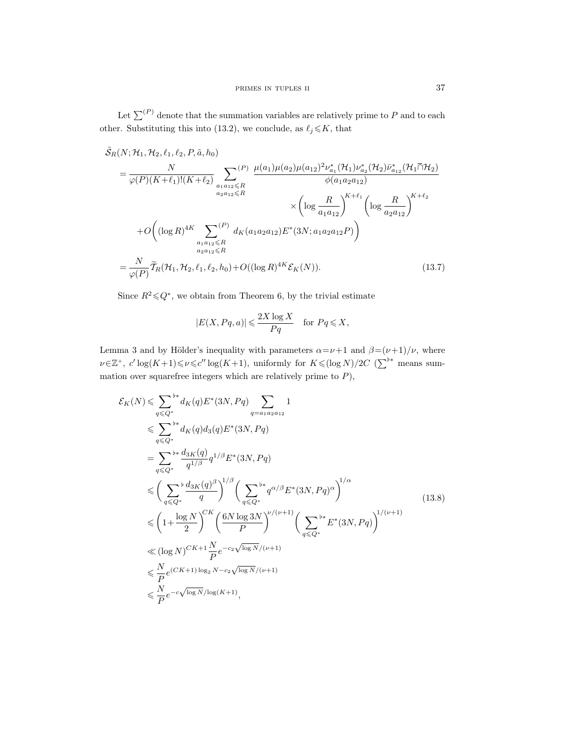Let  $\sum^{(P)}$  denote that the summation variables are relatively prime to P and to each other. Substituting this into (13.2), we conclude, as  $\ell_j \leq K$ , that

$$
\tilde{S}_{R}(N; \mathcal{H}_{1}, \mathcal{H}_{2}, \ell_{1}, \ell_{2}, P, \tilde{a}, h_{0})
$$
\n
$$
= \frac{N}{\varphi(P)(K+\ell_{1})!(K+\ell_{2})} \sum_{\substack{a_{1}a_{12} \leq R \\ a_{2}a_{12} \leq R}} \frac{\mu(a_{1})\mu(a_{2})\mu(a_{12})^{2} \nu_{a_{1}}^{*}(\mathcal{H}_{1})\nu_{a_{2}}^{*}(\mathcal{H}_{2})\bar{\nu}_{a_{12}}^{*}(\mathcal{H}_{1} \bar{\cap} \mathcal{H}_{2})}{\phi(a_{1}a_{2}a_{12})}
$$
\n
$$
\times \left(\log \frac{R}{a_{1}a_{12}}\right)^{K+\ell_{1}} \left(\log \frac{R}{a_{2}a_{12}}\right)^{K+\ell_{2}}
$$
\n
$$
+ O\left((\log R)^{4K} \sum_{\substack{a_{1}a_{12} \leq R \\ a_{2}a_{12} \leq R}} \mu(a_{1}a_{2}a_{12})E^{*}(3N; a_{1}a_{2}a_{12}P)\right)
$$
\n
$$
= \frac{N}{\varphi(P)} \widetilde{\mathcal{T}}_{R}(\mathcal{H}_{1}, \mathcal{H}_{2}, \ell_{1}, \ell_{2}, h_{0}) + O((\log R)^{4K} \mathcal{E}_{K}(N)). \tag{13.7}
$$

Since  $R^2 \leq Q^*$ , we obtain from Theorem 6, by the trivial estimate

$$
|E(X, Pq, a)| \leqslant \frac{2X \log X}{Pq} \quad \text{for } Pq \leqslant X,
$$

Lemma 3 and by Hölder's inequality with parameters  $\alpha = \nu + 1$  and  $\beta = (\nu + 1)/\nu$ , where  $\nu \in \mathbb{Z}^+$ ,  $c' \log(K+1) \leq \nu \leq c'' \log(K+1)$ , uniformly for  $K \leq (\log N)/2C$  ( $\sum^{b*}$  means summation over squarefree integers which are relatively prime to  $P$ ),

$$
\mathcal{E}_{K}(N) \leq \sum_{q \leq Q^{*}} \phi_{K}(q) E^{*}(3N, Pq) \sum_{q=a_{1}a_{2}a_{12}} 1
$$
\n
$$
\leq \sum_{q \leq Q^{*}} \phi_{K}(q) d_{3}(q) E^{*}(3N, Pq)
$$
\n
$$
= \sum_{q \leq Q^{*}} \phi_{K}(q) d_{3}(q) E^{*}(3N, Pq)
$$
\n
$$
\leq \left(\sum_{q \leq Q^{*}} \phi_{q} d_{1/\beta} d_{1/\beta} E^{*}(3N, Pq)\right)
$$
\n
$$
\leq \left(\sum_{q \leq Q^{*}} \phi_{q} d_{2N} \right)^{1/\beta} \left(\sum_{q \leq Q^{*}} \phi_{q} d_{1/\beta} E^{*}(3N, Pq)^{\alpha}\right)^{1/\alpha}
$$
\n
$$
\leq \left(1 + \frac{\log N}{2}\right)^{CK} \left(\frac{6N \log 3N}{P}\right)^{\nu/(\nu+1)} \left(\sum_{q \leq Q^{*}} \phi_{K}(3N, Pq)\right)^{1/(\nu+1)}
$$
\n
$$
\leq \left(\log N\right)^{CK+1} \frac{N}{P} e^{-c_{2}\sqrt{\log N}/(\nu+1)}
$$
\n
$$
\leq \frac{N}{P} e^{(CK+1)\log_{2}N - c_{2}\sqrt{\log N}/(\nu+1)}
$$
\n
$$
\leq \frac{N}{P} e^{-c\sqrt{\log N}/\log(K+1)},
$$
\n(13.8)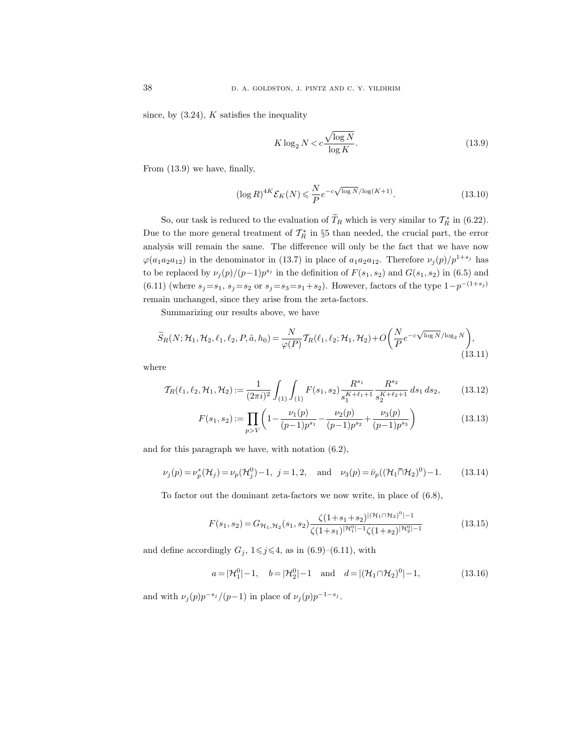since, by  $(3.24)$ , K satisfies the inequality

$$
K \log_2 N < c \frac{\sqrt{\log N}}{\log K}.\tag{13.9}
$$

From (13.9) we have, finally,

$$
(\log R)^{4K} \mathcal{E}_K(N) \leq \frac{N}{P} e^{-c\sqrt{\log N}/\log(K+1)}.
$$
\n(13.10)

So, our task is reduced to the evaluation of  $T_R$  which is very similar to  $\mathcal{T}_R^*$  in (6.22). Due to the more general treatment of  $\mathcal{T}_R^*$  in §5 than needed, the crucial part, the error analysis will remain the same. The difference will only be the fact that we have now  $\varphi(a_1a_2a_{12})$  in the denominator in (13.7) in place of  $a_1a_2a_{12}$ . Therefore  $\nu_j(p)/p^{1+s_j}$  has to be replaced by  $\nu_j(p)/(p-1)p^{s_j}$  in the definition of  $F(s_1, s_2)$  and  $G(s_1, s_2)$  in (6.5) and (6.11) (where  $s_j = s_1$ ,  $s_j = s_2$  or  $s_j = s_3 = s_1 + s_2$ ). However, factors of the type  $1-p^{-(1+s_j)}$ remain unchanged, since they arise from the zeta-factors.

Summarizing our results above, we have

$$
\widetilde{S}_R(N; \mathcal{H}_1, \mathcal{H}_2, \ell_1, \ell_2, P, \tilde{a}, h_0) = \frac{N}{\varphi(P)} T_R(\ell_1, \ell_2; \mathcal{H}_1, \mathcal{H}_2) + O\left(\frac{N}{P} e^{-c\sqrt{\log N}/\log_2 N}\right),\tag{13.11}
$$

where

$$
\mathcal{T}_{R}(\ell_1, \ell_2, \mathcal{H}_1, \mathcal{H}_2) := \frac{1}{(2\pi i)^2} \int_{(1)} \int_{(1)} F(s_1, s_2) \frac{R^{s_1}}{s_1^{K+\ell_1+1}} \frac{R^{s_2}}{s_2^{K+\ell_2+1}} ds_1 ds_2, \tag{13.12}
$$

$$
F(s_1, s_2) := \prod_{p>V} \left( 1 - \frac{\nu_1(p)}{(p-1)p^{s_1}} - \frac{\nu_2(p)}{(p-1)p^{s_2}} + \frac{\nu_3(p)}{(p-1)p^{s_3}} \right)
$$
(13.13)

and for this paragraph we have, with notation (6.2),

$$
\nu_j(p) = \nu_p^*(\mathcal{H}_j) = \nu_p(\mathcal{H}_j^0) - 1, \ j = 1, 2, \text{ and } \nu_3(p) = \bar{\nu}_p((\mathcal{H}_1 \bar{\cap} \mathcal{H}_2)^0) - 1.
$$
 (13.14)

To factor out the dominant zeta-factors we now write, in place of (6.8),

$$
F(s_1, s_2) = G_{\mathcal{H}_1, \mathcal{H}_2}(s_1, s_2) \frac{\zeta(1 + s_1 + s_2)^{|\mathcal{H}_1 \cap \mathcal{H}_2|^0 - 1}}{\zeta(1 + s_1)^{|\mathcal{H}_1^0| - 1} \zeta(1 + s_2)^{|\mathcal{H}_2^0| - 1}}
$$
(13.15)

and define accordingly  $G_j$ ,  $1 \leq j \leq 4$ , as in (6.9)–(6.11), with

$$
a = |\mathcal{H}_1^0| - 1
$$
,  $b = |\mathcal{H}_2^0| - 1$  and  $d = |(\mathcal{H}_1 \cap \mathcal{H}_2)^0| - 1$ , (13.16)

and with  $\nu_j(p)p^{-s_j}/(p-1)$  in place of  $\nu_j(p)p^{-1-s_j}$ .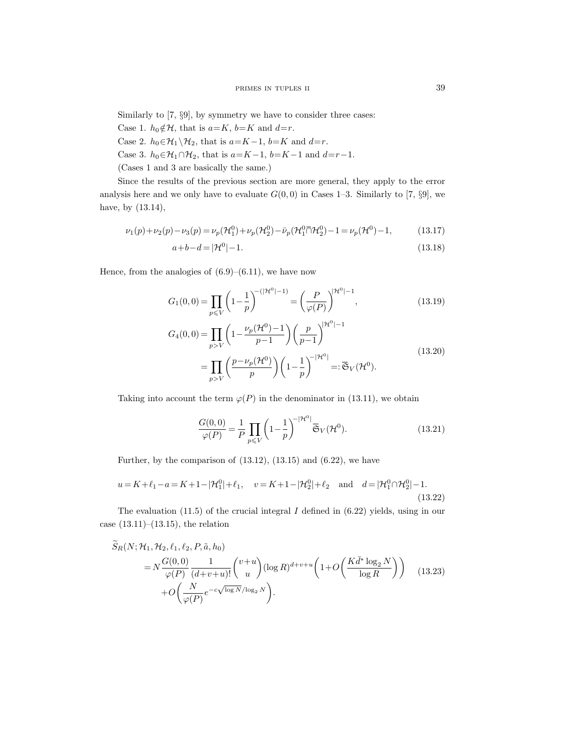Similarly to [7, §9], by symmetry we have to consider three cases:

- Case 1.  $h_0 \notin \mathcal{H}$ , that is  $a = K$ ,  $b = K$  and  $d = r$ .
- Case 2.  $h_0 \in \mathcal{H}_1 \backslash \mathcal{H}_2$ , that is  $a = K 1$ ,  $b = K$  and  $d = r$ .
- Case 3.  $h_0 \in \mathcal{H}_1 \cap \mathcal{H}_2$ , that is  $a = K 1$ ,  $b = K 1$  and  $d = r 1$ .

(Cases 1 and 3 are basically the same.)

Since the results of the previous section are more general, they apply to the error analysis here and we only have to evaluate  $G(0,0)$  in Cases 1–3. Similarly to [7, §9], we have, by (13.14),

$$
\nu_1(p) + \nu_2(p) - \nu_3(p) = \nu_p(\mathcal{H}_1^0) + \nu_p(\mathcal{H}_2^0) - \bar{\nu}_p(\mathcal{H}_1^0 \bar{\cap} \mathcal{H}_2^0) - 1 = \nu_p(\mathcal{H}^0) - 1, \tag{13.17}
$$

$$
a+b-d = |\mathcal{H}^0| - 1. \tag{13.18}
$$

Hence, from the analogies of  $(6.9)$ – $(6.11)$ , we have now

$$
G_1(0,0) = \prod_{p \le V} \left(1 - \frac{1}{p}\right)^{-(|\mathcal{H}^0| - 1)} = \left(\frac{P}{\varphi(P)}\right)^{|\mathcal{H}^0| - 1},\tag{13.19}
$$

$$
G_{4}(0,0) = \prod_{p>V} \left(1 - \frac{\nu_{p}(\mathcal{H}^{0}) - 1}{p - 1}\right) \left(\frac{p}{p - 1}\right)^{|\mathcal{H}^{0}| - 1}
$$
  
= 
$$
\prod_{p>V} \left(\frac{p - \nu_{p}(\mathcal{H}^{0})}{p}\right) \left(1 - \frac{1}{p}\right)^{-|\mathcal{H}^{0}|} =: \overline{\mathfrak{S}}_{V}(\mathcal{H}^{0}).
$$
 (13.20)

Taking into account the term  $\varphi(P)$  in the denominator in (13.11), we obtain

$$
\frac{G(0,0)}{\varphi(P)} = \frac{1}{P} \prod_{p \le V} \left(1 - \frac{1}{p}\right)^{-|\mathcal{H}^0|} \overline{\mathfrak{S}}_V(\mathcal{H}^0). \tag{13.21}
$$

Further, by the comparison of  $(13.12)$ ,  $(13.15)$  and  $(6.22)$ , we have

$$
u = K + \ell_1 - a = K + 1 - |\mathcal{H}_1^0| + \ell_1, \quad v = K + 1 - |\mathcal{H}_2^0| + \ell_2 \quad \text{and} \quad d = |\mathcal{H}_1^0 \cap \mathcal{H}_2^0| - 1.
$$
\n(13.22)

The evaluation  $(11.5)$  of the crucial integral I defined in  $(6.22)$  yields, using in our case  $(13.11)–(13.15)$ , the relation

$$
S_R(N; \mathcal{H}_1, \mathcal{H}_2, \ell_1, \ell_2, P, \tilde{a}, h_0)
$$
  
=  $N \frac{G(0, 0)}{\varphi(P)} \frac{1}{(d+v+u)!} {v+u \choose u} (\log R)^{d+v+u} \left(1 + O\left(\frac{K \bar{d}^* \log_2 N}{\log R}\right)\right)$  (13.23)  
+  $O\left(\frac{N}{\varphi(P)} e^{-c\sqrt{\log N}/\log_2 N}\right).$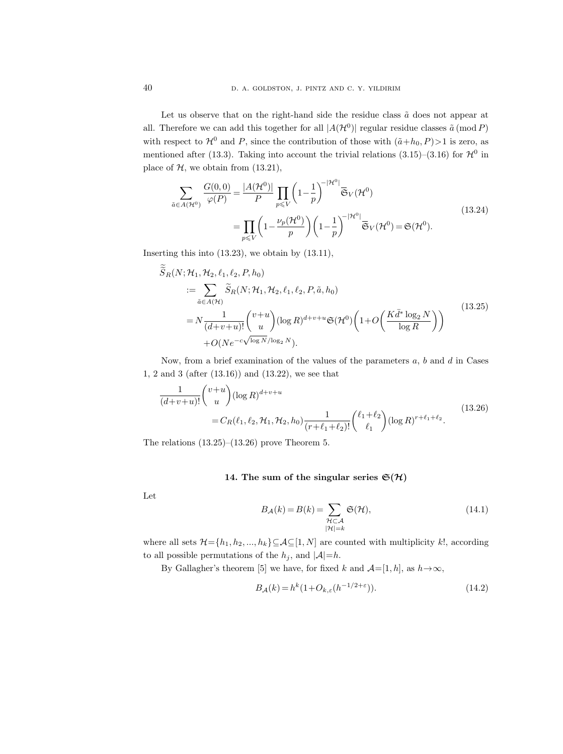Let us observe that on the right-hand side the residue class  $\tilde{a}$  does not appear at all. Therefore we can add this together for all  $|A(\mathcal{H}^0)|$  regular residue classes  $\tilde{a}$  (mod P) with respect to  $\mathcal{H}^0$  and P, since the contribution of those with  $(\tilde{a}+h_0, P)$ >1 is zero, as mentioned after (13.3). Taking into account the trivial relations (3.15)–(3.16) for  $\mathcal{H}^0$  in place of  $H$ , we obtain from  $(13.21)$ ,

$$
\sum_{\tilde{a}\in A(\mathcal{H}^0)} \frac{G(0,0)}{\varphi(P)} = \frac{|A(\mathcal{H}^0)|}{P} \prod_{p\leq V} \left(1 - \frac{1}{p}\right)^{-|\mathcal{H}^0|} \overline{\mathfrak{S}}_V(\mathcal{H}^0)
$$
\n
$$
= \prod_{p\leq V} \left(1 - \frac{\nu_p(\mathcal{H}^0)}{p}\right) \left(1 - \frac{1}{p}\right)^{-|\mathcal{H}^0|} \overline{\mathfrak{S}}_V(\mathcal{H}^0) = \mathfrak{S}(\mathcal{H}^0).
$$
\n(13.24)

Inserting this into  $(13.23)$ , we obtain by  $(13.11)$ ,

$$
S_R(N; \mathcal{H}_1, \mathcal{H}_2, \ell_1, \ell_2, P, h_0)
$$
  
\n
$$
:= \sum_{\tilde{a} \in A(\mathcal{H})} \tilde{S}_R(N; \mathcal{H}_1, \mathcal{H}_2, \ell_1, \ell_2, P, \tilde{a}, h_0)
$$
  
\n
$$
= N \frac{1}{(d+v+u)!} {v+u \choose u} (\log R)^{d+v+u} \mathfrak{S}(\mathcal{H}^0) \left(1 + O\left(\frac{K \bar{d}^* \log_2 N}{\log R}\right)\right)
$$
  
\n
$$
+ O(Ne^{-c\sqrt{\log N}/\log_2 N}).
$$
\n(13.25)

Now, from a brief examination of the values of the parameters  $a, b$  and  $d$  in Cases 1, 2 and 3 (after (13.16)) and (13.22), we see that

$$
\frac{1}{(d+v+u)!} \binom{v+u}{u} (\log R)^{d+v+u}
$$
\n
$$
= C_R(\ell_1, \ell_2, \mathcal{H}_1, \mathcal{H}_2, h_0) \frac{1}{(r+\ell_1+\ell_2)!} \binom{\ell_1+\ell_2}{\ell_1} (\log R)^{r+\ell_1+\ell_2}.
$$
\n(13.26)

The relations  $(13.25)$ – $(13.26)$  prove Theorem 5.

### 14. The sum of the singular series  $\mathfrak{S}(\mathcal{H})$

Let

$$
B_{\mathcal{A}}(k) = B(k) = \sum_{\substack{\mathcal{H} \subset \mathcal{A} \\ |\mathcal{H}| = k}} \mathfrak{S}(\mathcal{H}),\tag{14.1}
$$

where all sets  $\mathcal{H}{=}\{h_1,h_2,...,h_k\}{\subseteq}\mathcal{A}{\subseteq}[1,N]$  are counted with multiplicity  $k!,$  according to all possible permutations of the  $h_i$ , and  $|A|=h$ .

By Gallagher's theorem [5] we have, for fixed k and  $\mathcal{A}=[1,h]$ , as  $h\rightarrow\infty$ ,

$$
B_{\mathcal{A}}(k) = h^k (1 + O_{k,\varepsilon}(h^{-1/2 + \varepsilon})).
$$
\n(14.2)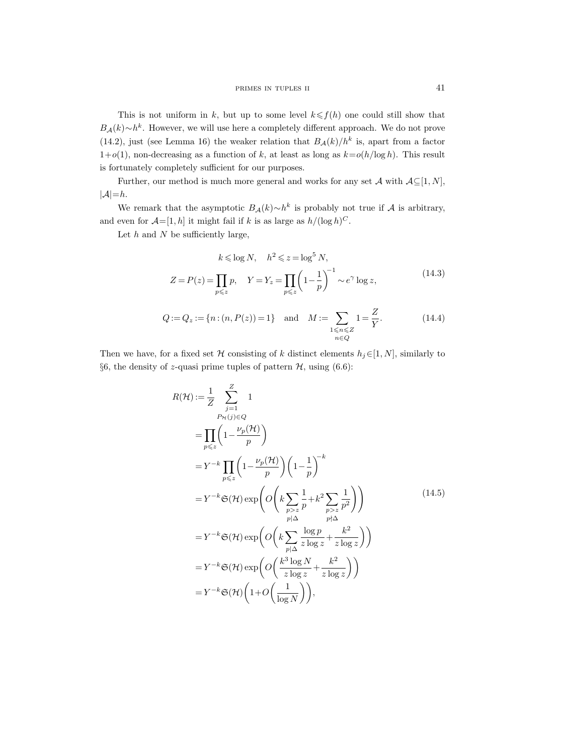This is not uniform in k, but up to some level  $k \leq f(h)$  one could still show that  $B_{\mathcal{A}}(k) \sim h^k$ . However, we will use here a completely different approach. We do not prove (14.2), just (see Lemma 16) the weaker relation that  $B_{\mathcal{A}}(k)/h^k$  is, apart from a factor  $1+o(1)$ , non-decreasing as a function of k, at least as long as  $k=o(h/\log h)$ . This result is fortunately completely sufficient for our purposes.

Further, our method is much more general and works for any set A with  $A\subseteq [1, N]$ ,  $|\mathcal{A}| = h$ .

We remark that the asymptotic  $B_{\mathcal{A}}(k) \sim h^k$  is probably not true if  $\mathcal A$  is arbitrary, and even for  $\mathcal{A}=[1,h]$  it might fail if k is as large as  $h/(\log h)^C$ .

Let  $h$  and  $N$  be sufficiently large,

$$
k \leq \log N, \quad h^2 \leq z = \log^5 N,
$$
  

$$
Z = P(z) = \prod_{p \leq z} p, \quad Y = Y_z = \prod_{p \leq z} \left( 1 - \frac{1}{p} \right)^{-1} \sim e^{\gamma} \log z,
$$
 (14.3)

$$
Q := Q_z := \{ n : (n, P(z)) = 1 \} \text{ and } M := \sum_{\substack{1 \le n \le Z \\ n \in Q}} 1 = \frac{Z}{Y}.
$$
 (14.4)

Then we have, for a fixed set H consisting of k distinct elements  $h_j \in [1, N]$ , similarly to §6, the density of z-quasi prime tuples of pattern  $H$ , using (6.6):

$$
R(\mathcal{H}) := \frac{1}{Z} \sum_{\substack{j=1 \ p \leq z}}^{Z} 1
$$
  
\n
$$
= \prod_{p \leq z} \left( 1 - \frac{\nu_p(\mathcal{H})}{p} \right)
$$
  
\n
$$
= Y^{-k} \prod_{p \leq z} \left( 1 - \frac{\nu_p(\mathcal{H})}{p} \right) \left( 1 - \frac{1}{p} \right)^{-k}
$$
  
\n
$$
= Y^{-k} \mathfrak{S}(\mathcal{H}) \exp \left( O \left( k \sum_{\substack{p > z \ p \neq 0}} \frac{1}{p} + k^2 \sum_{\substack{p > z \ p \neq 0}} \frac{1}{p^2} \right) \right)
$$
  
\n
$$
= Y^{-k} \mathfrak{S}(\mathcal{H}) \exp \left( O \left( k \sum_{\substack{p \mid \Delta \ p \mid \Delta}} \frac{\log p}{z \log z} + \frac{k^2}{z \log z} \right) \right)
$$
  
\n
$$
= Y^{-k} \mathfrak{S}(\mathcal{H}) \exp \left( O \left( \frac{k^3 \log N}{z \log z} + \frac{k^2}{z \log z} \right) \right)
$$
  
\n
$$
= Y^{-k} \mathfrak{S}(\mathcal{H}) \left( 1 + O \left( \frac{1}{\log N} \right) \right),
$$
 (14.5)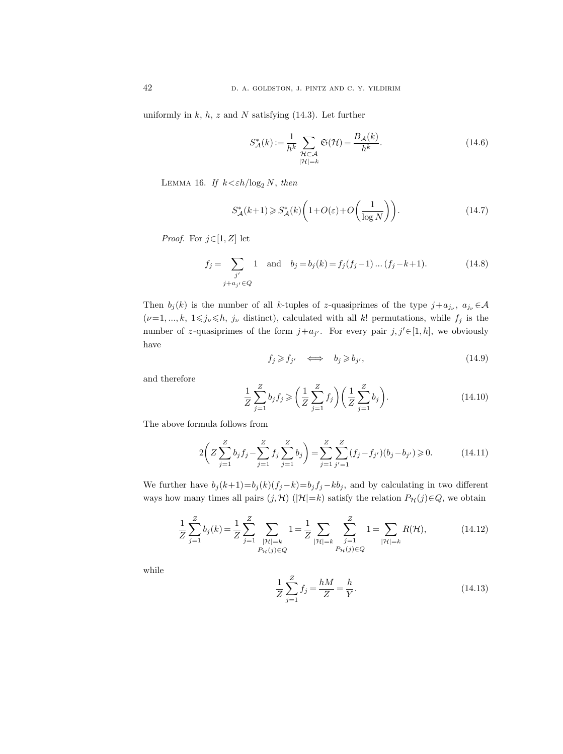uniformly in  $k$ ,  $h$ ,  $z$  and  $N$  satisfying (14.3). Let further

$$
S_{\mathcal{A}}^{*}(k) := \frac{1}{h^{k}} \sum_{\substack{\mathcal{H} \subset \mathcal{A} \\ |\mathcal{H}| = k}} \mathfrak{S}(\mathcal{H}) = \frac{B_{\mathcal{A}}(k)}{h^{k}}.
$$
\n(14.6)

LEMMA 16. If  $k < \varepsilon h / \log_2 N$ , then

$$
S_{\mathcal{A}}^*(k+1) \geqslant S_{\mathcal{A}}^*(k) \left( 1 + O(\varepsilon) + O\left(\frac{1}{\log N}\right) \right). \tag{14.7}
$$

*Proof.* For  $j \in [1, Z]$  let

$$
f_j = \sum_{\substack{j' \\ j+a_{j'} \in Q}} 1 \text{ and } b_j = b_j(k) = f_j(f_j - 1) \dots (f_j - k + 1). \tag{14.8}
$$

Then  $b_j(k)$  is the number of all k-tuples of z-quasiprimes of the type  $j+a_{j_{\nu}}$ ,  $a_{j_{\nu}} \in A$  $(\nu=1, ..., k, 1 \leq j_{\nu} \leq h, j_{\nu}$  distinct), calculated with all k! permutations, while  $f_j$  is the number of z-quasiprimes of the form  $j+a_{j'}$ . For every pair  $j, j' \in [1, h]$ , we obviously have

$$
f_j \geqslant f_{j'} \quad \iff \quad b_j \geqslant b_{j'}, \tag{14.9}
$$

and therefore

$$
\frac{1}{Z} \sum_{j=1}^{Z} b_j f_j \ge \left(\frac{1}{Z} \sum_{j=1}^{Z} f_j\right) \left(\frac{1}{Z} \sum_{j=1}^{Z} b_j\right). \tag{14.10}
$$

The above formula follows from

$$
2\left(Z\sum_{j=1}^{Z}b_jf_j - \sum_{j=1}^{Z}f_j\sum_{j=1}^{Z}b_j\right) = \sum_{j=1}^{Z}\sum_{j'=1}^{Z}(f_j - f_{j'})(b_j - b_{j'}) \ge 0.
$$
 (14.11)

We further have  $b_j (k+1)=b_j (k)(f_j-k)=b_j f_j-kb_j$ , and by calculating in two different ways how many times all pairs  $(j, \mathcal{H})$  ( $|\mathcal{H}|=k$ ) satisfy the relation  $P_{\mathcal{H}}(j) \in Q$ , we obtain

$$
\frac{1}{Z} \sum_{j=1}^{Z} b_j(k) = \frac{1}{Z} \sum_{j=1}^{Z} \sum_{\substack{|\mathcal{H}|=k \ P_{\mathcal{H}}(j) \in Q}} 1 = \frac{1}{Z} \sum_{\substack{|\mathcal{H}|=k \ P_{\mathcal{H}}(j) \in Q}} \sum_{j=1}^{Z} 1 = \sum_{|\mathcal{H}|=k} R(\mathcal{H}),
$$
(14.12)

while

$$
\frac{1}{Z}\sum_{j=1}^{Z}f_j = \frac{hM}{Z} = \frac{h}{Y}.
$$
\n(14.13)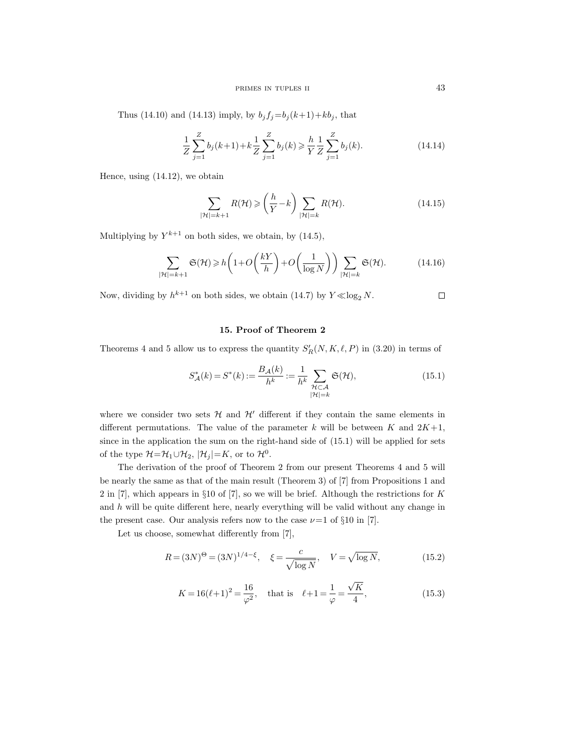Thus (14.10) and (14.13) imply, by  $b_j f_j = b_j (k+1) + k b_j$ , that

$$
\frac{1}{Z} \sum_{j=1}^{Z} b_j(k+1) + k \frac{1}{Z} \sum_{j=1}^{Z} b_j(k) \ge \frac{h}{Y} \frac{1}{Z} \sum_{j=1}^{Z} b_j(k).
$$
\n(14.14)

Hence, using (14.12), we obtain

$$
\sum_{|\mathcal{H}|=k+1} R(\mathcal{H}) \geqslant \left(\frac{h}{Y} - k\right) \sum_{|\mathcal{H}|=k} R(\mathcal{H}).\tag{14.15}
$$

Multiplying by  $Y^{k+1}$  on both sides, we obtain, by  $(14.5)$ ,

$$
\sum_{|\mathcal{H}|=k+1} \mathfrak{S}(\mathcal{H}) \geq h\left(1 + O\left(\frac{kY}{h}\right) + O\left(\frac{1}{\log N}\right)\right) \sum_{|\mathcal{H}|=k} \mathfrak{S}(\mathcal{H}).
$$
 (14.16)

Now, dividing by  $h^{k+1}$  on both sides, we obtain (14.7) by  $Y \ll \log_2 N$ .  $\Box$ 

# 15. Proof of Theorem 2

Theorems 4 and 5 allow us to express the quantity  $S'_R(N, K, \ell, P)$  in (3.20) in terms of

$$
S_{\mathcal{A}}^*(k) = S^*(k) := \frac{B_{\mathcal{A}}(k)}{h^k} := \frac{1}{h^k} \sum_{\substack{\mathcal{H} \subset \mathcal{A} \\ |\mathcal{H}| = k}} \mathfrak{S}(\mathcal{H}),\tag{15.1}
$$

where we consider two sets  $\mathcal{H}$  and  $\mathcal{H}'$  different if they contain the same elements in different permutations. The value of the parameter k will be between K and  $2K+1$ , since in the application the sum on the right-hand side of (15.1) will be applied for sets of the type  $\mathcal{H} = \mathcal{H}_1 \cup \mathcal{H}_2$ ,  $|\mathcal{H}_j| = K$ , or to  $\mathcal{H}^0$ .

The derivation of the proof of Theorem 2 from our present Theorems 4 and 5 will be nearly the same as that of the main result (Theorem 3) of [7] from Propositions 1 and 2 in [7], which appears in §10 of [7], so we will be brief. Although the restrictions for K and  $h$  will be quite different here, nearly everything will be valid without any change in the present case. Our analysis refers now to the case  $\nu=1$  of §10 in [7].

Let us choose, somewhat differently from [7],

$$
R = (3N)^{\Theta} = (3N)^{1/4 - \xi}, \quad \xi = \frac{c}{\sqrt{\log N}}, \quad V = \sqrt{\log N}, \quad (15.2)
$$

$$
K = 16(\ell + 1)^2 = \frac{16}{\varphi^2}, \quad \text{that is} \quad \ell + 1 = \frac{1}{\varphi} = \frac{\sqrt{K}}{4}, \tag{15.3}
$$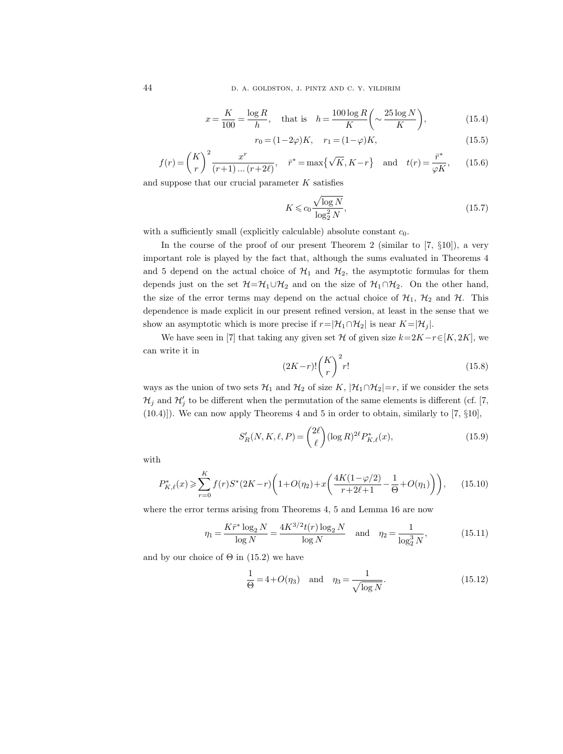$$
x = \frac{K}{100} = \frac{\log R}{h}, \quad \text{that is} \quad h = \frac{100 \log R}{K} \left( \sim \frac{25 \log N}{K} \right), \tag{15.4}
$$

$$
r_0 = (1 - 2\varphi)K, \quad r_1 = (1 - \varphi)K,\tag{15.5}
$$

$$
f(r) = {K \choose r}^2 \frac{x^r}{(r+1)\dots(r+2\ell)}, \quad \bar{r}^* = \max\{\sqrt{K}, K-r\} \quad \text{and} \quad t(r) = \frac{\bar{r}^*}{\varphi K},\qquad(15.6)
$$

and suppose that our crucial parameter  $K$  satisfies

$$
K \leqslant c_0 \frac{\sqrt{\log N}}{\log_2^2 N},\tag{15.7}
$$

with a sufficiently small (explicitly calculable) absolute constant  $c_0$ .

In the course of the proof of our present Theorem 2 (similar to [7,  $\S10$ ]), a very important role is played by the fact that, although the sums evaluated in Theorems 4 and 5 depend on the actual choice of  $H_1$  and  $H_2$ , the asymptotic formulas for them depends just on the set  $H=\mathcal{H}_1\cup\mathcal{H}_2$  and on the size of  $\mathcal{H}_1\cap\mathcal{H}_2$ . On the other hand, the size of the error terms may depend on the actual choice of  $\mathcal{H}_1$ ,  $\mathcal{H}_2$  and  $\mathcal{H}$ . This dependence is made explicit in our present refined version, at least in the sense that we show an asymptotic which is more precise if  $r=|\mathcal{H}_1\cap\mathcal{H}_2|$  is near  $K=|\mathcal{H}_j|$ .

We have seen in [7] that taking any given set H of given size  $k=2K-r\in[K, 2K]$ , we can write it in

$$
(2K-r)!\binom{K}{r}^2r!\tag{15.8}
$$

ways as the union of two sets  $\mathcal{H}_1$  and  $\mathcal{H}_2$  of size K,  $|\mathcal{H}_1 \cap \mathcal{H}_2|=r$ , if we consider the sets  $\mathcal{H}_j$  and  $\mathcal{H}'_j$  to be different when the permutation of the same elements is different (cf. [7, (10.4)]). We can now apply Theorems 4 and 5 in order to obtain, similarly to [7, §10],

$$
S_R'(N, K, \ell, P) = \binom{2\ell}{\ell} (\log R)^{2\ell} P_{K, \ell}^*(x),\tag{15.9}
$$

with

$$
P_{K,\ell}^*(x) \geqslant \sum_{r=0}^K f(r)S^*(2K-r)\left(1+O(\eta_2)+x\left(\frac{4K(1-\varphi/2)}{r+2\ell+1}-\frac{1}{\Theta}+O(\eta_1)\right)\right),\tag{15.10}
$$

where the error terms arising from Theorems 4, 5 and Lemma 16 are now

$$
\eta_1 = \frac{K\bar{r}^* \log_2 N}{\log N} = \frac{4K^{3/2}t(r) \log_2 N}{\log N} \quad \text{and} \quad \eta_2 = \frac{1}{\log_2^3 N},\tag{15.11}
$$

and by our choice of  $\Theta$  in (15.2) we have

$$
\frac{1}{\Theta} = 4 + O(\eta_3) \text{ and } \eta_3 = \frac{1}{\sqrt{\log N}}.
$$
 (15.12)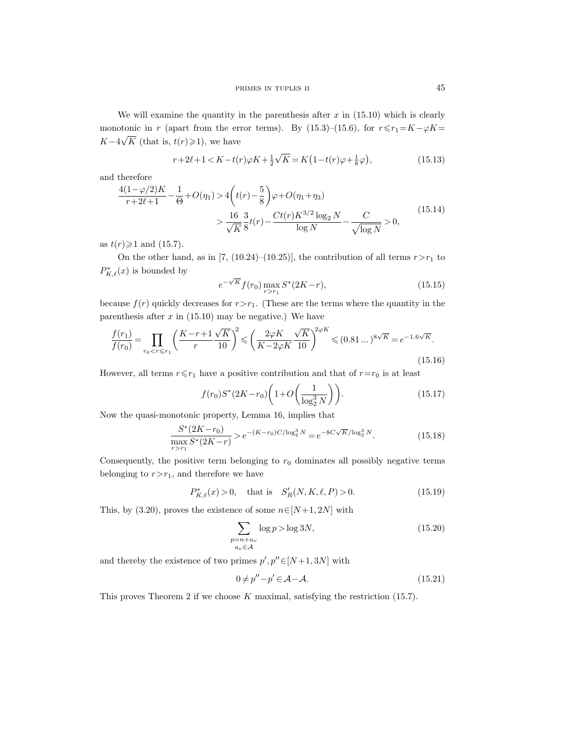We will examine the quantity in the parenthesis after  $x$  in  $(15.10)$  which is clearly monotonic in r (apart from the error terms). By (15.3)–(15.6), for  $r \le r_1 = K - \varphi K$ =  $K-4$  $\sqrt{K}$  (that is,  $t(r) \ge 1$ ), we have

$$
r + 2\ell + 1 < K - t(r)\varphi K + \frac{1}{2}\sqrt{K} = K\left(1 - t(r)\varphi + \frac{1}{8}\varphi\right),\tag{15.13}
$$

and therefore

$$
\frac{4(1-\varphi/2)K}{r+2\ell+1} - \frac{1}{\Theta} + O(\eta_1) > 4\left(t(r) - \frac{5}{8}\right)\varphi + O(\eta_1 + \eta_3) > \frac{16}{\sqrt{K}}\frac{3}{8}t(r) - \frac{Ct(r)K^{3/2}\log_2 N}{\log N} - \frac{C}{\sqrt{\log N}} > 0,
$$
\n(15.14)

as  $t(r) \geq 1$  and (15.7).

On the other hand, as in [7, (10.24)–(10.25)], the contribution of all terms  $r > r_1$  to  $P^*_{K,\ell}(x)$  is bounded by

$$
e^{-\sqrt{K}} f(r_0) \max_{r>r_1} S^*(2K-r),
$$
\n(15.15)

because  $f(r)$  quickly decreases for  $r > r_1$ . (These are the terms where the quantity in the parenthesis after  $x$  in (15.10) may be negative.) We have

$$
\frac{f(r_1)}{f(r_0)} = \prod_{r_0 < r \le r_1} \left( \frac{K - r + 1}{r} \frac{\sqrt{K}}{10} \right)^2 \leqslant \left( \frac{2\varphi K}{K - 2\varphi K} \frac{\sqrt{K}}{10} \right)^{2\varphi K} \leqslant (0.81 \dots)^{8\sqrt{K}} = e^{-1.6\sqrt{K}}.
$$
\n(15.16)

However, all terms  $r \le r_1$  have a positive contribution and that of  $r=r_0$  is at least

$$
f(r_0)S^*(2K - r_0)\left(1 + O\left(\frac{1}{\log_2^3 N}\right)\right). \tag{15.17}
$$

Now the quasi-monotonic property, Lemma 16, implies that

$$
\frac{S^*(2K - r_0)}{\max_{r > r_1} S^*(2K - r)} > e^{-(K - r_0)C/\log_2^3 N} = e^{-8C\sqrt{K}/\log_2^3 N}.\tag{15.18}
$$

Consequently, the positive term belonging to  $r_0$  dominates all possibly negative terms belonging to  $r > r_1$ , and therefore we have

$$
P_{K,\ell}^*(x) > 0, \quad \text{that is} \quad S_R'(N,K,\ell,P) > 0. \tag{15.19}
$$

This, by (3.20), proves the existence of some  $n \in [N+1, 2N]$  with

$$
\sum_{\substack{p=n+a_{\nu}\\a_{\nu}\in\mathcal{A}}} \log p > \log 3N,
$$
\n(15.20)

and thereby the existence of two primes  $p', p'' \in [N+1, 3N]$  with

$$
0 \neq p'' - p' \in \mathcal{A} - \mathcal{A}.\tag{15.21}
$$

This proves Theorem 2 if we choose  $K$  maximal, satisfying the restriction (15.7).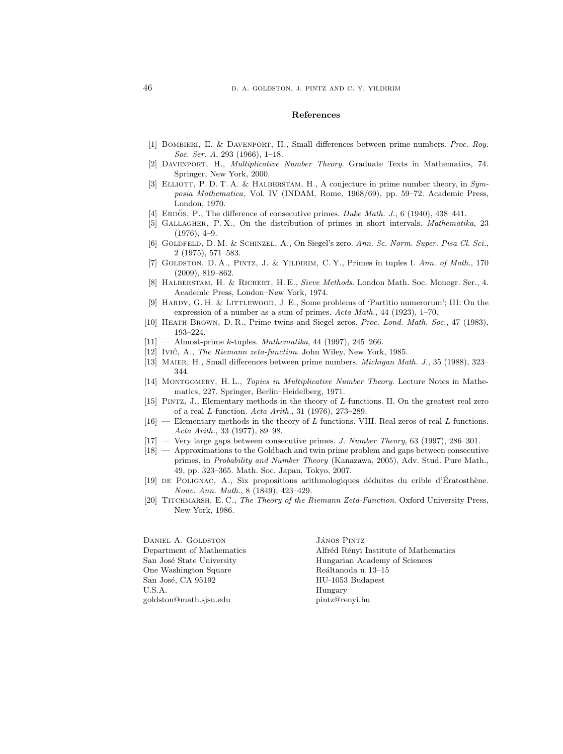#### References

- [1] Bombieri, E. & Davenport, H., Small differences between prime numbers. Proc. Roy. Soc. Ser. A, 293 (1966), 1–18.
- [2] Davenport, H., Multiplicative Number Theory. Graduate Texts in Mathematics, 74. Springer, New York, 2000.
- [3] ELLIOTT, P.D.T.A. & HALBERSTAM, H., A conjecture in prime number theory, in Symposia Mathematica, Vol. IV (INDAM, Rome, 1968/69), pp. 59–72. Academic Press, London, 1970.
- [4] ERDOS, P., The difference of consecutive primes. Duke Math. J., 6 (1940),  $438-441$ .
- [5] Gallagher, P. X., On the distribution of primes in short intervals. Mathematika, 23  $(1976), 4-9.$
- [6] Goldfeld, D. M. & Schinzel, A., On Siegel's zero. Ann. Sc. Norm. Super. Pisa Cl. Sci., 2 (1975), 571–583.
- [7] GOLDSTON, D. A., PINTZ, J. & YILDIRIM, C. Y., Primes in tuples I. Ann. of Math., 170 (2009), 819–862.
- [8] Halberstam, H. & Richert, H. E., Sieve Methods. London Math. Soc. Monogr. Ser., 4. Academic Press, London–New York, 1974.
- [9] HARDY, G. H. & LITTLEWOOD, J. E., Some problems of 'Partitio numerorum'; III: On the expression of a number as a sum of primes. Acta Math., 44 (1923), 1–70.
- [10] Heath-Brown, D. R., Prime twins and Siegel zeros. Proc. Lond. Math. Soc., 47 (1983), 193–224.
- $[11]$  Almost-prime k-tuples. Mathematika, 44 (1997), 245–266.
- [12] Ivić, A., *The Riemann zeta-function*. John Wiley, New York, 1985.
- [13] Maier, H., Small differences between prime numbers. Michigan Math. J., 35 (1988), 323– 344.
- [14] MONTGOMERY, H. L., Topics in Multiplicative Number Theory. Lecture Notes in Mathematics, 227. Springer, Berlin–Heidelberg, 1971.
- [15] Pintz, J., Elementary methods in the theory of L-functions. II. On the greatest real zero of a real L-function. Acta Arith., 31 (1976), 273–289.
- [16] Elementary methods in the theory of L-functions. VIII. Real zeros of real L-functions. Acta Arith., 33 (1977), 89–98.
- [17] Very large gaps between consecutive primes. J. Number Theory, 63 (1997), 286–301.
- [18] Approximations to the Goldbach and twin prime problem and gaps between consecutive primes, in Probability and Number Theory (Kanazawa, 2005), Adv. Stud. Pure Math., 49, pp. 323–365. Math. Soc. Japan, Tokyo, 2007.
- [19] DE POLIGNAC, A., Six propositions arithmologiques déduites du crible d'Eratosthène. Nouv. Ann. Math., 8 (1849), 423–429.
- [20] TITCHMARSH, E.C., The Theory of the Riemann Zeta-Function. Oxford University Press, New York, 1986.

DANIEL A. GOLDSTON Department of Mathematics San José State University One Washington Square San José, CA 95192 U.S.A. goldston@math.sjsu.edu

JÁNOS PINTZ Alfréd Rényi Institute of Mathematics Hungarian Academy of Sciences Reáltanoda u.  $13-15$ HU-1053 Budapest Hungary pintz@renyi.hu